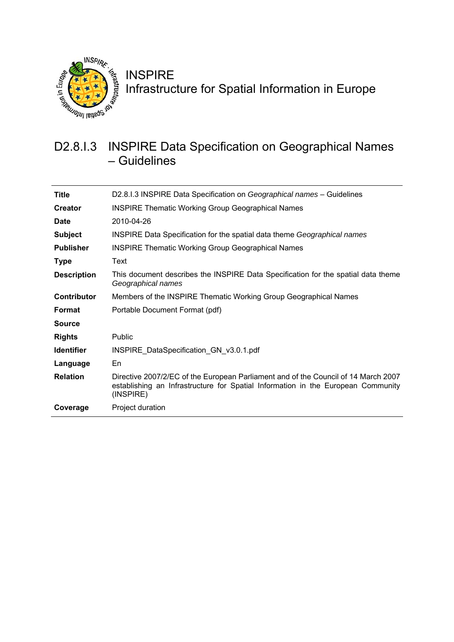

INSPIRE Infrastructure for Spatial Information in Europe

# D2.8.I.3 INSPIRE Data Specification on Geographical Names – Guidelines

| <b>Title</b>       | D2.8.1.3 INSPIRE Data Specification on Geographical names - Guidelines                                                                                                              |
|--------------------|-------------------------------------------------------------------------------------------------------------------------------------------------------------------------------------|
| <b>Creator</b>     | <b>INSPIRE Thematic Working Group Geographical Names</b>                                                                                                                            |
| <b>Date</b>        | 2010-04-26                                                                                                                                                                          |
| <b>Subject</b>     | <b>INSPIRE Data Specification for the spatial data theme Geographical names</b>                                                                                                     |
| <b>Publisher</b>   | <b>INSPIRE Thematic Working Group Geographical Names</b>                                                                                                                            |
| <b>Type</b>        | Text                                                                                                                                                                                |
| <b>Description</b> | This document describes the INSPIRE Data Specification for the spatial data theme<br>Geographical names                                                                             |
| Contributor        | Members of the INSPIRE Thematic Working Group Geographical Names                                                                                                                    |
| Format             | Portable Document Format (pdf)                                                                                                                                                      |
| <b>Source</b>      |                                                                                                                                                                                     |
| <b>Rights</b>      | Public                                                                                                                                                                              |
| <b>Identifier</b>  | INSPIRE DataSpecification GN v3.0.1.pdf                                                                                                                                             |
| Language           | En                                                                                                                                                                                  |
| <b>Relation</b>    | Directive 2007/2/EC of the European Parliament and of the Council of 14 March 2007<br>establishing an Infrastructure for Spatial Information in the European Community<br>(INSPIRE) |
| Coverage           | Project duration                                                                                                                                                                    |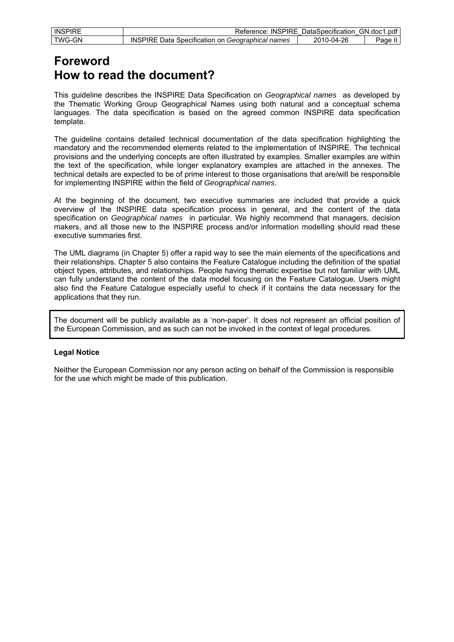| <b>INSPIRE</b> | Reference: INSPIRE DataSpecification GN.doc1.pdf |            |        |
|----------------|--------------------------------------------------|------------|--------|
| TWG-GN         | INSPIRE Data Specification on Geographical names | 2010-04-26 | Page n |

# **Foreword How to read the document?**

This guideline describes the INSPIRE Data Specification on *Geographical names* as developed by the Thematic Working Group Geographical Names using both natural and a conceptual schema languages. The data specification is based on the agreed common INSPIRE data specification template.

The guideline contains detailed technical documentation of the data specification highlighting the mandatory and the recommended elements related to the implementation of INSPIRE. The technical provisions and the underlying concepts are often illustrated by examples. Smaller examples are within the text of the specification, while longer explanatory examples are attached in the annexes. The technical details are expected to be of prime interest to those organisations that are/will be responsible for implementing INSPIRE within the field of *Geographical names*.

At the beginning of the document, two executive summaries are included that provide a quick overview of the INSPIRE data specification process in general, and the content of the data specification on *Geographical names* in particular. We highly recommend that managers, decision makers, and all those new to the INSPIRE process and/or information modelling should read these executive summaries first.

The UML diagrams (in Chapter 5) offer a rapid way to see the main elements of the specifications and their relationships. Chapter 5 also contains the Feature Catalogue including the definition of the spatial object types, attributes, and relationships. People having thematic expertise but not familiar with UML can fully understand the content of the data model focusing on the Feature Catalogue. Users might also find the Feature Catalogue especially useful to check if it contains the data necessary for the applications that they run.

The document will be publicly available as a 'non-paper'. It does not represent an official position of the European Commission, and as such can not be invoked in the context of legal procedures.

#### **Legal Notice**

Neither the European Commission nor any person acting on behalf of the Commission is responsible for the use which might be made of this publication.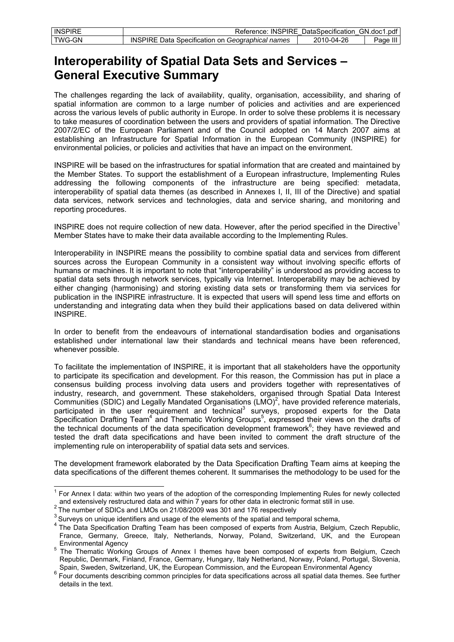| <b>INSPIRE</b> | <b>INSPIRE</b><br>Reference:                                   | DataSpecification | GN.doc1.pdf |
|----------------|----------------------------------------------------------------|-------------------|-------------|
| TWG-GN         | <b>INSPIRE L</b><br>: Data Specification on Geographical names | 2010-04-26        | Page        |

# **Interoperability of Spatial Data Sets and Services – General Executive Summary**

The challenges regarding the lack of availability, quality, organisation, accessibility, and sharing of spatial information are common to a large number of policies and activities and are experienced across the various levels of public authority in Europe. In order to solve these problems it is necessary to take measures of coordination between the users and providers of spatial information. The Directive 2007/2/EC of the European Parliament and of the Council adopted on 14 March 2007 aims at establishing an Infrastructure for Spatial Information in the European Community (INSPIRE) for environmental policies, or policies and activities that have an impact on the environment.

INSPIRE will be based on the infrastructures for spatial information that are created and maintained by the Member States. To support the establishment of a European infrastructure, Implementing Rules addressing the following components of the infrastructure are being specified: metadata, interoperability of spatial data themes (as described in Annexes I, II, III of the Directive) and spatial data services, network services and technologies, data and service sharing, and monitoring and reporting procedures.

INSPIRE does not require collection of new data. However, after the period specified in the Directive<sup>1</sup> Member States have to make their data available according to the Implementing Rules.

Interoperability in INSPIRE means the possibility to combine spatial data and services from different sources across the European Community in a consistent way without involving specific efforts of humans or machines. It is important to note that "interoperability" is understood as providing access to spatial data sets through network services, typically via Internet. Interoperability may be achieved by either changing (harmonising) and storing existing data sets or transforming them via services for publication in the INSPIRE infrastructure. It is expected that users will spend less time and efforts on understanding and integrating data when they build their applications based on data delivered within INSPIRE.

In order to benefit from the endeavours of international standardisation bodies and organisations established under international law their standards and technical means have been referenced, whenever possible.

To facilitate the implementation of INSPIRE, it is important that all stakeholders have the opportunity to participate its specification and development. For this reason, the Commission has put in place a consensus building process involving data users and providers together with representatives of industry, research, and government. These stakeholders, organised through Spatial Data Interest Communities (SDIC) and Legally Mandated Organisations  $(LMO)^2$ , have provided reference materials, participated in the user requirement and technical<sup>3</sup> surveys, proposed experts for the Data Specification Drafting Team<sup>4</sup> and Thematic Working Groups<sup>5</sup>, expressed their views on the drafts of the technical documents of the data specification development framework $6$ ; they have reviewed and tested the draft data specifications and have been invited to comment the draft structure of the implementing rule on interoperability of spatial data sets and services.

The development framework elaborated by the Data Specification Drafting Team aims at keeping the data specifications of the different themes coherent. It summarises the methodology to be used for the

 1 For Annex I data: within two years of the adoption of the corresponding Implementing Rules for newly collected and extensively restructured data and within 7 years for other data in electronic format still in use.

<sup>2</sup> and extensively restructured data and widing research in 1990.<br><sup>2</sup> The number of SDICs and LMOs on 21/08/2009 was 301 and 176 respectively

<sup>&</sup>lt;sup>3</sup> Surveys on unique identifiers and usage of the elements of the spatial and temporal schema,

<sup>&</sup>lt;sup>4</sup> The Data Specification Drafting Team has been composed of experts from Austria, Belgium, Czech Republic, France, Germany, Greece, Italy, Netherlands, Norway, Poland, Switzerland, UK, and the European

Environmental Agency<br><sup>5</sup> The Thematic Working Groups of Annex I themes have been composed of experts from Belgium, Czech Republic, Denmark, Finland, France, Germany, Hungary, Italy Netherland, Norway, Poland, Portugal, Slovenia, Spain, Sweden, Switzerland, UK, the European Commission, and the European Environmental Agency 6

Four documents describing common principles for data specifications across all spatial data themes. See further details in the text.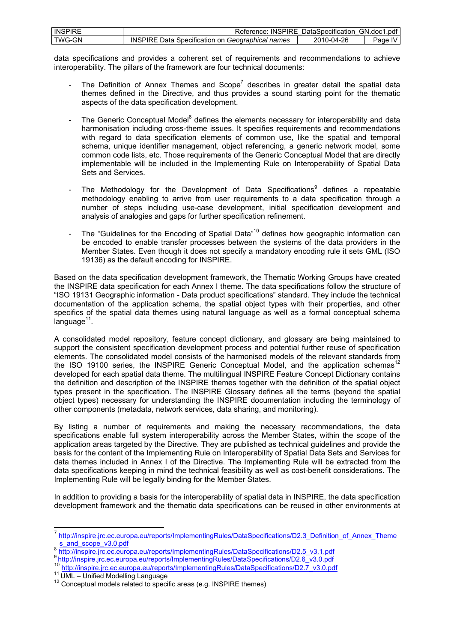| <b>INSPIRE</b> | <b>INSPIRE</b><br>Reference:                                 | DataSpecification | GN.doc1.pdf         |
|----------------|--------------------------------------------------------------|-------------------|---------------------|
| TWG-GN         | <b>INSPIRE</b><br>∟ Data Specification on Geographical names | 2010-04-26        | aae<br>$\mathbf{v}$ |

data specifications and provides a coherent set of requirements and recommendations to achieve interoperability. The pillars of the framework are four technical documents:

- The Definition of Annex Themes and Scope<sup>7</sup> describes in greater detail the spatial data themes defined in the Directive, and thus provides a sound starting point for the thematic aspects of the data specification development.
- The Generic Conceptual Model<sup>8</sup> defines the elements necessary for interoperability and data harmonisation including cross-theme issues. It specifies requirements and recommendations with regard to data specification elements of common use, like the spatial and temporal schema, unique identifier management, object referencing, a generic network model, some common code lists, etc. Those requirements of the Generic Conceptual Model that are directly implementable will be included in the Implementing Rule on Interoperability of Spatial Data Sets and Services.
- The Methodology for the Development of Data Specifications<sup>9</sup> defines a repeatable methodology enabling to arrive from user requirements to a data specification through a number of steps including use-case development, initial specification development and analysis of analogies and gaps for further specification refinement.
- The "Guidelines for the Encoding of Spatial Data"<sup>10</sup> defines how geographic information can be encoded to enable transfer processes between the systems of the data providers in the Member States. Even though it does not specify a mandatory encoding rule it sets GML (ISO 19136) as the default encoding for INSPIRE.

Based on the data specification development framework, the Thematic Working Groups have created the INSPIRE data specification for each Annex I theme. The data specifications follow the structure of "ISO 19131 Geographic information - Data product specifications" standard. They include the technical documentation of the application schema, the spatial object types with their properties, and other specifics of the spatial data themes using natural language as well as a formal conceptual schema  $lanauge<sup>11</sup>$ .

A consolidated model repository, feature concept dictionary, and glossary are being maintained to support the consistent specification development process and potential further reuse of specification elements. The consolidated model consists of the harmonised models of the relevant standards from the ISO 19100 series, the INSPIRE Generic Conceptual Model, and the application schemas<sup>12</sup> developed for each spatial data theme. The multilingual INSPIRE Feature Concept Dictionary contains the definition and description of the INSPIRE themes together with the definition of the spatial object types present in the specification. The INSPIRE Glossary defines all the terms (beyond the spatial object types) necessary for understanding the INSPIRE documentation including the terminology of other components (metadata, network services, data sharing, and monitoring).

By listing a number of requirements and making the necessary recommendations, the data specifications enable full system interoperability across the Member States, within the scope of the application areas targeted by the Directive. They are published as technical guidelines and provide the basis for the content of the Implementing Rule on Interoperability of Spatial Data Sets and Services for data themes included in Annex I of the Directive. The Implementing Rule will be extracted from the data specifications keeping in mind the technical feasibility as well as cost-benefit considerations. The Implementing Rule will be legally binding for the Member States.

In addition to providing a basis for the interoperability of spatial data in INSPIRE, the data specification development framework and the thematic data specifications can be reused in other environments at

l

http://inspire.jrc.ec.europa.eu/reports/ImplementingRules/DataSpecifications/D2.3\_Definition\_of\_Annex\_Theme s and scope v3.0.pdf

<sup>&</sup>lt;sup>8</sup><br>http://inspire.jrc.ec.europa.eu/reports/ImplementingRules/DataSpecifications/D2.5\_v3.1.pdf<br>http://inspire.jrc.ec.europa.eu/reports/ImplementingRules/DataSpecifications/D2.6\_v3.0.pdf<br>10 http://inspire.jrc.ec.europa.eu/r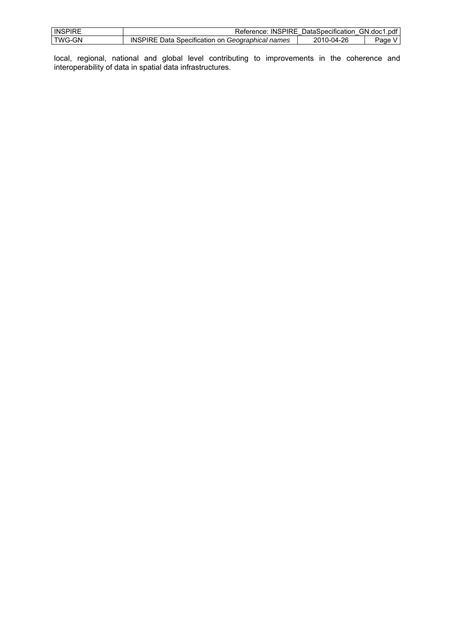| <b>INSPIRE</b> | Reference:                                                   | : INSPIRE DataSpecification | GN.doc1.pdf |
|----------------|--------------------------------------------------------------|-----------------------------|-------------|
| <b>TWG-GN</b>  | <b>INSPIRE</b><br>∠ Data Specification on Geographical names | 2010-04-26                  | aae         |

local, regional, national and global level contributing to improvements in the coherence and interoperability of data in spatial data infrastructures.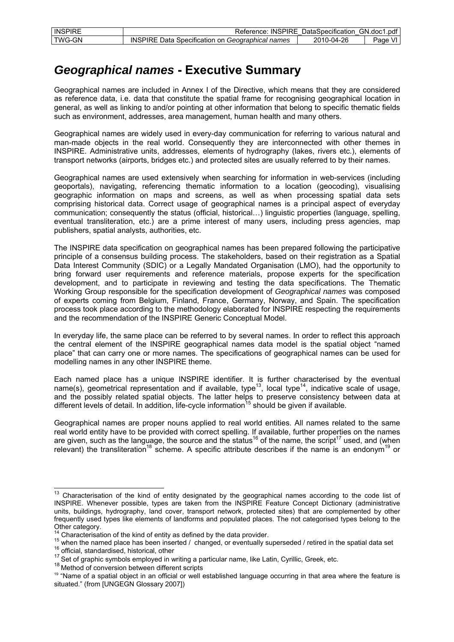# *Geographical names* **- Executive Summary**

Geographical names are included in Annex I of the Directive, which means that they are considered as reference data, i.e. data that constitute the spatial frame for recognising geographical location in general, as well as linking to and/or pointing at other information that belong to specific thematic fields such as environment, addresses, area management, human health and many others.

Geographical names are widely used in every-day communication for referring to various natural and man-made objects in the real world. Consequently they are interconnected with other themes in INSPIRE. Administrative units, addresses, elements of hydrography (lakes, rivers etc.), elements of transport networks (airports, bridges etc.) and protected sites are usually referred to by their names.

Geographical names are used extensively when searching for information in web-services (including geoportals), navigating, referencing thematic information to a location (geocoding), visualising geographic information on maps and screens, as well as when processing spatial data sets comprising historical data. Correct usage of geographical names is a principal aspect of everyday communication; consequently the status (official, historical…) linguistic properties (language, spelling, eventual transliteration, etc.) are a prime interest of many users, including press agencies, map publishers, spatial analysts, authorities, etc.

The INSPIRE data specification on geographical names has been prepared following the participative principle of a consensus building process. The stakeholders, based on their registration as a Spatial Data Interest Community (SDIC) or a Legally Mandated Organisation (LMO), had the opportunity to bring forward user requirements and reference materials, propose experts for the specification development, and to participate in reviewing and testing the data specifications. The Thematic Working Group responsible for the specification development of *Geographical names* was composed of experts coming from Belgium, Finland, France, Germany, Norway, and Spain. The specification process took place according to the methodology elaborated for INSPIRE respecting the requirements and the recommendation of the INSPIRE Generic Conceptual Model.

In everyday life, the same place can be referred to by several names. In order to reflect this approach the central element of the INSPIRE geographical names data model is the spatial object "named place" that can carry one or more names. The specifications of geographical names can be used for modelling names in any other INSPIRE theme.

Each named place has a unique INSPIRE identifier. It is further characterised by the eventual name(s), geometrical representation and if available, type<sup>13</sup>, local type<sup>14</sup>, indicative scale of usage, and the possibly related spatial objects. The latter helps to preserve consistency between data at different levels of detail. In addition, life-cycle information<sup>15</sup> should be given if available.

Geographical names are proper nouns applied to real world entities. All names related to the same real world entity have to be provided with correct spelling. If available, further properties on the names are given, such as the language, the source and the status<sup>16</sup> of the name, the script<sup>17</sup> used, and (when relevant) the transliteration<sup>18</sup> scheme. A specific attribute describes if the name is an endonym<sup>19</sup> or

l

 $13$  Characterisation of the kind of entity designated by the geographical names according to the code list of INSPIRE. Whenever possible, types are taken from the INSPIRE Feature Concept Dictionary (administrative units, buildings, hydrography, land cover, transport network, protected sites) that are complemented by other frequently used types like elements of landforms and populated places. The not categorised types belong to the Other category.<br>
<sup>14</sup> Characterisation of the kind of entity as defined by the data provider.

<sup>&</sup>lt;sup>15</sup> when the named place has been inserted / changed, or eventually superseded / retired in the spatial data set <sup>16</sup> official. standardised, historical, other

<sup>&</sup>lt;sup>17</sup> Set of graphic symbols employed in writing a particular name, like Latin, Cyrillic, Greek, etc.<br><sup>18</sup> Method of conversion between different scripts<br><sup>18</sup> "Name of a spatial object in an official or well established lan situated." (from [UNGEGN Glossary 2007])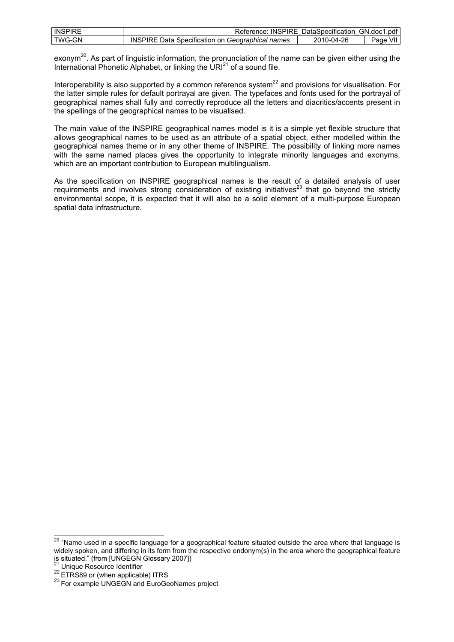| <b>INSPIRE</b> | <b>INSPIRE</b><br>Reference:                                    | DataSpecification | GN.doc1.pdf |
|----------------|-----------------------------------------------------------------|-------------------|-------------|
| TWG-GN         | <b>INSPIRE</b><br>Data<br>i Specification on Geographical names | 2010-04-26        | Page        |

exonym<sup>20</sup>. As part of linguistic information, the pronunciation of the name can be given either using the International Phonetic Alphabet, or linking the UR $I<sup>21</sup>$  of a sound file.

Interoperability is also supported by a common reference system $^{22}$  and provisions for visualisation. For the latter simple rules for default portrayal are given. The typefaces and fonts used for the portrayal of geographical names shall fully and correctly reproduce all the letters and diacritics/accents present in the spellings of the geographical names to be visualised.

The main value of the INSPIRE geographical names model is it is a simple yet flexible structure that allows geographical names to be used as an attribute of a spatial object, either modelled within the geographical names theme or in any other theme of INSPIRE. The possibility of linking more names with the same named places gives the opportunity to integrate minority languages and exonyms, which are an important contribution to European multilingualism.

As the specification on INSPIRE geographical names is the result of a detailed analysis of user requirements and involves strong consideration of existing initiatives $^{23}$  that go beyond the strictly environmental scope, it is expected that it will also be a solid element of a multi-purpose European spatial data infrastructure.

 $\overline{a}$ 

<sup>&</sup>lt;sup>20</sup> "Name used in a specific language for a geographical feature situated outside the area where that language is widely spoken, and differing in its form from the respective endonym(s) in the area where the geographical feature<br>is situated." (from [UNGEGN Glossary 2007])

<sup>&</sup>lt;sup>21</sup> Unique Resource Identifier<br>
<sup>22</sup> ETRS89 or (when applicable) ITRS<br>
<sup>23</sup> For example UNGEGN and EuroGeoNames project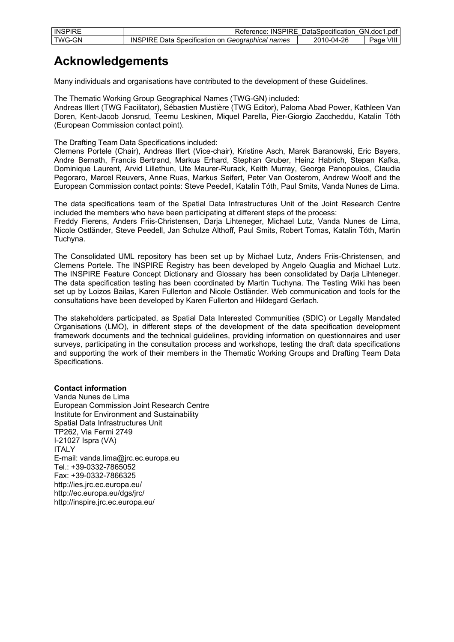| <b>INSPIRE</b> | Reference: INSPIRE DataSpecification GN.doc1.pdf |            |              |
|----------------|--------------------------------------------------|------------|--------------|
| TWG-GN         | INSPIRE Data Specification on Geographical names | 2010-04-26 | VIII<br>Page |

# **Acknowledgements**

Many individuals and organisations have contributed to the development of these Guidelines.

The Thematic Working Group Geographical Names (TWG-GN) included: Andreas Illert (TWG Facilitator), Sébastien Mustière (TWG Editor), Paloma Abad Power, Kathleen Van Doren, Kent-Jacob Jonsrud, Teemu Leskinen, Miquel Parella, Pier-Giorgio Zaccheddu, Katalin Tóth (European Commission contact point).

The Drafting Team Data Specifications included:

Clemens Portele (Chair), Andreas Illert (Vice-chair), Kristine Asch, Marek Baranowski, Eric Bayers, Andre Bernath, Francis Bertrand, Markus Erhard, Stephan Gruber, Heinz Habrich, Stepan Kafka, Dominique Laurent, Arvid Lillethun, Ute Maurer-Rurack, Keith Murray, George Panopoulos, Claudia Pegoraro, Marcel Reuvers, Anne Ruas, Markus Seifert, Peter Van Oosterom, Andrew Woolf and the European Commission contact points: Steve Peedell, Katalin Tóth, Paul Smits, Vanda Nunes de Lima.

The data specifications team of the Spatial Data Infrastructures Unit of the Joint Research Centre included the members who have been participating at different steps of the process: Freddy Fierens, Anders Friis-Christensen, Darja Lihteneger, Michael Lutz, Vanda Nunes de Lima,

Nicole Ostländer, Steve Peedell, Jan Schulze Althoff, Paul Smits, Robert Tomas, Katalin Tóth, Martin Tuchyna.

The Consolidated UML repository has been set up by Michael Lutz, Anders Friis-Christensen, and Clemens Portele. The INSPIRE Registry has been developed by Angelo Quaglia and Michael Lutz. The INSPIRE Feature Concept Dictionary and Glossary has been consolidated by Darja Lihteneger. The data specification testing has been coordinated by Martin Tuchyna. The Testing Wiki has been set up by Loizos Bailas, Karen Fullerton and Nicole Ostländer. Web communication and tools for the consultations have been developed by Karen Fullerton and Hildegard Gerlach.

The stakeholders participated, as Spatial Data Interested Communities (SDIC) or Legally Mandated Organisations (LMO), in different steps of the development of the data specification development framework documents and the technical guidelines, providing information on questionnaires and user surveys, participating in the consultation process and workshops, testing the draft data specifications and supporting the work of their members in the Thematic Working Groups and Drafting Team Data Specifications.

### **Contact information**

Vanda Nunes de Lima European Commission Joint Research Centre Institute for Environment and Sustainability Spatial Data Infrastructures Unit TP262, Via Fermi 2749 I-21027 Ispra (VA) ITALY E-mail: vanda.lima@jrc.ec.europa.eu Tel.: +39-0332-7865052 Fax: +39-0332-7866325 http://ies.jrc.ec.europa.eu/ http://ec.europa.eu/dgs/jrc/ http://inspire.jrc.ec.europa.eu/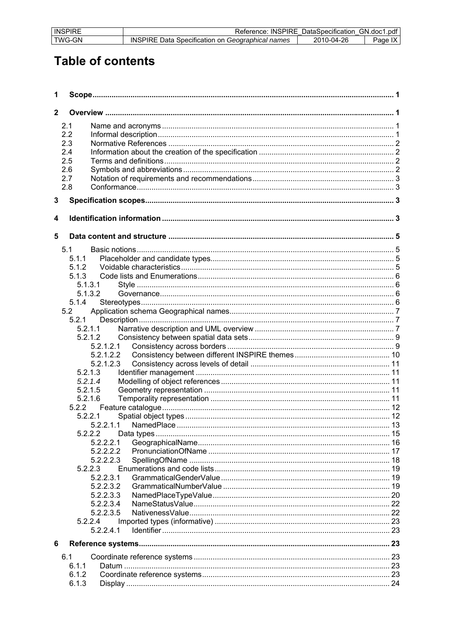| IN:<br>11 N.C           | – שµי<br>w<br>. .                                                | .<br>DataSpecification | .pdf<br>٩N<br>qoc. |
|-------------------------|------------------------------------------------------------------|------------------------|--------------------|
| G-GN<br>~M <sub>c</sub> | names<br>Geograph<br>Specification<br>nica'<br>on<br>) AT<br>. . | ገር<br>-גוי             | $\sqrt{ }$<br>aao  |

# **Table of contents**

| 1            |       |           |  |
|--------------|-------|-----------|--|
| $\mathbf{2}$ |       |           |  |
|              | 2.1   |           |  |
|              | 2.2   |           |  |
|              | 2.3   |           |  |
|              | 2.4   |           |  |
|              | 2.5   |           |  |
|              | 2.6   |           |  |
|              | 2.7   |           |  |
|              | 2.8   |           |  |
|              |       |           |  |
| 3            |       |           |  |
| 4            |       |           |  |
| 5            |       |           |  |
|              | 5.1   |           |  |
|              | 5.1.1 |           |  |
|              | 5.1.2 |           |  |
|              | 5.1.3 |           |  |
|              |       | 5.1.3.1   |  |
|              |       | 5.1.3.2   |  |
|              | 5.1.4 |           |  |
|              | 5.2   |           |  |
|              | 5.2.1 |           |  |
|              |       | 5.2.1.1   |  |
|              |       | 5.2.1.2   |  |
|              |       |           |  |
|              |       |           |  |
|              |       | 5.2.1.2.2 |  |
|              |       | 5.2.1.2.3 |  |
|              |       | 5.2.1.3   |  |
|              |       | 5.2.1.4   |  |
|              |       | 5.2.1.5   |  |
|              |       | 5.2.1.6   |  |
|              | 5.2.2 |           |  |
|              |       | 5.2.2.1   |  |
|              |       | 5.2.2.1.1 |  |
|              |       | 5.2.2.2   |  |
|              |       | 5.2.2.2.1 |  |
|              |       | 5.2.2.2.2 |  |
|              |       | 5.2.2.2.3 |  |
|              |       | 5.2.2.3   |  |
|              |       | 5.2.2.3.1 |  |
|              |       | 5.2.2.3.2 |  |
|              |       | 5.2.2.3.3 |  |
|              |       | 5.2.2.3.4 |  |
|              |       | 5.2.2.3.5 |  |
|              |       | 5.2.2.4   |  |
|              |       | 5.2.2.4.1 |  |
|              |       |           |  |
| 6            |       |           |  |
|              | 6.1   |           |  |
|              | 6.1.1 |           |  |
|              | 6.1.2 |           |  |
|              | 6.1.3 |           |  |
|              |       |           |  |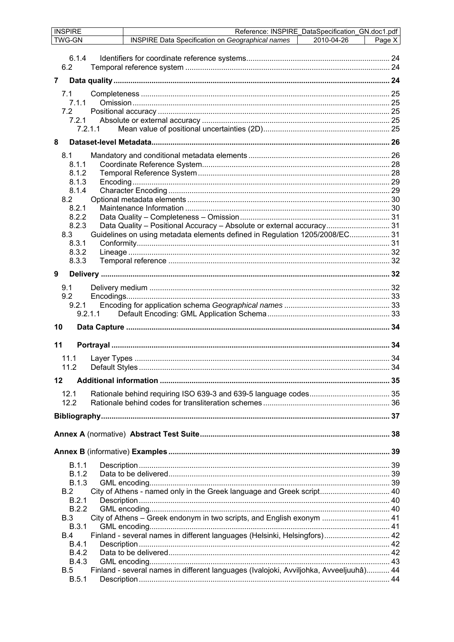| <b>INSPIRE</b>      | Reference: INSPIRE_DataSpecification_GN.doc1.pdf                                       |          |
|---------------------|----------------------------------------------------------------------------------------|----------|
| <b>TWG-GN</b>       | <b>INSPIRE Data Specification on Geographical names</b><br>$2010 - 04 - 26$            | Page $X$ |
| 6.1.4<br>6.2        |                                                                                        |          |
| 7                   |                                                                                        |          |
| 7.1                 |                                                                                        |          |
| 7.1.1               |                                                                                        |          |
| 7.2                 |                                                                                        |          |
| 7.2.1               |                                                                                        |          |
| 7.2.1.1             |                                                                                        |          |
| 8                   |                                                                                        |          |
| 8.1                 |                                                                                        |          |
| 8.1.1               |                                                                                        |          |
| 8.1.2<br>8.1.3      |                                                                                        |          |
| 8.1.4               |                                                                                        |          |
| 8.2                 |                                                                                        |          |
| 8.2.1               |                                                                                        |          |
| 8.2.2               |                                                                                        |          |
| 8.2.3               | Data Quality - Positional Accuracy - Absolute or external accuracy 31                  |          |
| 8.3                 | Guidelines on using metadata elements defined in Regulation 1205/2008/EC 31            |          |
| 8.3.1<br>8.3.2      |                                                                                        |          |
| 8.3.3               |                                                                                        |          |
|                     |                                                                                        |          |
| 9                   |                                                                                        |          |
| 9.1                 |                                                                                        |          |
| 9.2                 |                                                                                        |          |
| 9.2.1               |                                                                                        |          |
| 9.2.1.1             |                                                                                        |          |
| 10                  |                                                                                        |          |
| 11                  |                                                                                        |          |
| 11.1                |                                                                                        |          |
| 11.2                |                                                                                        |          |
| $12 \,$             |                                                                                        |          |
| 12.1                |                                                                                        |          |
| 12.2                |                                                                                        |          |
|                     |                                                                                        |          |
|                     |                                                                                        |          |
|                     |                                                                                        |          |
|                     |                                                                                        |          |
|                     |                                                                                        |          |
| B.1.1               |                                                                                        |          |
| <b>B.1.2</b>        |                                                                                        |          |
| <b>B.1.3</b>        |                                                                                        |          |
| B.2                 | City of Athens - named only in the Greek language and Greek script 40                  |          |
| B.2.1<br>B.2.2      |                                                                                        |          |
| <b>B.3</b>          | City of Athens - Greek endonym in two scripts, and English exonym  41                  |          |
| <b>B.3.1</b>        |                                                                                        |          |
| <b>B.4</b>          | Finland - several names in different languages (Helsinki, Helsingfors) 42              |          |
| <b>B.4.1</b>        |                                                                                        |          |
| <b>B.4.2</b>        |                                                                                        |          |
| <b>B.4.3</b>        |                                                                                        |          |
| <b>B.5</b><br>B.5.1 | Finland - several names in different languages (Ivalojoki, Avviljohka, Avveeljuuhâ) 44 |          |
|                     |                                                                                        |          |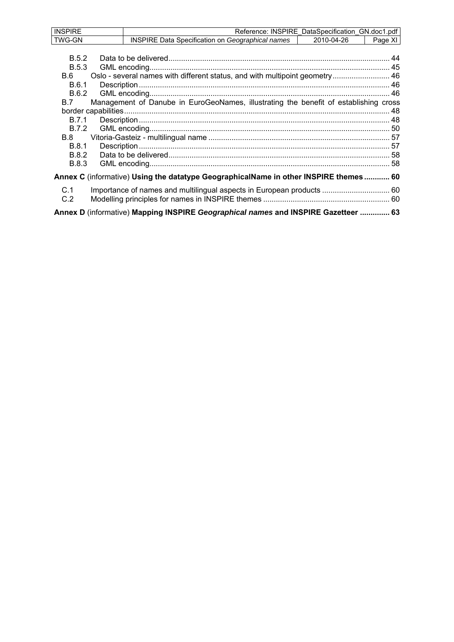| <b>INSPIRE</b> | Reference: INSPIRE DataSpecification GN.doc1.pdf                                     |         |
|----------------|--------------------------------------------------------------------------------------|---------|
| <b>TWG-GN</b>  | <b>INSPIRE Data Specification on Geographical names</b><br>2010-04-26                | Page XI |
|                |                                                                                      |         |
| B.5.2          |                                                                                      |         |
| <b>B.5.3</b>   |                                                                                      |         |
| B.6            | Oslo - several names with different status, and with multipoint geometry 46          |         |
| B.6.1          |                                                                                      |         |
| B.6.2          |                                                                                      |         |
| <b>B.7</b>     | Management of Danube in EuroGeoNames, illustrating the benefit of establishing cross |         |
|                |                                                                                      |         |
| B.7.1          |                                                                                      |         |
| B.7.2          |                                                                                      |         |
| B.8            |                                                                                      |         |
| <b>B.8.1</b>   |                                                                                      |         |
| B.8.2          |                                                                                      |         |
| <b>B.8.3</b>   |                                                                                      |         |
|                | Annex C (informative) Using the datatype GeographicalName in other INSPIRE themes 60 |         |
| C.1            | Importance of names and multilingual aspects in European products  60                |         |
| C.2            |                                                                                      |         |
|                |                                                                                      |         |

**Annex D** (informative) **Mapping INSPIRE** *Geographical names* **and INSPIRE Gazetteer .............. 63**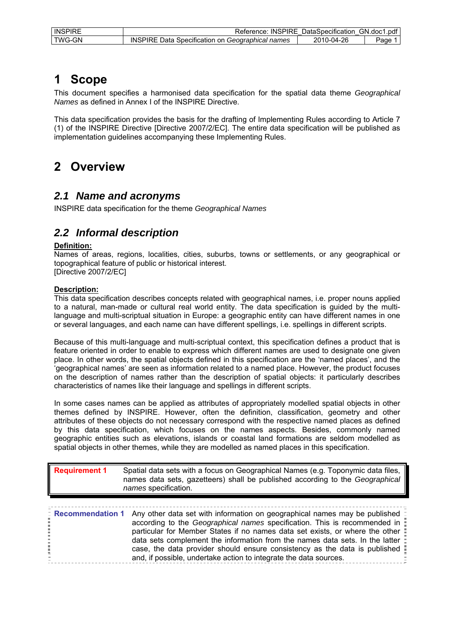| <b>INSPIRE</b> | Reference: INSPIRE DataSpecification GN.doc1.pdf I |            |      |
|----------------|----------------------------------------------------|------------|------|
| TWG-GN         | INSPIRE Data Specification on Geographical names   | 2010-04-26 | Page |

# **1 Scope**

This document specifies a harmonised data specification for the spatial data theme *Geographical Names* as defined in Annex I of the INSPIRE Directive.

This data specification provides the basis for the drafting of Implementing Rules according to Article 7 (1) of the INSPIRE Directive [Directive 2007/2/EC]. The entire data specification will be published as implementation guidelines accompanying these Implementing Rules.

# **2 Overview**

## *2.1 Name and acronyms*

INSPIRE data specification for the theme *Geographical Names*

## *2.2 Informal description*

### **Definition:**

Names of areas, regions, localities, cities, suburbs, towns or settlements, or any geographical or topographical feature of public or historical interest. [Directive 2007/2/EC]

### **Description:**

This data specification describes concepts related with geographical names, i.e. proper nouns applied to a natural, man-made or cultural real world entity. The data specification is guided by the multilanguage and multi-scriptual situation in Europe: a geographic entity can have different names in one or several languages, and each name can have different spellings, i.e. spellings in different scripts.

Because of this multi-language and multi-scriptual context, this specification defines a product that is feature oriented in order to enable to express which different names are used to designate one given place. In other words, the spatial objects defined in this specification are the 'named places', and the 'geographical names' are seen as information related to a named place. However, the product focuses on the description of names rather than the description of spatial objects: it particularly describes characteristics of names like their language and spellings in different scripts.

In some cases names can be applied as attributes of appropriately modelled spatial objects in other themes defined by INSPIRE. However, often the definition, classification, geometry and other attributes of these objects do not necessary correspond with the respective named places as defined by this data specification, which focuses on the names aspects. Besides, commonly named geographic entities such as elevations, islands or coastal land formations are seldom modelled as spatial objects in other themes, while they are modelled as named places in this specification.

| <b>Requirement 1</b> | Spatial data sets with a focus on Geographical Names (e.g. Toponymic data files, |
|----------------------|----------------------------------------------------------------------------------|
|                      | names data sets, gazetteers) shall be published according to the Geographical    |
|                      | names specification.                                                             |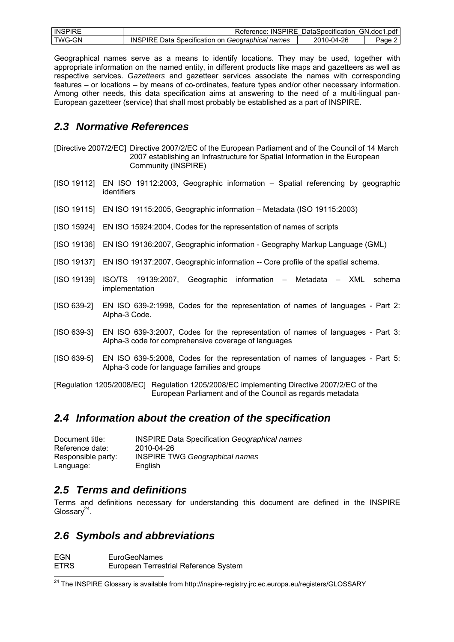| <b>INSPIRE</b> | <b>INSPIRE</b><br>Reference:                                 | DataSpecification | GN.doc1.pdf |
|----------------|--------------------------------------------------------------|-------------------|-------------|
| <b>TWG-GN</b>  | <b>INSPIRE</b><br>∟ Data Specification on Geographical names | 2010-04-26        | 'ade ∠      |

Geographical names serve as a means to identify locations. They may be used, together with appropriate information on the named entity, in different products like maps and gazetteers as well as respective services. *Gazetteers* and gazetteer services associate the names with corresponding features – or locations – by means of co-ordinates, feature types and/or other necessary information. Among other needs, this data specification aims at answering to the need of a multi-lingual pan-European gazetteer (service) that shall most probably be established as a part of INSPIRE.

## *2.3 Normative References*

[Directive 2007/2/EC] Directive 2007/2/EC of the European Parliament and of the Council of 14 March 2007 establishing an Infrastructure for Spatial Information in the European Community (INSPIRE)

- [ISO 19112] EN ISO 19112:2003, Geographic information Spatial referencing by geographic identifiers
- [ISO 19115] EN ISO 19115:2005, Geographic information Metadata (ISO 19115:2003)
- [ISO 15924] EN ISO 15924:2004, Codes for the representation of names of scripts
- [ISO 19136] EN ISO 19136:2007, Geographic information Geography Markup Language (GML)
- [ISO 19137] EN ISO 19137:2007, Geographic information -- Core profile of the spatial schema.
- [ISO 19139] ISO/TS 19139:2007, Geographic information Metadata XML schema implementation
- [ISO 639-2] EN ISO 639-2:1998, Codes for the representation of names of languages Part 2: Alpha-3 Code.
- [ISO 639-3] EN ISO 639-3:2007, Codes for the representation of names of languages Part 3: Alpha-3 code for comprehensive coverage of languages
- [ISO 639-5] EN ISO 639-5:2008, Codes for the representation of names of languages Part 5: Alpha-3 code for language families and groups

[Regulation 1205/2008/EC] Regulation 1205/2008/EC implementing Directive 2007/2/EC of the European Parliament and of the Council as regards metadata

## *2.4 Information about the creation of the specification*

| Document title:    | <b>INSPIRE Data Specification Geographical names</b> |
|--------------------|------------------------------------------------------|
| Reference date:    | 2010-04-26                                           |
| Responsible party: | <b>INSPIRE TWG Geographical names</b>                |
| Language:          | English                                              |

## *2.5 Terms and definitions*

 $\overline{a}$ 

Terms and definitions necessary for understanding this document are defined in the INSPIRE Glossarv $^{24}$ .

## *2.6 Symbols and abbreviations*

| EGN         | <b>EuroGeoNames</b>                   |
|-------------|---------------------------------------|
| <b>ETRS</b> | European Terrestrial Reference System |

 $^{24}$  The INSPIRE Glossary is available from http://inspire-registry.jrc.ec.europa.eu/registers/GLOSSARY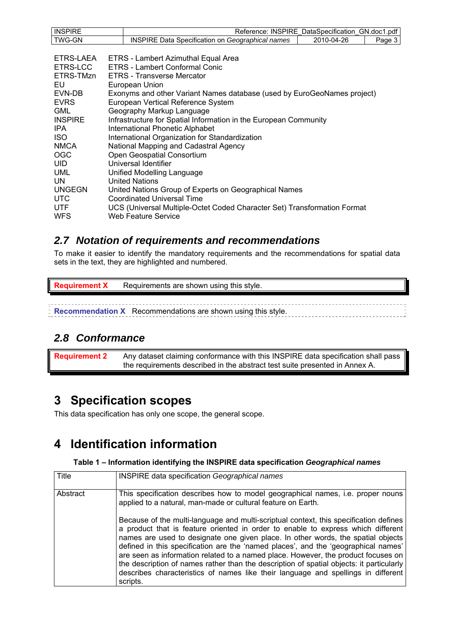# *2.7 Notation of requirements and recommendations*

To make it easier to identify the mandatory requirements and the recommendations for spatial data sets in the text, they are highlighted and numbered.

**Requirement X** Requirements are shown using this style. **Recommendation X** Recommendations are shown using this style.

# *2.8 Conformance*

**Requirement 2** Any dataset claiming conformance with this INSPIRE data specification shall pass the requirements described in the abstract test suite presented in Annex A.

# **3 Specification scopes**

This data specification has only one scope, the general scope.

# **4 Identification information**

**Table 1 – Information identifying the INSPIRE data specification** *Geographical names*

| Title    | <b>INSPIRE data specification Geographical names</b>                                                                                                                                                                                                                                                                                                                                                                                                                                                                                                                                                                                  |
|----------|---------------------------------------------------------------------------------------------------------------------------------------------------------------------------------------------------------------------------------------------------------------------------------------------------------------------------------------------------------------------------------------------------------------------------------------------------------------------------------------------------------------------------------------------------------------------------------------------------------------------------------------|
| Abstract | This specification describes how to model geographical names, i.e. proper nouns<br>applied to a natural, man-made or cultural feature on Earth.                                                                                                                                                                                                                                                                                                                                                                                                                                                                                       |
|          | Because of the multi-language and multi-scriptual context, this specification defines<br>a product that is feature oriented in order to enable to express which different<br>names are used to designate one given place. In other words, the spatial objects<br>defined in this specification are the 'named places', and the 'geographical names'<br>are seen as information related to a named place. However, the product focuses on<br>the description of names rather than the description of spatial objects: it particularly<br>describes characteristics of names like their language and spellings in different<br>scripts. |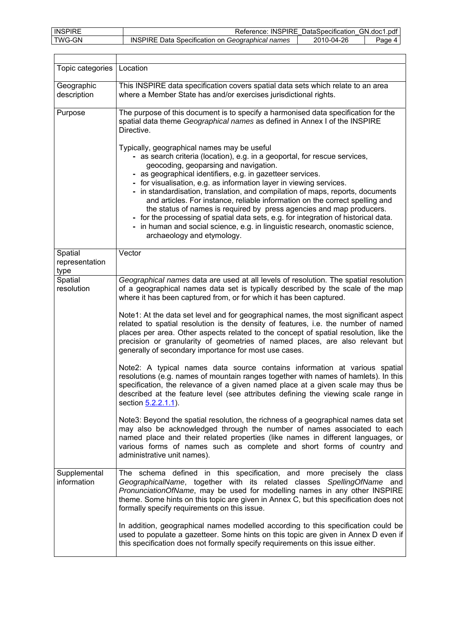| <b>INSPIRE</b> | <b>INSPIRE</b><br>Reference:                                 | DataSpecification | GN.doc1.pdf |
|----------------|--------------------------------------------------------------|-------------------|-------------|
| <b>TWG-GN</b>  | . Data Specification on Geographical names<br><b>INSPIRE</b> | 2010-04-26        | Paαe        |

| Topic categories                  | Location                                                                                                                                                                                                                                                                                                                                                                                                                                                                                                                                                                                                                                                                                                                                                 |
|-----------------------------------|----------------------------------------------------------------------------------------------------------------------------------------------------------------------------------------------------------------------------------------------------------------------------------------------------------------------------------------------------------------------------------------------------------------------------------------------------------------------------------------------------------------------------------------------------------------------------------------------------------------------------------------------------------------------------------------------------------------------------------------------------------|
| Geographic<br>description         | This INSPIRE data specification covers spatial data sets which relate to an area<br>where a Member State has and/or exercises jurisdictional rights.                                                                                                                                                                                                                                                                                                                                                                                                                                                                                                                                                                                                     |
| Purpose                           | The purpose of this document is to specify a harmonised data specification for the<br>spatial data theme Geographical names as defined in Annex I of the INSPIRE<br>Directive.                                                                                                                                                                                                                                                                                                                                                                                                                                                                                                                                                                           |
|                                   | Typically, geographical names may be useful<br>- as search criteria (location), e.g. in a geoportal, for rescue services,<br>geocoding, geoparsing and navigation.<br>- as geographical identifiers, e.g. in gazetteer services.<br>- for visualisation, e.g. as information layer in viewing services.<br>- in standardisation, translation, and compilation of maps, reports, documents<br>and articles. For instance, reliable information on the correct spelling and<br>the status of names is required by press agencies and map producers.<br>- for the processing of spatial data sets, e.g. for integration of historical data.<br>- in human and social science, e.g. in linguistic research, onomastic science,<br>archaeology and etymology. |
| Spatial<br>representation<br>type | Vector                                                                                                                                                                                                                                                                                                                                                                                                                                                                                                                                                                                                                                                                                                                                                   |
| Spatial<br>resolution             | Geographical names data are used at all levels of resolution. The spatial resolution<br>of a geographical names data set is typically described by the scale of the map<br>where it has been captured from, or for which it has been captured.                                                                                                                                                                                                                                                                                                                                                                                                                                                                                                           |
|                                   | Note1: At the data set level and for geographical names, the most significant aspect<br>related to spatial resolution is the density of features, i.e. the number of named<br>places per area. Other aspects related to the concept of spatial resolution, like the<br>precision or granularity of geometries of named places, are also relevant but<br>generally of secondary importance for most use cases.                                                                                                                                                                                                                                                                                                                                            |
|                                   | Note2: A typical names data source contains information at various spatial<br>resolutions (e.g. names of mountain ranges together with names of hamlets). In this<br>specification, the relevance of a given named place at a given scale may thus be<br>described at the feature level (see attributes defining the viewing scale range in<br>section 5.2.2.1.1).                                                                                                                                                                                                                                                                                                                                                                                       |
|                                   | Note3: Beyond the spatial resolution, the richness of a geographical names data set<br>may also be acknowledged through the number of names associated to each<br>named place and their related properties (like names in different languages, or<br>various forms of names such as complete and short forms of country and<br>administrative unit names).                                                                                                                                                                                                                                                                                                                                                                                               |
| Supplemental<br>information       | The schema defined in this specification, and more precisely the class<br>GeographicalName, together with its related classes SpellingOfName and<br>PronunciationOfName, may be used for modelling names in any other INSPIRE<br>theme. Some hints on this topic are given in Annex C, but this specification does not<br>formally specify requirements on this issue.                                                                                                                                                                                                                                                                                                                                                                                   |
|                                   | In addition, geographical names modelled according to this specification could be<br>used to populate a gazetteer. Some hints on this topic are given in Annex D even if<br>this specification does not formally specify requirements on this issue either.                                                                                                                                                                                                                                                                                                                                                                                                                                                                                              |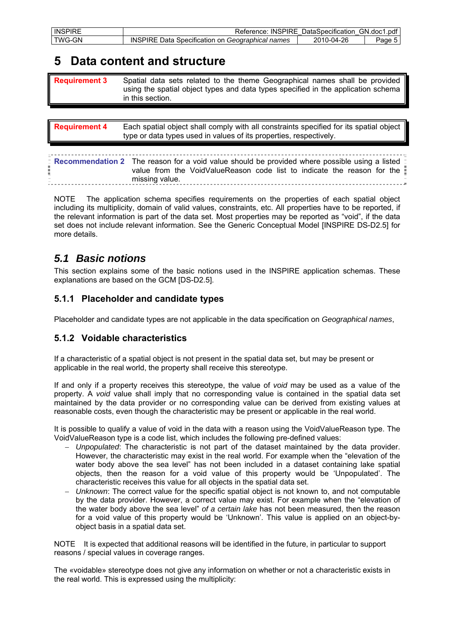| <b>INSPIRE</b> | Reference: INSPIRE DataSpecification GN.doc1.pdf        |            |        |
|----------------|---------------------------------------------------------|------------|--------|
| <b>TWG-GN</b>  | <b>INSPIRE Data Specification on Geographical names</b> | 2010-04-26 | Page 5 |

# **5 Data content and structure**

| <b>Requirement 3</b> | Spatial data sets related to the theme Geographical names shall be provided       |
|----------------------|-----------------------------------------------------------------------------------|
|                      | using the spatial object types and data types specified in the application schema |
|                      | in this section.                                                                  |

| <b>Requirement 4</b> | Each spatial object shall comply with all constraints specified for its spatial object, |
|----------------------|-----------------------------------------------------------------------------------------|
|                      | type or data types used in values of its properties, respectively.                      |

| E Recommendation 2 The reason for a void value should be provided where possible using a listed $\bar{z}$<br>value from the VoidValueReason code list to indicate the reason for the |  |
|--------------------------------------------------------------------------------------------------------------------------------------------------------------------------------------|--|
| missing value.                                                                                                                                                                       |  |

NOTE The application schema specifies requirements on the properties of each spatial object including its multiplicity, domain of valid values, constraints, etc. All properties have to be reported, if the relevant information is part of the data set. Most properties may be reported as "void", if the data set does not include relevant information. See the Generic Conceptual Model [INSPIRE DS-D2.5] for more details.

# *5.1 Basic notions*

This section explains some of the basic notions used in the INSPIRE application schemas. These explanations are based on the GCM [DS-D2.5].

## **5.1.1 Placeholder and candidate types**

Placeholder and candidate types are not applicable in the data specification on *Geographical names*,

## **5.1.2 Voidable characteristics**

If a characteristic of a spatial object is not present in the spatial data set, but may be present or applicable in the real world, the property shall receive this stereotype.

If and only if a property receives this stereotype, the value of *void* may be used as a value of the property. A *void* value shall imply that no corresponding value is contained in the spatial data set maintained by the data provider or no corresponding value can be derived from existing values at reasonable costs, even though the characteristic may be present or applicable in the real world.

It is possible to qualify a value of void in the data with a reason using the VoidValueReason type. The VoidValueReason type is a code list, which includes the following pre-defined values:

- − *Unpopulated*: The characteristic is not part of the dataset maintained by the data provider. However, the characteristic may exist in the real world. For example when the "elevation of the water body above the sea level" has not been included in a dataset containing lake spatial objects, then the reason for a void value of this property would be 'Unpopulated'. The characteristic receives this value for all objects in the spatial data set.
- − *Unknown*: The correct value for the specific spatial object is not known to, and not computable by the data provider. However, a correct value may exist. For example when the "elevation of the water body above the sea level" *of a certain lake* has not been measured, then the reason for a void value of this property would be 'Unknown'. This value is applied on an object-byobject basis in a spatial data set.

NOTE It is expected that additional reasons will be identified in the future, in particular to support reasons / special values in coverage ranges.

The «voidable» stereotype does not give any information on whether or not a characteristic exists in the real world. This is expressed using the multiplicity: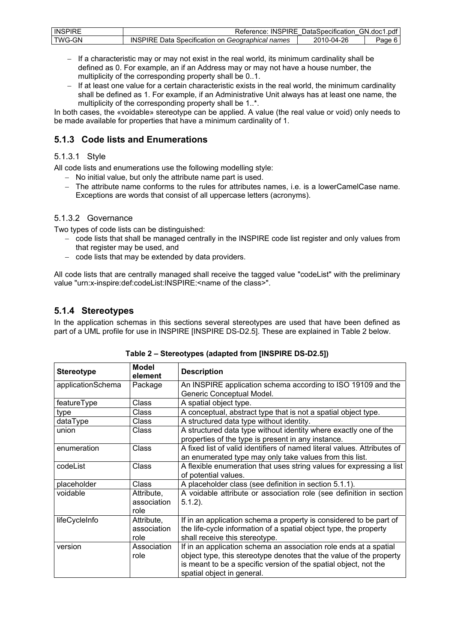| <b>INSPIRE</b> | <b>INSPIRE</b><br>Reference:                        | DataSpecification | GN.doc1.pdf |
|----------------|-----------------------------------------------------|-------------------|-------------|
| TWG-GN         | Data Specification on Geographical names<br>INSPIRE | 2010-04-26        | Page        |

- − If a characteristic may or may not exist in the real world, its minimum cardinality shall be defined as 0. For example, an if an Address may or may not have a house number, the multiplicity of the corresponding property shall be 0..1.
- − If at least one value for a certain characteristic exists in the real world, the minimum cardinality shall be defined as 1. For example, if an Administrative Unit always has at least one name, the multiplicity of the corresponding property shall be 1..\*.

In both cases, the «voidable» stereotype can be applied. A value (the real value or void) only needs to be made available for properties that have a minimum cardinality of 1.

## **5.1.3 Code lists and Enumerations**

### 5.1.3.1 Style

All code lists and enumerations use the following modelling style:

- − No initial value, but only the attribute name part is used.
- − The attribute name conforms to the rules for attributes names, i.e. is a lowerCamelCase name. Exceptions are words that consist of all uppercase letters (acronyms).

### 5.1.3.2 Governance

Two types of code lists can be distinguished:

- − code lists that shall be managed centrally in the INSPIRE code list register and only values from that register may be used, and
- − code lists that may be extended by data providers.

All code lists that are centrally managed shall receive the tagged value "codeList" with the preliminary value "urn:x-inspire:def:codeList:INSPIRE:<name of the class>".

## **5.1.4 Stereotypes**

In the application schemas in this sections several stereotypes are used that have been defined as part of a UML profile for use in INSPIRE [INSPIRE DS-D2.5]. These are explained in Table 2 below.

| <b>Stereotype</b> | <b>Model</b><br>element | <b>Description</b>                                                       |
|-------------------|-------------------------|--------------------------------------------------------------------------|
| applicationSchema | Package                 | An INSPIRE application schema according to ISO 19109 and the             |
|                   |                         | Generic Conceptual Model.                                                |
| featureType       | Class                   | A spatial object type.                                                   |
| type              | Class                   | A conceptual, abstract type that is not a spatial object type.           |
| dataType          | Class                   | A structured data type without identity.                                 |
| union             | Class                   | A structured data type without identity where exactly one of the         |
|                   |                         | properties of the type is present in any instance.                       |
| enumeration       | Class                   | A fixed list of valid identifiers of named literal values. Attributes of |
|                   |                         | an enumerated type may only take values from this list.                  |
| codeList          | Class                   | A flexible enumeration that uses string values for expressing a list     |
|                   |                         | of potential values.                                                     |
| placeholder       | Class                   | A placeholder class (see definition in section 5.1.1).                   |
| voidable          | Attribute,              | A voidable attribute or association role (see definition in section      |
|                   | association             | $5.1.2$ ).                                                               |
|                   | role                    |                                                                          |
| lifeCycleInfo     | Attribute,              | If in an application schema a property is considered to be part of       |
|                   | association             | the life-cycle information of a spatial object type, the property        |
|                   | role                    | shall receive this stereotype.                                           |
| version           | Association             | If in an application schema an association role ends at a spatial        |
|                   | role                    | object type, this stereotype denotes that the value of the property      |
|                   |                         | is meant to be a specific version of the spatial object, not the         |
|                   |                         | spatial object in general.                                               |

**Table 2 – Stereotypes (adapted from [INSPIRE DS-D2.5])**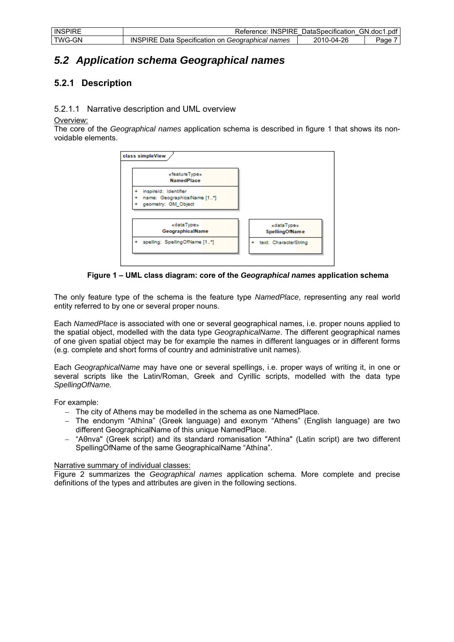| <b>INSPIRE</b> | <b>INSPIRE</b><br>Reference:                            | DataSpecification | GN.doc1.pdf |
|----------------|---------------------------------------------------------|-------------------|-------------|
| TWG-GN         | INSPIRE.<br>Le Data Specification on Geographical names | 2010-04-26        | Page        |

# *5.2 Application schema Geographical names*

## **5.2.1 Description**

5.2.1.1 Narrative description and UML overview

#### Overview:

The core of the *Geographical names* application schema is described in figure 1 that shows its nonvoidable elements.

| «featureType»<br><b>NamedPlace</b> |                                     |
|------------------------------------|-------------------------------------|
| inspireld: Identifier<br>÷         |                                     |
| name: GeographicalName [1*]<br>÷   |                                     |
|                                    |                                     |
| geometry: GM_Object<br>÷           |                                     |
| «dataType»<br>GeographicalName     | «dataType»<br><b>SpellingOfName</b> |

 **Figure 1 – UML class diagram: core of the** *Geographical names* **application schema** 

The only feature type of the schema is the feature type *NamedPlace*, representing any real world entity referred to by one or several proper nouns.

Each *NamedPlace* is associated with one or several geographical names, i.e. proper nouns applied to the spatial object, modelled with the data type *GeographicalName*. The different geographical names of one given spatial object may be for example the names in different languages or in different forms (e.g. complete and short forms of country and administrative unit names).

Each *GeographicalName* may have one or several spellings, i.e. proper ways of writing it, in one or several scripts like the Latin/Roman, Greek and Cyrillic scripts, modelled with the data type *SpellingOfName.* 

For example:

- − The city of Athens may be modelled in the schema as one NamedPlace.
- − The endonym "Athína" (Greek language) and exonym "Athens" (English language) are two different GeographicalName of this unique NamedPlace.
- − "Aθnνa" (Greek script) and its standard romanisation "Athína" (Latin script) are two different SpellingOfName of the same GeographicalName "Athína".

#### Narrative summary of individual classes:

Figure 2 summarizes the *Geographical names* application schema. More complete and precise definitions of the types and attributes are given in the following sections.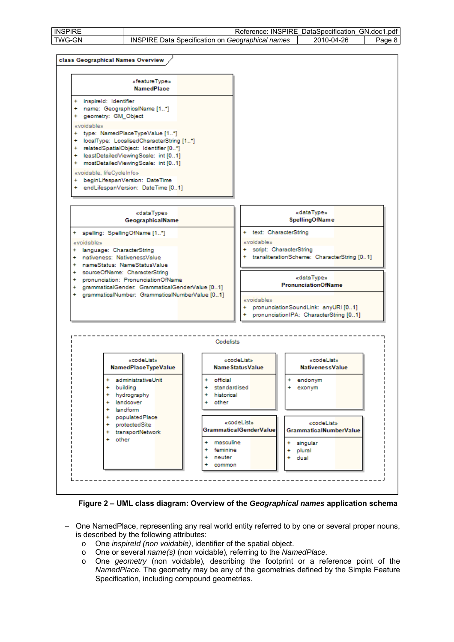



 **Figure 2 – UML class diagram: Overview of the** *Geographical names* **application schema** 

- One NamedPlace, representing any real world entity referred to by one or several proper nouns, is described by the following attributes:
	- o One *inspireId (non voidable)*, identifier of the spatial object.
	- o One or several *name(s)* (non voidable)*,* referring to the *NamedPlace.*
	- o One *geometry* (non voidable)*,* describing the footprint or a reference point of the *NamedPlace.* The geometry may be any of the geometries defined by the Simple Feature Specification, including compound geometries.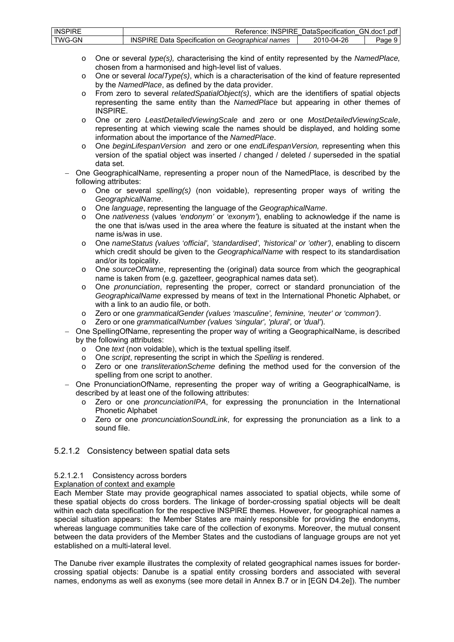| <b>INSPIRE</b> | <b>INSPIRE</b><br>Reference:                            | DataSpecification | .pdf<br>GN.doc1. |
|----------------|---------------------------------------------------------|-------------------|------------------|
| TWG-GN         | <b>INSPIRE Data Specification on Geographical names</b> | 2010-04-26        | Paαe             |

- o One or several *type(s),* characterising the kind of entity represented by the *NamedPlace,*  chosen from a harmonised and high-level list of values.
- o One or several *localType(s)*, which is a characterisation of the kind of feature represented by the *NamedPlace*, as defined by the data provider.
- o From zero to several *relatedSpatialObject(s)*, which are the identifiers of spatial objects representing the same entity than the *NamedPlace* but appearing in other themes of INSPIRE.
- o One or zero *LeastDetailedViewingScale* and zero or one *MostDetailedViewingScale*, representing at which viewing scale the names should be displayed, and holding some information about the importance of the *NamedPlace*.
- o One *beginLifespanVersion* and zero or one *endLifespanVersion,* representing when this version of the spatial object was inserted / changed / deleted / superseded in the spatial data set.
- − One GeographicalName, representing a proper noun of the NamedPlace, is described by the following attributes:
	- o One or several *spelling(s)* (non voidable), representing proper ways of writing the *GeographicalName*.
	- o One *language*, representing the language of the *GeographicalName*.
	- o One *nativeness* (values *'endonym'* or *'exonym'*), enabling to acknowledge if the name is the one that is/was used in the area where the feature is situated at the instant when the name is/was in use.
	- o One *nameStatus (values 'official', 'standardised', 'historical' or 'other')*, enabling to discern which credit should be given to the *GeographicalName* with respect to its standardisation and/or its topicality.
	- o One *sourceOfName*, representing the (original) data source from which the geographical name is taken from (e.g. gazetteer, geographical names data set).
	- o One *pronunciation*, representing the proper, correct or standard pronunciation of the *GeographicalName* expressed by means of text in the International Phonetic Alphabet, or with a link to an audio file, or both.
	- o Zero or one *grammaticalGender (values 'masculine', feminine, 'neuter' or 'common')*.
	- o Zero or one *grammaticalNumber (values 'singular', 'plural',* or *'dual'*).
- − One SpellingOfName, representing the proper way of writing a GeographicalName, is described by the following attributes:
	- o One *text* (non voidable), which is the textual spelling itself.
	- o One *script*, representing the script in which the *Spelling* is rendered.
	- o Zero or one *transliterationScheme* defining the method used for the conversion of the spelling from one script to another.
- − One PronunciationOfName, representing the proper way of writing a GeographicalName, is described by at least one of the following attributes:
	- o Zero or one *proncunciationIPA*, for expressing the pronunciation in the International Phonetic Alphabet
	- o Zero or one *proncunciationSoundLink*, for expressing the pronunciation as a link to a sound file.

#### 5.2.1.2 Consistency between spatial data sets

#### 5.2.1.2.1 Consistency across borders

Explanation of context and example

Each Member State may provide geographical names associated to spatial objects, while some of these spatial objects do cross borders. The linkage of border-crossing spatial objects will be dealt within each data specification for the respective INSPIRE themes. However, for geographical names a special situation appears: the Member States are mainly responsible for providing the endonyms, whereas language communities take care of the collection of exonyms. Moreover, the mutual consent between the data providers of the Member States and the custodians of language groups are not yet established on a multi-lateral level.

The Danube river example illustrates the complexity of related geographical names issues for bordercrossing spatial objects: Danube is a spatial entity crossing borders and associated with several names, endonyms as well as exonyms (see more detail in Annex B.7 or in [EGN D4.2e]). The number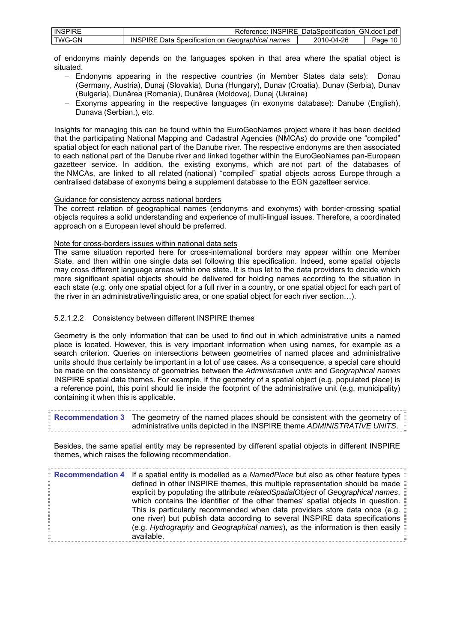| <b>INSPIRE</b> | Reference:                                                     | : INSPIRE DataSpecification | GN.doc1.pdf  |
|----------------|----------------------------------------------------------------|-----------------------------|--------------|
| TWG-GN         | E Data Specification on Geographical names<br><b>INSPIRE D</b> | 2010-04-26                  | 10 I<br>Page |

of endonyms mainly depends on the languages spoken in that area where the spatial object is situated.

- − Endonyms appearing in the respective countries (in Member States data sets): Donau (Germany, Austria), Dunaj (Slovakia), Duna (Hungary), Dunav (Croatia), Dunav (Serbia), Dunav (Bulgaria), Dunărea (Romania), Dunărea (Moldova), Dunaj (Ukraine)
- − Exonyms appearing in the respective languages (in exonyms database): Danube (English), Dunava (Serbian.), etc.

Insights for managing this can be found within the EuroGeoNames project where it has been decided that the participating National Mapping and Cadastral Agencies (NMCAs) do provide one "compiled" spatial object for each national part of the Danube river. The respective endonyms are then associated to each national part of the Danube river and linked together within the EuroGeoNames pan-European gazetteer service. In addition, the existing exonyms, which are not part of the databases of the NMCAs, are linked to all related (national) "compiled" spatial objects across Europe through a centralised database of exonyms being a supplement database to the EGN gazetteer service.

#### Guidance for consistency across national borders

The correct relation of geographical names (endonyms and exonyms) with border-crossing spatial objects requires a solid understanding and experience of multi-lingual issues. Therefore, a coordinated approach on a European level should be preferred.

#### Note for cross-borders issues within national data sets

The same situation reported here for cross-international borders may appear within one Member State, and then within one single data set following this specification. Indeed, some spatial objects may cross different language areas within one state. It is thus let to the data providers to decide which more significant spatial objects should be delivered for holding names according to the situation in each state (e.g. only one spatial object for a full river in a country, or one spatial object for each part of the river in an administrative/linguistic area, or one spatial object for each river section…).

#### 5.2.1.2.2 Consistency between different INSPIRE themes

Geometry is the only information that can be used to find out in which administrative units a named place is located. However, this is very important information when using names, for example as a search criterion. Queries on intersections between geometries of named places and administrative units should thus certainly be important in a lot of use cases. As a consequence, a special care should be made on the consistency of geometries between the *Administrative units* and *Geographical names* INSPIRE spatial data themes. For example, if the geometry of a spatial object (e.g. populated place) is a reference point, this point should lie inside the footprint of the administrative unit (e.g. municipality) containing it when this is applicable.

| <b>Example 1 Secommendation 3</b> The geometry of the named places should be consistent with the geometry of $\bar{z}$ |
|------------------------------------------------------------------------------------------------------------------------|
| administrative units depicted in the INSPIRE theme ADMINISTRATIVE UNITS.                                               |

Besides, the same spatial entity may be represented by different spatial objects in different INSPIRE themes, which raises the following recommendation.

| <b>E</b> Recommendation 4 If a spatial entity is modelled as a NamedPlace but also as other feature types $\bar{z}$<br>defined in other INSPIRE themes, this multiple representation should be made "<br>explicit by populating the attribute relatedSpatialObject of Geographical names,<br>which contains the identifier of the other themes' spatial objects in question.<br>This is particularly recommended when data providers store data once (e.g.<br>one river) but publish data according to several INSPIRE data specifications<br>(e.g. Hydrography and Geographical names), as the information is then easily =<br>available. |
|--------------------------------------------------------------------------------------------------------------------------------------------------------------------------------------------------------------------------------------------------------------------------------------------------------------------------------------------------------------------------------------------------------------------------------------------------------------------------------------------------------------------------------------------------------------------------------------------------------------------------------------------|
|                                                                                                                                                                                                                                                                                                                                                                                                                                                                                                                                                                                                                                            |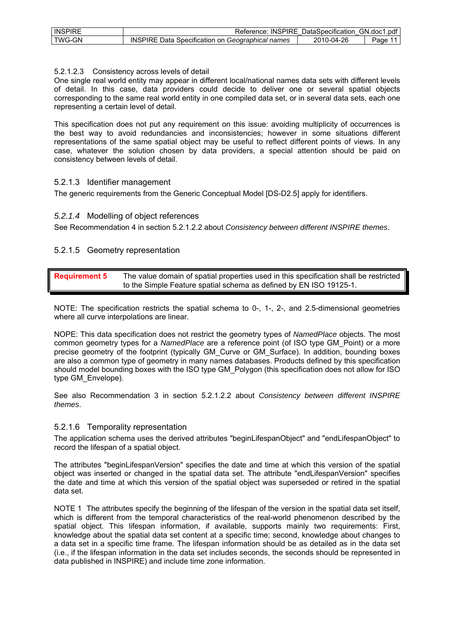| <b>INSPIRE</b> | Reference:                                              | : INSPIRE DataSpecification | GN.doc1.pdf |
|----------------|---------------------------------------------------------|-----------------------------|-------------|
| TWG-GN         | <b>INSPIRE Data Specification on Geographical names</b> | 2010-04-26                  | Page        |

#### 5.2.1.2.3 Consistency across levels of detail

One single real world entity may appear in different local/national names data sets with different levels of detail. In this case, data providers could decide to deliver one or several spatial objects corresponding to the same real world entity in one compiled data set, or in several data sets, each one representing a certain level of detail.

This specification does not put any requirement on this issue: avoiding multiplicity of occurrences is the best way to avoid redundancies and inconsistencies; however in some situations different representations of the same spatial object may be useful to reflect different points of views. In any case, whatever the solution chosen by data providers, a special attention should be paid on consistency between levels of detail.

#### 5.2.1.3 Identifier management

The generic requirements from the Generic Conceptual Model [DS-D2.5] apply for identifiers.

### *5.2.1.4* Modelling of object references

See Recommendation 4 in section 5.2.1.2.2 about *Consistency between different INSPIRE themes*.

### 5.2.1.5 Geometry representation

**Requirement 5** The value domain of spatial properties used in this specification shall be restricted to the Simple Feature spatial schema as defined by EN ISO 19125-1.

NOTE: The specification restricts the spatial schema to 0-, 1-, 2-, and 2.5-dimensional geometries where all curve interpolations are linear.

NOPE: This data specification does not restrict the geometry types of *NamedPlace* objects. The most common geometry types for a *NamedPlace* are a reference point (of ISO type GM\_Point) or a more precise geometry of the footprint (typically GM\_Curve or GM\_Surface). In addition, bounding boxes are also a common type of geometry in many names databases. Products defined by this specification should model bounding boxes with the ISO type GM\_Polygon (this specification does not allow for ISO type GM\_Envelope).

See also Recommendation 3 in section 5.2.1.2.2 about *Consistency between different INSPIRE themes*.

#### 5.2.1.6 Temporality representation

The application schema uses the derived attributes "beginLifespanObject" and "endLifespanObject" to record the lifespan of a spatial object.

The attributes "beginLifespanVersion" specifies the date and time at which this version of the spatial object was inserted or changed in the spatial data set. The attribute "endLifespanVersion" specifies the date and time at which this version of the spatial object was superseded or retired in the spatial data set.

NOTE 1 The attributes specify the beginning of the lifespan of the version in the spatial data set itself, which is different from the temporal characteristics of the real-world phenomenon described by the spatial object. This lifespan information, if available, supports mainly two requirements: First, knowledge about the spatial data set content at a specific time; second, knowledge about changes to a data set in a specific time frame. The lifespan information should be as detailed as in the data set (i.e., if the lifespan information in the data set includes seconds, the seconds should be represented in data published in INSPIRE) and include time zone information.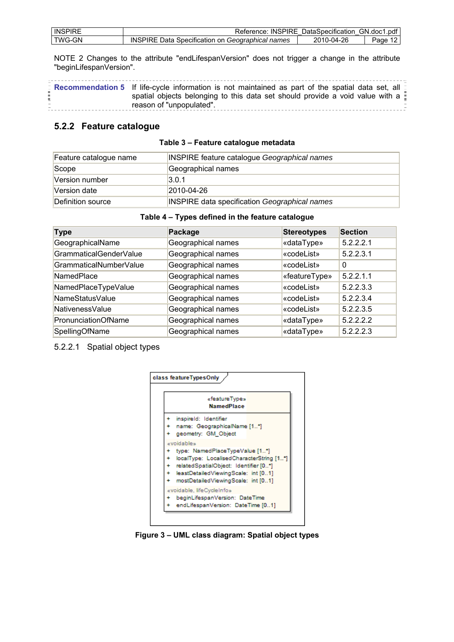| <b>INSPIRE</b> | <b>INSPIRE</b><br>⊀eterence:                                         | $\cdot$<br>⊟ataSpecification | GN.<br>.doc1<br>.pdf |
|----------------|----------------------------------------------------------------------|------------------------------|----------------------|
| <b>TWG-GN</b>  | INS<br>Data<br>.SPIRE 1<br>names<br>Specification on<br>Geographical | 2010-04-26                   | Page                 |

NOTE 2 Changes to the attribute "endLifespanVersion" does not trigger a change in the attribute "beginLifespanVersion".

| E Recommendation 5 If life-cycle information is not maintained as part of the spatial data set, all $\overline{z}$<br>spatial objects belonging to this data set should provide a void value with a $\frac{1}{2}$ |  |
|-------------------------------------------------------------------------------------------------------------------------------------------------------------------------------------------------------------------|--|
| reason of "unpopulated".                                                                                                                                                                                          |  |
|                                                                                                                                                                                                                   |  |

## **5.2.2 Feature catalogue**

#### **Table 3 – Feature catalogue metadata**

| Feature catalogue name | <b>INSPIRE feature catalogue Geographical names</b>  |
|------------------------|------------------------------------------------------|
| Scope                  | Geographical names                                   |
| Version number         | 3.0.1                                                |
| Version date           | 2010-04-26                                           |
| Definition source      | <b>INSPIRE data specification Geographical names</b> |

#### **Table 4 – Types defined in the feature catalogue**

| <b>Type</b>            | Package            | <b>Stereotypes</b> | <b>Section</b> |
|------------------------|--------------------|--------------------|----------------|
| GeographicalName       | Geographical names | «dataType»         | 5.2.2.2.1      |
| GrammaticalGenderValue | Geographical names | «codeList»         | 5.2.2.3.1      |
| GrammaticalNumberValue | Geographical names | «codeList»         | 0              |
| NamedPlace             | Geographical names | «featureType»      | 5.2.2.1.1      |
| NamedPlaceTypeValue    | Geographical names | «codeList»         | 5.2.2.3.3      |
| NameStatusValue        | Geographical names | «codeList»         | 5.2.2.3.4      |
| NativenessValue        | Geographical names | «codeList»         | 5.2.2.3.5      |
| PronunciationOfName    | Geographical names | «dataType»         | 5.2.2.2.2      |
| SpellingOfName         | Geographical names | «dataType»         | 5.2.2.2.3      |

#### 5.2.2.1 Spatial object types



**Figure 3 – UML class diagram: Spatial object types**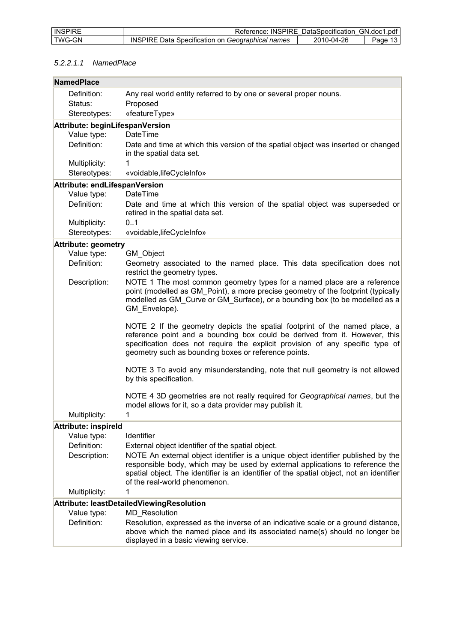| <b>INSPIRE</b> | : INSPIRE<br>Reference:                              | DataSpecification | ⊢GN.doc1.pdf |
|----------------|------------------------------------------------------|-------------------|--------------|
| TWG-GN         | Data Specification on Geographical names<br>INSPIRE. | 2010-04-26        | Page         |

### *5.2.2.1.1 NamedPlace*

| <b>NamedPlace</b> |                             |                                                                                                                                                                                                                                                                                                   |
|-------------------|-----------------------------|---------------------------------------------------------------------------------------------------------------------------------------------------------------------------------------------------------------------------------------------------------------------------------------------------|
|                   | Definition:                 | Any real world entity referred to by one or several proper nouns.                                                                                                                                                                                                                                 |
| Status:           |                             | Proposed                                                                                                                                                                                                                                                                                          |
|                   | Stereotypes:                | «featureType»                                                                                                                                                                                                                                                                                     |
|                   |                             | Attribute: beginLifespanVersion                                                                                                                                                                                                                                                                   |
|                   | Value type:                 | <b>DateTime</b>                                                                                                                                                                                                                                                                                   |
|                   | Definition:                 | Date and time at which this version of the spatial object was inserted or changed<br>in the spatial data set.                                                                                                                                                                                     |
|                   | Multiplicity:               |                                                                                                                                                                                                                                                                                                   |
|                   | Stereotypes:                | «voidable,lifeCycleInfo»                                                                                                                                                                                                                                                                          |
|                   |                             | Attribute: endLifespanVersion                                                                                                                                                                                                                                                                     |
|                   | Value type:                 | <b>DateTime</b>                                                                                                                                                                                                                                                                                   |
|                   | Definition:                 | Date and time at which this version of the spatial object was superseded or<br>retired in the spatial data set.                                                                                                                                                                                   |
|                   | Multiplicity:               | 0.1                                                                                                                                                                                                                                                                                               |
|                   | Stereotypes:                | «voidable,lifeCycleInfo»                                                                                                                                                                                                                                                                          |
|                   | <b>Attribute: geometry</b>  |                                                                                                                                                                                                                                                                                                   |
|                   | Value type:                 | GM Object                                                                                                                                                                                                                                                                                         |
|                   | Definition:                 | Geometry associated to the named place. This data specification does not<br>restrict the geometry types.                                                                                                                                                                                          |
|                   | Description:                | NOTE 1 The most common geometry types for a named place are a reference<br>point (modelled as GM_Point), a more precise geometry of the footprint (typically<br>modelled as GM_Curve or GM_Surface), or a bounding box (to be modelled as a<br>GM Envelope).                                      |
|                   |                             | NOTE 2 If the geometry depicts the spatial footprint of the named place, a<br>reference point and a bounding box could be derived from it. However, this<br>specification does not require the explicit provision of any specific type of<br>geometry such as bounding boxes or reference points. |
|                   |                             | NOTE 3 To avoid any misunderstanding, note that null geometry is not allowed<br>by this specification.                                                                                                                                                                                            |
|                   | Multiplicity:               | NOTE 4 3D geometries are not really required for Geographical names, but the<br>model allows for it, so a data provider may publish it.<br>1                                                                                                                                                      |
|                   | <b>Attribute: inspireld</b> |                                                                                                                                                                                                                                                                                                   |
|                   | Value type:                 | Identifier                                                                                                                                                                                                                                                                                        |
|                   | Definition:                 | External object identifier of the spatial object.                                                                                                                                                                                                                                                 |
|                   | Description:                | NOTE An external object identifier is a unique object identifier published by the<br>responsible body, which may be used by external applications to reference the<br>spatial object. The identifier is an identifier of the spatial object, not an identifier<br>of the real-world phenomenon.   |
|                   | Multiplicity:               | 1                                                                                                                                                                                                                                                                                                 |
|                   |                             | Attribute: leastDetailedViewingResolution                                                                                                                                                                                                                                                         |
|                   | Value type:                 | <b>MD</b> Resolution                                                                                                                                                                                                                                                                              |
|                   | Definition:                 | Resolution, expressed as the inverse of an indicative scale or a ground distance,<br>above which the named place and its associated name(s) should no longer be<br>displayed in a basic viewing service.                                                                                          |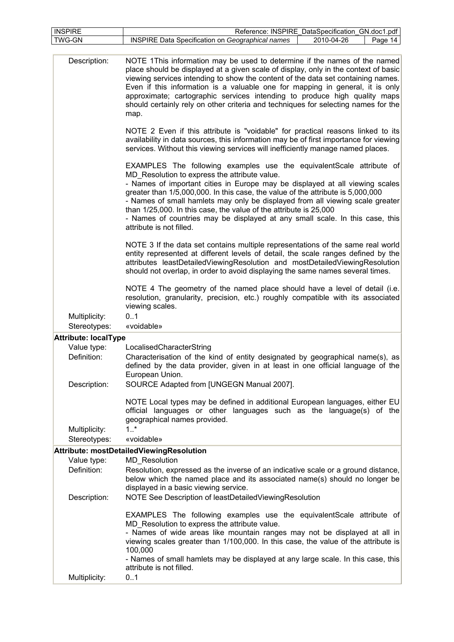| <b>INSPIRE</b>                | Reference: INSPIRE_DataSpecification_GN.doc1.pdf                                                                                                                                                                                                                                                                                                                                                                                                                                                                                                           |
|-------------------------------|------------------------------------------------------------------------------------------------------------------------------------------------------------------------------------------------------------------------------------------------------------------------------------------------------------------------------------------------------------------------------------------------------------------------------------------------------------------------------------------------------------------------------------------------------------|
| <b>TWG-GN</b>                 | <b>INSPIRE Data Specification on Geographical names</b><br>2010-04-26<br>Page $14$                                                                                                                                                                                                                                                                                                                                                                                                                                                                         |
| Description:                  | NOTE 1This information may be used to determine if the names of the named<br>place should be displayed at a given scale of display, only in the context of basic<br>viewing services intending to show the content of the data set containing names.<br>Even if this information is a valuable one for mapping in general, it is only<br>approximate; cartographic services intending to produce high quality maps<br>should certainly rely on other criteria and techniques for selecting names for the<br>map.                                           |
|                               | NOTE 2 Even if this attribute is "voidable" for practical reasons linked to its<br>availability in data sources, this information may be of first importance for viewing<br>services. Without this viewing services will inefficiently manage named places.                                                                                                                                                                                                                                                                                                |
|                               | EXAMPLES The following examples use the equivalentScale attribute of<br>MD Resolution to express the attribute value.<br>- Names of important cities in Europe may be displayed at all viewing scales<br>greater than 1/5,000,000. In this case, the value of the attribute is 5,000,000<br>- Names of small hamlets may only be displayed from all viewing scale greater<br>than 1/25,000. In this case, the value of the attribute is 25,000<br>- Names of countries may be displayed at any small scale. In this case, this<br>attribute is not filled. |
|                               | NOTE 3 If the data set contains multiple representations of the same real world<br>entity represented at different levels of detail, the scale ranges defined by the<br>attributes leastDetailedViewingResolution and mostDetailedViewingResolution<br>should not overlap, in order to avoid displaying the same names several times.                                                                                                                                                                                                                      |
|                               | NOTE 4 The geometry of the named place should have a level of detail (i.e.<br>resolution, granularity, precision, etc.) roughly compatible with its associated<br>viewing scales.                                                                                                                                                                                                                                                                                                                                                                          |
| Multiplicity:<br>Stereotypes: | 0.1<br>«voidable»                                                                                                                                                                                                                                                                                                                                                                                                                                                                                                                                          |
| <b>Attribute: localType</b>   |                                                                                                                                                                                                                                                                                                                                                                                                                                                                                                                                                            |
| Value type:                   | LocalisedCharacterString                                                                                                                                                                                                                                                                                                                                                                                                                                                                                                                                   |
| Definition:                   | Characterisation of the kind of entity designated by geographical name(s), as<br>defined by the data provider, given in at least in one official language of the<br>European Union.                                                                                                                                                                                                                                                                                                                                                                        |
| Description:                  | SOURCE Adapted from [UNGEGN Manual 2007].                                                                                                                                                                                                                                                                                                                                                                                                                                                                                                                  |
|                               | NOTE Local types may be defined in additional European languages, either EU<br>official languages or other languages such as the language(s) of the<br>geographical names provided.                                                                                                                                                                                                                                                                                                                                                                        |
| Multiplicity:                 | $1.1$ *<br>«voidable»                                                                                                                                                                                                                                                                                                                                                                                                                                                                                                                                      |
| Stereotypes:                  |                                                                                                                                                                                                                                                                                                                                                                                                                                                                                                                                                            |
|                               | Attribute: mostDetailedViewingResolution                                                                                                                                                                                                                                                                                                                                                                                                                                                                                                                   |
| Value type:<br>Definition:    | <b>MD</b> Resolution<br>Resolution, expressed as the inverse of an indicative scale or a ground distance,<br>below which the named place and its associated name(s) should no longer be<br>displayed in a basic viewing service.                                                                                                                                                                                                                                                                                                                           |
| Description:                  | NOTE See Description of leastDetailedViewingResolution                                                                                                                                                                                                                                                                                                                                                                                                                                                                                                     |
| Multiplicity:                 | EXAMPLES The following examples use the equivalentScale attribute of<br>MD_Resolution to express the attribute value.<br>- Names of wide areas like mountain ranges may not be displayed at all in<br>viewing scales greater than 1/100,000. In this case, the value of the attribute is<br>100,000<br>- Names of small hamlets may be displayed at any large scale. In this case, this<br>attribute is not filled.<br>0.1                                                                                                                                 |
|                               |                                                                                                                                                                                                                                                                                                                                                                                                                                                                                                                                                            |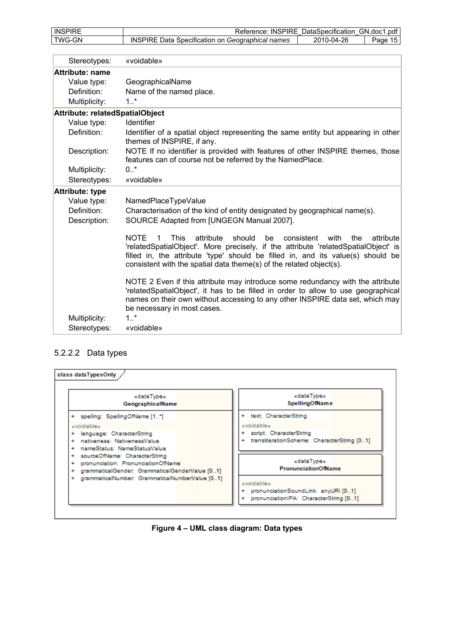| <b>INSPIRE</b> | Reference:                                              | : INSPIRE DataSpecification GN.doc1.pdf |      |
|----------------|---------------------------------------------------------|-----------------------------------------|------|
| TWG-GN         | <b>INSPIRE Data Specification on Geographical names</b> | 2010-04-26                              | Page |

| Stereotypes:                    | «voidable»                                                                                                                                                                                                                                                                                                                                             |
|---------------------------------|--------------------------------------------------------------------------------------------------------------------------------------------------------------------------------------------------------------------------------------------------------------------------------------------------------------------------------------------------------|
| Attribute: name                 |                                                                                                                                                                                                                                                                                                                                                        |
| Value type:                     | GeographicalName                                                                                                                                                                                                                                                                                                                                       |
| Definition:                     | Name of the named place.                                                                                                                                                                                                                                                                                                                               |
| Multiplicity:                   | $1.1$ *                                                                                                                                                                                                                                                                                                                                                |
| Attribute: relatedSpatialObject |                                                                                                                                                                                                                                                                                                                                                        |
| Value type:                     | Identifier                                                                                                                                                                                                                                                                                                                                             |
| Definition:                     | Identifier of a spatial object representing the same entity but appearing in other<br>themes of INSPIRE, if any.                                                                                                                                                                                                                                       |
| Description:                    | NOTE If no identifier is provided with features of other INSPIRE themes, those<br>features can of course not be referred by the NamedPlace.                                                                                                                                                                                                            |
| Multiplicity:                   | $0.1*$                                                                                                                                                                                                                                                                                                                                                 |
| Stereotypes:                    | «voidable»                                                                                                                                                                                                                                                                                                                                             |
| <b>Attribute: type</b>          |                                                                                                                                                                                                                                                                                                                                                        |
| Value type:                     | NamedPlaceTypeValue                                                                                                                                                                                                                                                                                                                                    |
| Definition:                     | Characterisation of the kind of entity designated by geographical name(s).                                                                                                                                                                                                                                                                             |
| Description:                    | SOURCE Adapted from [UNGEGN Manual 2007].                                                                                                                                                                                                                                                                                                              |
|                                 | <b>NOTE</b><br><b>This</b><br>attribute<br>should<br>be<br>with<br>the<br>attribute<br>1<br>consistent<br>'relatedSpatialObject'. More precisely, if the attribute 'relatedSpatialObject' is<br>filled in, the attribute 'type' should be filled in, and its value(s) should be<br>consistent with the spatial data theme(s) of the related object(s). |
|                                 | NOTE 2 Even if this attribute may introduce some redundancy with the attribute<br>'relatedSpatialObject', it has to be filled in order to allow to use geographical<br>names on their own without accessing to any other INSPIRE data set, which may<br>be necessary in most cases.                                                                    |
| Multiplicity:                   | 1.1                                                                                                                                                                                                                                                                                                                                                    |
| Stereotypes:                    | «voidable»                                                                                                                                                                                                                                                                                                                                             |

### 5.2.2.2 Data types



**Figure 4 – UML class diagram: Data types**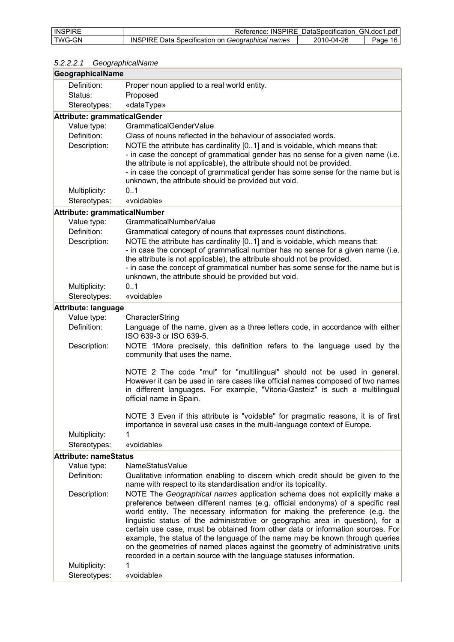| <b>INSPIRE</b> | <b>INSPIRE</b><br>Reference:                                 | DataSpecification | GN.doc1.pdf |
|----------------|--------------------------------------------------------------|-------------------|-------------|
| TWG-GN         | Data Specification on Geographical names<br><b>INSPIRE I</b> | 2010-04-26        | 16<br>Page  |

| GeographicalName             |                                                                                                                                                                                                                                                                                                                                                                                                                                                                                                                                                                                                                                                          |
|------------------------------|----------------------------------------------------------------------------------------------------------------------------------------------------------------------------------------------------------------------------------------------------------------------------------------------------------------------------------------------------------------------------------------------------------------------------------------------------------------------------------------------------------------------------------------------------------------------------------------------------------------------------------------------------------|
| Definition:                  | Proper noun applied to a real world entity.                                                                                                                                                                                                                                                                                                                                                                                                                                                                                                                                                                                                              |
| Status:                      | Proposed                                                                                                                                                                                                                                                                                                                                                                                                                                                                                                                                                                                                                                                 |
| Stereotypes:                 | «dataType»                                                                                                                                                                                                                                                                                                                                                                                                                                                                                                                                                                                                                                               |
| Attribute: grammaticalGender |                                                                                                                                                                                                                                                                                                                                                                                                                                                                                                                                                                                                                                                          |
| Value type:                  | GrammaticalGenderValue                                                                                                                                                                                                                                                                                                                                                                                                                                                                                                                                                                                                                                   |
| Definition:                  | Class of nouns reflected in the behaviour of associated words.                                                                                                                                                                                                                                                                                                                                                                                                                                                                                                                                                                                           |
| Description:                 | NOTE the attribute has cardinality [01] and is voidable, which means that:                                                                                                                                                                                                                                                                                                                                                                                                                                                                                                                                                                               |
|                              | - in case the concept of grammatical gender has no sense for a given name (i.e.                                                                                                                                                                                                                                                                                                                                                                                                                                                                                                                                                                          |
|                              | the attribute is not applicable), the attribute should not be provided.                                                                                                                                                                                                                                                                                                                                                                                                                                                                                                                                                                                  |
|                              | - in case the concept of grammatical gender has some sense for the name but is<br>unknown, the attribute should be provided but void.                                                                                                                                                                                                                                                                                                                                                                                                                                                                                                                    |
| Multiplicity:                | 01                                                                                                                                                                                                                                                                                                                                                                                                                                                                                                                                                                                                                                                       |
| Stereotypes:                 | «voidable»                                                                                                                                                                                                                                                                                                                                                                                                                                                                                                                                                                                                                                               |
| Attribute: grammaticalNumber |                                                                                                                                                                                                                                                                                                                                                                                                                                                                                                                                                                                                                                                          |
| Value type:                  | GrammaticalNumberValue                                                                                                                                                                                                                                                                                                                                                                                                                                                                                                                                                                                                                                   |
| Definition:                  | Grammatical category of nouns that expresses count distinctions.                                                                                                                                                                                                                                                                                                                                                                                                                                                                                                                                                                                         |
| Description:                 | NOTE the attribute has cardinality [01] and is voidable, which means that:                                                                                                                                                                                                                                                                                                                                                                                                                                                                                                                                                                               |
|                              | - in case the concept of grammatical number has no sense for a given name (i.e.                                                                                                                                                                                                                                                                                                                                                                                                                                                                                                                                                                          |
|                              | the attribute is not applicable), the attribute should not be provided.                                                                                                                                                                                                                                                                                                                                                                                                                                                                                                                                                                                  |
|                              | - in case the concept of grammatical number has some sense for the name but is                                                                                                                                                                                                                                                                                                                                                                                                                                                                                                                                                                           |
|                              | unknown, the attribute should be provided but void.                                                                                                                                                                                                                                                                                                                                                                                                                                                                                                                                                                                                      |
| Multiplicity:                | 0.1                                                                                                                                                                                                                                                                                                                                                                                                                                                                                                                                                                                                                                                      |
| Stereotypes:                 | «voidable»                                                                                                                                                                                                                                                                                                                                                                                                                                                                                                                                                                                                                                               |
| <b>Attribute: language</b>   |                                                                                                                                                                                                                                                                                                                                                                                                                                                                                                                                                                                                                                                          |
| Value type:                  | CharacterString                                                                                                                                                                                                                                                                                                                                                                                                                                                                                                                                                                                                                                          |
| Definition:                  | Language of the name, given as a three letters code, in accordance with either<br>ISO 639-3 or ISO 639-5.                                                                                                                                                                                                                                                                                                                                                                                                                                                                                                                                                |
| Description:                 | NOTE 1More precisely, this definition refers to the language used by the<br>community that uses the name.                                                                                                                                                                                                                                                                                                                                                                                                                                                                                                                                                |
|                              | NOTE 2 The code "mul" for "multilingual" should not be used in general.<br>However it can be used in rare cases like official names composed of two names<br>in different languages. For example, "Vitoria-Gasteiz" is such a multilingual<br>official name in Spain.                                                                                                                                                                                                                                                                                                                                                                                    |
|                              | NOTE 3 Even if this attribute is "voidable" for pragmatic reasons, it is of first<br>importance in several use cases in the multi-language context of Europe.                                                                                                                                                                                                                                                                                                                                                                                                                                                                                            |
| Multiplicity:                | 1                                                                                                                                                                                                                                                                                                                                                                                                                                                                                                                                                                                                                                                        |
| Stereotypes:                 | «voidable»                                                                                                                                                                                                                                                                                                                                                                                                                                                                                                                                                                                                                                               |
| <b>Attribute: nameStatus</b> |                                                                                                                                                                                                                                                                                                                                                                                                                                                                                                                                                                                                                                                          |
| Value type:                  | NameStatusValue                                                                                                                                                                                                                                                                                                                                                                                                                                                                                                                                                                                                                                          |
| Definition:                  | Qualitative information enabling to discern which credit should be given to the<br>name with respect to its standardisation and/or its topicality.                                                                                                                                                                                                                                                                                                                                                                                                                                                                                                       |
| Description:                 | NOTE The Geographical names application schema does not explicitly make a<br>preference between different names (e.g. official endonyms) of a specific real<br>world entity. The necessary information for making the preference (e.g. the<br>linguistic status of the administrative or geographic area in question), for a<br>certain use case, must be obtained from other data or information sources. For<br>example, the status of the language of the name may be known through queries<br>on the geometries of named places against the geometry of administrative units<br>recorded in a certain source with the language statuses information. |
| Multiplicity:                | 1                                                                                                                                                                                                                                                                                                                                                                                                                                                                                                                                                                                                                                                        |
| Stereotypes:                 | «voidable»                                                                                                                                                                                                                                                                                                                                                                                                                                                                                                                                                                                                                                               |

### *5.2.2.2.1 GeographicalName*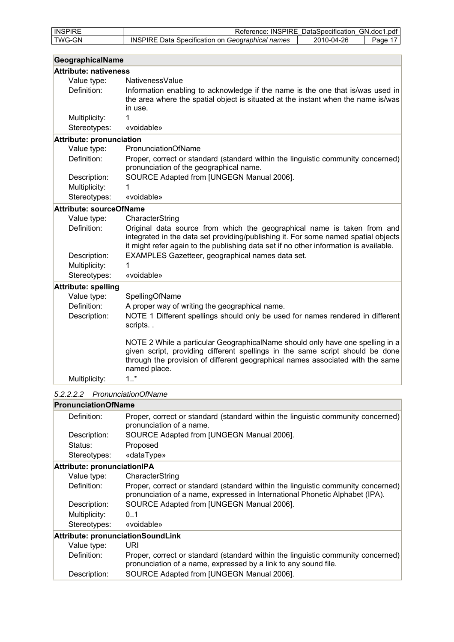| <b>INSPIRE</b> | Reference:                                             | : INSPIRE DataSpecification | GN.doc1.pdf |
|----------------|--------------------------------------------------------|-----------------------------|-------------|
| TWG-GN         | E Data Specification on Geographical names<br>INSPIRE. | 2010-04-26                  | Page        |

| GeographicalName                |                                                                                                                                                                                                                                                                  |
|---------------------------------|------------------------------------------------------------------------------------------------------------------------------------------------------------------------------------------------------------------------------------------------------------------|
| <b>Attribute: nativeness</b>    |                                                                                                                                                                                                                                                                  |
| Value type:                     | Nativeness Value                                                                                                                                                                                                                                                 |
| Definition:                     | Information enabling to acknowledge if the name is the one that is/was used in<br>the area where the spatial object is situated at the instant when the name is/was<br>in use.                                                                                   |
| Multiplicity:                   | 1                                                                                                                                                                                                                                                                |
| Stereotypes:                    | «voidable»                                                                                                                                                                                                                                                       |
| <b>Attribute: pronunciation</b> |                                                                                                                                                                                                                                                                  |
| Value type:                     | PronunciationOfName                                                                                                                                                                                                                                              |
| Definition:                     | Proper, correct or standard (standard within the linguistic community concerned)<br>pronunciation of the geographical name.                                                                                                                                      |
| Description:                    | SOURCE Adapted from [UNGEGN Manual 2006].                                                                                                                                                                                                                        |
| Multiplicity:                   |                                                                                                                                                                                                                                                                  |
| Stereotypes:                    | «voidable»                                                                                                                                                                                                                                                       |
| <b>Attribute: sourceOfName</b>  |                                                                                                                                                                                                                                                                  |
| Value type:                     | CharacterString                                                                                                                                                                                                                                                  |
| Definition:                     | Original data source from which the geographical name is taken from and<br>integrated in the data set providing/publishing it. For some named spatial objects<br>it might refer again to the publishing data set if no other information is available.           |
| Description:                    | EXAMPLES Gazetteer, geographical names data set.                                                                                                                                                                                                                 |
| Multiplicity:                   | 1                                                                                                                                                                                                                                                                |
| Stereotypes:                    | «voidable»                                                                                                                                                                                                                                                       |
| <b>Attribute: spelling</b>      |                                                                                                                                                                                                                                                                  |
| Value type:                     | SpellingOfName                                                                                                                                                                                                                                                   |
| Definition:                     | A proper way of writing the geographical name.                                                                                                                                                                                                                   |
| Description:                    | NOTE 1 Different spellings should only be used for names rendered in different<br>scripts                                                                                                                                                                        |
|                                 | NOTE 2 While a particular GeographicalName should only have one spelling in a<br>given script, providing different spellings in the same script should be done<br>through the provision of different geographical names associated with the same<br>named place. |
| Multiplicity:                   | $1.1$ *                                                                                                                                                                                                                                                          |

## *5.2.2.2.2 PronunciationOfName*

## **PronunciationOfName**

| I I UNUILUI KIUUN UUTAINE                |                                                                                                                                                                  |
|------------------------------------------|------------------------------------------------------------------------------------------------------------------------------------------------------------------|
| Definition:                              | Proper, correct or standard (standard within the linguistic community concerned)<br>pronunciation of a name.                                                     |
| Description:                             | SOURCE Adapted from [UNGEGN Manual 2006].                                                                                                                        |
| Status:                                  | Proposed                                                                                                                                                         |
| Stereotypes:                             | «dataType»                                                                                                                                                       |
| <b>Attribute: pronunciationIPA</b>       |                                                                                                                                                                  |
| Value type:                              | CharacterString                                                                                                                                                  |
| Definition:                              | Proper, correct or standard (standard within the linguistic community concerned)<br>pronunciation of a name, expressed in International Phonetic Alphabet (IPA). |
| Description:                             | SOURCE Adapted from [UNGEGN Manual 2006].                                                                                                                        |
| Multiplicity:                            | 0.1                                                                                                                                                              |
| Stereotypes:                             | «voidable»                                                                                                                                                       |
| <b>Attribute: pronunciationSoundLink</b> |                                                                                                                                                                  |
| Value type:                              | URI                                                                                                                                                              |
| Definition:                              | Proper, correct or standard (standard within the linguistic community concerned)<br>pronunciation of a name, expressed by a link to any sound file.              |
| Description:                             | SOURCE Adapted from [UNGEGN Manual 2006].                                                                                                                        |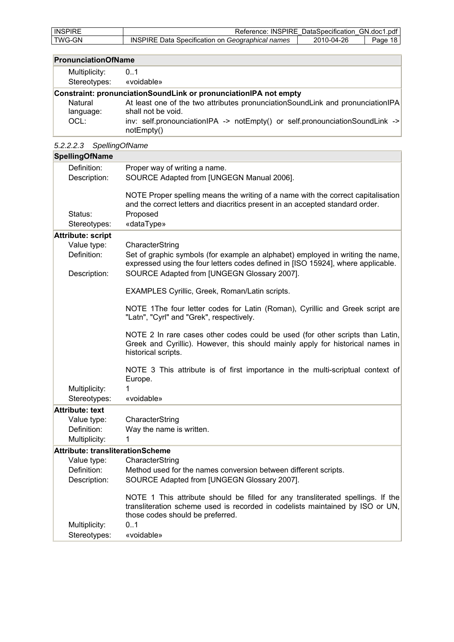| <b>INSPIRE</b> | <b>INSPIRE</b><br>⊀eterence:                                          | DataSpecification | GN.<br>.doc1<br>.pdf |
|----------------|-----------------------------------------------------------------------|-------------------|----------------------|
| <b>TWG-GN</b>  | INS<br>ا∂ata<br>.SPIRE :<br>names<br>Geographical<br>Specification on | 2010-04-26        | Page                 |

| <b>PronunciationOfName</b>                                       |                                                                                                        |  |
|------------------------------------------------------------------|--------------------------------------------------------------------------------------------------------|--|
| Multiplicity:                                                    | 0.1                                                                                                    |  |
| Stereotypes:                                                     | «voidable»                                                                                             |  |
| Constraint: pronunciationSoundLink or pronunciationIPA not empty |                                                                                                        |  |
| Natural<br>language:                                             | At least one of the two attributes pronunciation SoundLink and pronunciation IPA<br>shall not be void. |  |
| OCL:                                                             | inv: self.pronounciationIPA -> notEmpty() or self.pronounciationSoundLink -><br>notEmpty()             |  |

#### *5.2.2.2.3 SpellingOfName*

| <b>SpellingOfName</b>                   |                                                                                                                                                                                                      |
|-----------------------------------------|------------------------------------------------------------------------------------------------------------------------------------------------------------------------------------------------------|
| Definition:<br>Description:             | Proper way of writing a name.<br>SOURCE Adapted from [UNGEGN Manual 2006].                                                                                                                           |
| Status:<br>Stereotypes:                 | NOTE Proper spelling means the writing of a name with the correct capitalisation<br>and the correct letters and diacritics present in an accepted standard order.<br>Proposed<br>«dataType»          |
| <b>Attribute: script</b>                |                                                                                                                                                                                                      |
| Value type:<br>Definition:              | CharacterString<br>Set of graphic symbols (for example an alphabet) employed in writing the name,                                                                                                    |
| Description:                            | expressed using the four letters codes defined in [ISO 15924], where applicable.<br>SOURCE Adapted from [UNGEGN Glossary 2007].                                                                      |
|                                         | EXAMPLES Cyrillic, Greek, Roman/Latin scripts.                                                                                                                                                       |
|                                         | NOTE 1The four letter codes for Latin (Roman), Cyrillic and Greek script are<br>"Latn", "Cyrl" and "Grek", respectively.                                                                             |
|                                         | NOTE 2 In rare cases other codes could be used (for other scripts than Latin,<br>Greek and Cyrillic). However, this should mainly apply for historical names in<br>historical scripts.               |
|                                         | NOTE 3 This attribute is of first importance in the multi-scriptual context of<br>Europe.                                                                                                            |
| Multiplicity:                           | 1.                                                                                                                                                                                                   |
| Stereotypes:                            | «voidable»                                                                                                                                                                                           |
| <b>Attribute: text</b>                  |                                                                                                                                                                                                      |
| Value type:                             | CharacterString                                                                                                                                                                                      |
| Definition:<br>Multiplicity:            | Way the name is written.<br>1                                                                                                                                                                        |
| <b>Attribute: transliterationScheme</b> |                                                                                                                                                                                                      |
| Value type:                             | CharacterString                                                                                                                                                                                      |
| Definition:                             | Method used for the names conversion between different scripts.                                                                                                                                      |
| Description:                            | SOURCE Adapted from [UNGEGN Glossary 2007].                                                                                                                                                          |
|                                         | NOTE 1 This attribute should be filled for any transliterated spellings. If the<br>transliteration scheme used is recorded in codelists maintained by ISO or UN,<br>those codes should be preferred. |
| Multiplicity:                           | 0.1                                                                                                                                                                                                  |
| Stereotypes:                            | «voidable»                                                                                                                                                                                           |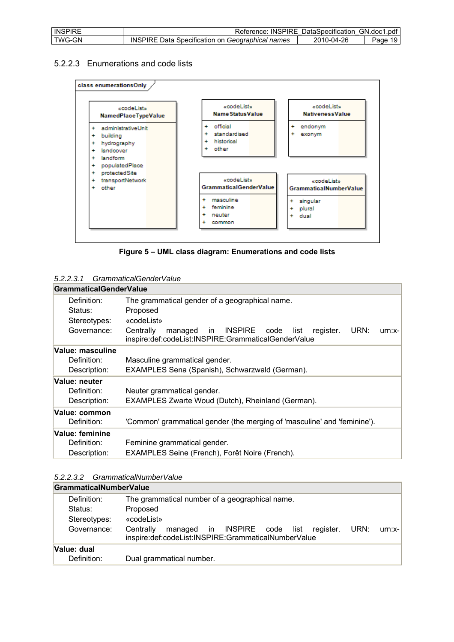| <b>INSPIRE</b> | Reference:                                              | : INSPIRE DataSpecification | GN.doc1.pdf  |
|----------------|---------------------------------------------------------|-----------------------------|--------------|
| TWG-GN         | <b>INSPIRE Data Specification on Geographical names</b> | 2010-04-26                  | 19 I<br>Paqe |

## 5.2.2.3 Enumerations and code lists



**Figure 5 – UML class diagram: Enumerations and code lists** 

| 5.2.2.3.1 GrammaticalGenderValue |
|----------------------------------|
|----------------------------------|

| <b>GrammaticalGenderValue</b>                         |                                                                                                                                                                                                                   |
|-------------------------------------------------------|-------------------------------------------------------------------------------------------------------------------------------------------------------------------------------------------------------------------|
| Definition:<br>Status:<br>Stereotypes:<br>Governance: | The grammatical gender of a geographical name.<br>Proposed<br>«codeList»<br>managed in INSPIRE code<br>URN:<br>Centrally<br>list<br>register.<br>$urn: x-$<br>inspire:def:codeList:INSPIRE:GrammaticalGenderValue |
| Value: masculine<br>Definition:<br>Description:       | Masculine grammatical gender.<br>EXAMPLES Sena (Spanish), Schwarzwald (German).                                                                                                                                   |
| Value: neuter<br>Definition:<br>Description:          | Neuter grammatical gender.<br>EXAMPLES Zwarte Woud (Dutch), Rheinland (German).                                                                                                                                   |
| Value: common<br>Definition:                          | 'Common' grammatical gender (the merging of 'masculine' and 'feminine').                                                                                                                                          |
| Value: feminine<br>Definition:<br>Description:        | Feminine grammatical gender.<br>EXAMPLES Seine (French), Forêt Noire (French).                                                                                                                                    |

| 5.2.2.3.2 | GrammaticalNumberValue |
|-----------|------------------------|
|           |                        |

| GrammaticalNumberValue |                                                                                                                                   |  |  |  |
|------------------------|-----------------------------------------------------------------------------------------------------------------------------------|--|--|--|
| Definition:            | The grammatical number of a geographical name.                                                                                    |  |  |  |
| Status:                | Proposed                                                                                                                          |  |  |  |
| Stereotypes:           | «codeList»                                                                                                                        |  |  |  |
| Governance:            | managed in INSPIRE code list<br>URN:<br>Centrally<br>register.<br>$urn:x-$<br>inspire:def:codeList:INSPIRE:GrammaticalNumberValue |  |  |  |
| Value: dual            |                                                                                                                                   |  |  |  |
| Definition:            | Dual grammatical number.                                                                                                          |  |  |  |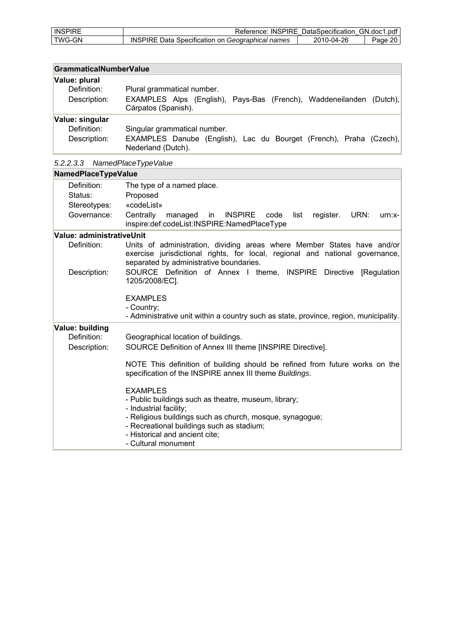| <b>INSPIRE</b> | Reference:                                              | INSPIRE DataSpecification GN.doc1.pdf |         |
|----------------|---------------------------------------------------------|---------------------------------------|---------|
| TWG-GN         | <b>INSPIRE Data Specification on Geographical names</b> | 2010-04-26                            | Page 20 |

| <b>GrammaticalNumberValue</b>                  |                                                                                                                                |
|------------------------------------------------|--------------------------------------------------------------------------------------------------------------------------------|
| Value: plural<br>Definition:<br>Description:   | Plural grammatical number.<br>EXAMPLES Alps (English), Pays-Bas (French), Waddeneilanden<br>$(Dutch)$ ,<br>Cárpatos (Spanish). |
| Value: singular<br>Definition:<br>Description: | Singular grammatical number.<br>EXAMPLES Danube (English), Lac du Bourget (French), Praha (Czech),<br>Nederland (Dutch).       |

*5.2.2.3.3 NamedPlaceTypeValue* 

| NamedPlaceTypeValue                    |                                                                                                                                                                                                                                                                     |  |
|----------------------------------------|---------------------------------------------------------------------------------------------------------------------------------------------------------------------------------------------------------------------------------------------------------------------|--|
| Definition:<br>Status:<br>Stereotypes: | The type of a named place.<br>Proposed<br>«codeList»                                                                                                                                                                                                                |  |
| Governance:                            | Centrally<br>managed in<br>INSPIRE code<br>URN:<br>list<br>register.<br>urn:x-<br>inspire:def:codeList:INSPIRE:NamedPlaceType                                                                                                                                       |  |
| Value: administrativeUnit              |                                                                                                                                                                                                                                                                     |  |
| Definition:                            | Units of administration, dividing areas where Member States have and/or<br>exercise jurisdictional rights, for local, regional and national governance,<br>separated by administrative boundaries.                                                                  |  |
| Description:                           | SOURCE Definition of Annex I theme, INSPIRE Directive [Regulation<br>1205/2008/EC].                                                                                                                                                                                 |  |
|                                        | <b>EXAMPLES</b>                                                                                                                                                                                                                                                     |  |
|                                        | - Country;<br>- Administrative unit within a country such as state, province, region, municipality.                                                                                                                                                                 |  |
| Value: building                        |                                                                                                                                                                                                                                                                     |  |
| Definition:                            | Geographical location of buildings.                                                                                                                                                                                                                                 |  |
| Description:                           | SOURCE Definition of Annex III theme [INSPIRE Directive].                                                                                                                                                                                                           |  |
|                                        | NOTE This definition of building should be refined from future works on the<br>specification of the INSPIRE annex III theme Buildings.                                                                                                                              |  |
|                                        | <b>EXAMPLES</b><br>- Public buildings such as theatre, museum, library;<br>- Industrial facility;<br>- Religious buildings such as church, mosque, synagogue;<br>- Recreational buildings such as stadium;<br>- Historical and ancient cite;<br>- Cultural monument |  |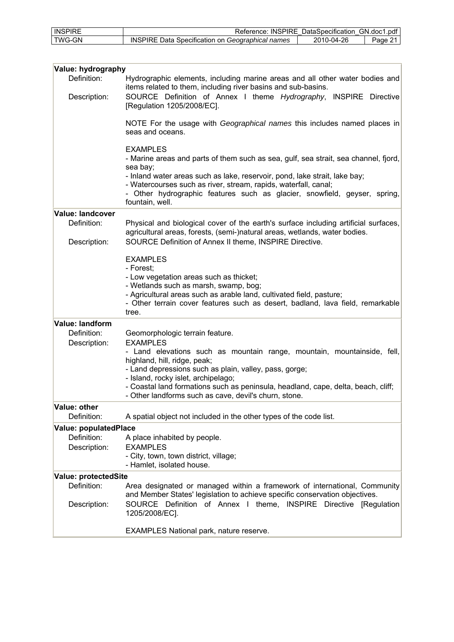| <b>INSPIRE</b> | Reference: INSPIRE DataSpecification GN.doc1.pdf        |            |           |
|----------------|---------------------------------------------------------|------------|-----------|
| TWG-GN         | <b>INSPIRE Data Specification on Geographical names</b> | 2010-04-26 | Page 21 l |

| Value: hydrography<br>Definition: | Hydrographic elements, including marine areas and all other water bodies and<br>items related to them, including river basins and sub-basins.                                                                                                 |
|-----------------------------------|-----------------------------------------------------------------------------------------------------------------------------------------------------------------------------------------------------------------------------------------------|
| Description:                      | SOURCE Definition of Annex I theme Hydrography, INSPIRE Directive<br>[Regulation 1205/2008/EC].                                                                                                                                               |
|                                   | NOTE For the usage with Geographical names this includes named places in<br>seas and oceans.                                                                                                                                                  |
|                                   | <b>EXAMPLES</b><br>- Marine areas and parts of them such as sea, gulf, sea strait, sea channel, fjord,<br>sea bay;                                                                                                                            |
|                                   | - Inland water areas such as lake, reservoir, pond, lake strait, lake bay;<br>- Watercourses such as river, stream, rapids, waterfall, canal;<br>- Other hydrographic features such as glacier, snowfield, geyser, spring,<br>fountain, well. |
| Value: landcover                  |                                                                                                                                                                                                                                               |
| Definition:                       | Physical and biological cover of the earth's surface including artificial surfaces,<br>agricultural areas, forests, (semi-)natural areas, wetlands, water bodies.                                                                             |
| Description:                      | SOURCE Definition of Annex II theme, INSPIRE Directive.                                                                                                                                                                                       |
|                                   | <b>EXAMPLES</b>                                                                                                                                                                                                                               |
|                                   | - Forest;                                                                                                                                                                                                                                     |
|                                   | - Low vegetation areas such as thicket;                                                                                                                                                                                                       |
|                                   | - Wetlands such as marsh, swamp, bog;<br>- Agricultural areas such as arable land, cultivated field, pasture;                                                                                                                                 |
|                                   | - Other terrain cover features such as desert, badland, lava field, remarkable                                                                                                                                                                |
|                                   | tree.                                                                                                                                                                                                                                         |
| Value: landform                   |                                                                                                                                                                                                                                               |
| Definition:                       | Geomorphologic terrain feature.                                                                                                                                                                                                               |
| Description:                      | <b>EXAMPLES</b>                                                                                                                                                                                                                               |
|                                   | - Land elevations such as mountain range, mountain, mountainside, fell,<br>highland, hill, ridge, peak;                                                                                                                                       |
|                                   | - Land depressions such as plain, valley, pass, gorge;                                                                                                                                                                                        |
|                                   | - Island, rocky islet, archipelago;                                                                                                                                                                                                           |
|                                   | - Coastal land formations such as peninsula, headland, cape, delta, beach, cliff;<br>- Other landforms such as cave, devil's churn, stone.                                                                                                    |
| <b>Value: other</b>               |                                                                                                                                                                                                                                               |
| Definition:                       | A spatial object not included in the other types of the code list.                                                                                                                                                                            |
| Value: populatedPlace             |                                                                                                                                                                                                                                               |
| Definition:                       | A place inhabited by people.                                                                                                                                                                                                                  |
| Description:                      | <b>EXAMPLES</b>                                                                                                                                                                                                                               |
|                                   | - City, town, town district, village;<br>- Hamlet, isolated house.                                                                                                                                                                            |
| <b>Value: protectedSite</b>       |                                                                                                                                                                                                                                               |
| Definition:                       | Area designated or managed within a framework of international, Community<br>and Member States' legislation to achieve specific conservation objectives.                                                                                      |
| Description:                      | SOURCE Definition of Annex I theme, INSPIRE Directive [Regulation]<br>1205/2008/EC].                                                                                                                                                          |
|                                   | <b>EXAMPLES National park, nature reserve.</b>                                                                                                                                                                                                |
|                                   |                                                                                                                                                                                                                                               |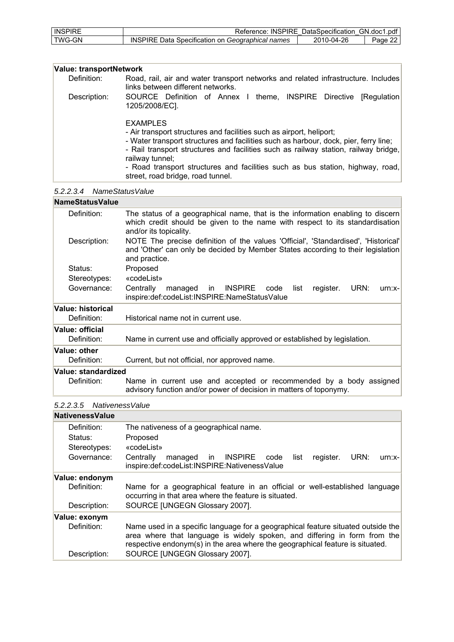| <b>INSPIRE</b> | Reference: INSPIRE DataSpecification GN.doc1.pdf        |            |         |
|----------------|---------------------------------------------------------|------------|---------|
| TWG-GN         | <b>INSPIRE Data Specification on Geographical names</b> | 2010-04-26 | Page 22 |

| Value: transportNetwork |                                                                                                                                                                                                                                                                                                                                                                                                                  |
|-------------------------|------------------------------------------------------------------------------------------------------------------------------------------------------------------------------------------------------------------------------------------------------------------------------------------------------------------------------------------------------------------------------------------------------------------|
| Definition:             | Road, rail, air and water transport networks and related infrastructure. Includes<br>links between different networks.                                                                                                                                                                                                                                                                                           |
| Description:            | SOURCE Definition of Annex I theme, INSPIRE Directive<br>[Regulation]<br>1205/2008/EC].                                                                                                                                                                                                                                                                                                                          |
|                         | <b>EXAMPLES</b><br>- Air transport structures and facilities such as airport, heliport;<br>- Water transport structures and facilities such as harbour, dock, pier, ferry line;<br>- Rail transport structures and facilities such as railway station, railway bridge,<br>railway tunnel;<br>- Road transport structures and facilities such as bus station, highway, road,<br>street, road bridge, road tunnel. |

| 5.2.2.3.4 | NameStatusValue |
|-----------|-----------------|
|           |                 |

| <b>NameStatusValue</b> |                                                                                                                                                                                          |
|------------------------|------------------------------------------------------------------------------------------------------------------------------------------------------------------------------------------|
| Definition:            | The status of a geographical name, that is the information enabling to discern<br>which credit should be given to the name with respect to its standardisation<br>and/or its topicality. |
| Description:           | NOTE The precise definition of the values 'Official', 'Standardised', 'Historical'<br>and 'Other' can only be decided by Member States according to their legislation<br>and practice.   |
| Status:                | Proposed                                                                                                                                                                                 |
| Stereotypes:           | «codeList»                                                                                                                                                                               |
| Governance:            | managed in INSPIRE code<br>Centrally<br>list<br>register.<br>URN:<br>$urn: x-$<br>inspire:def:codeList:INSPIRE:NameStatusValue                                                           |
| Value: historical      |                                                                                                                                                                                          |
| Definition:            | Historical name not in current use.                                                                                                                                                      |
| Value: official        |                                                                                                                                                                                          |
| Definition:            | Name in current use and officially approved or established by legislation.                                                                                                               |
| Value: other           |                                                                                                                                                                                          |
| Definition:            | Current, but not official, nor approved name.                                                                                                                                            |
| Value: standardized    |                                                                                                                                                                                          |
| Definition:            | Name in current use and accepted or recommended by a body assigned<br>advisory function and/or power of decision in matters of toponymy.                                                 |

## *5.2.2.3.5 NativenessValue*

| <b>NativenessValue</b>                                |                                                                                                                                                                                                                                                |  |
|-------------------------------------------------------|------------------------------------------------------------------------------------------------------------------------------------------------------------------------------------------------------------------------------------------------|--|
| Definition:<br>Status:<br>Stereotypes:<br>Governance: | The nativeness of a geographical name.<br>Proposed<br>«codeList»<br>managed in INSPIRE code<br>URN:<br>Centrally<br>register.<br>list<br>$urn: x-$<br>inspire:def:codeList:INSPIRE:NativenessValue                                             |  |
| Value: endonym                                        |                                                                                                                                                                                                                                                |  |
| Definition:                                           | Name for a geographical feature in an official or well-established language<br>occurring in that area where the feature is situated.                                                                                                           |  |
| Description:                                          | SOURCE [UNGEGN Glossary 2007].                                                                                                                                                                                                                 |  |
| Value: exonym                                         |                                                                                                                                                                                                                                                |  |
| Definition:                                           | Name used in a specific language for a geographical feature situated outside the<br>area where that language is widely spoken, and differing in form from the<br>respective endonym(s) in the area where the geographical feature is situated. |  |
| Description:                                          | SOURCE [UNGEGN Glossary 2007].                                                                                                                                                                                                                 |  |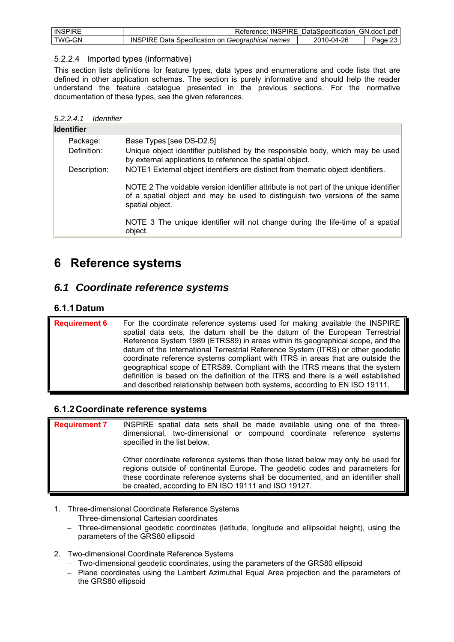| <b>INSPIRE</b> | Reference:<br><b>INSPIRE</b>                                           | DataSpecification | GN.<br>doc1.pdf |
|----------------|------------------------------------------------------------------------|-------------------|-----------------|
| <b>TWG-GN</b>  | <b>INSPIRE</b><br>Data<br>names<br>Specification on<br>∟Geographical i | 2010-04-26        | ≌age            |

### 5.2.2.4 Imported types (informative)

This section lists definitions for feature types, data types and enumerations and code lists that are defined in other application schemas. The section is purely informative and should help the reader understand the feature catalogue presented in the previous sections. For the normative documentation of these types, see the given references.

| <b>Identifier</b> |                                                                                                                                                                                         |
|-------------------|-----------------------------------------------------------------------------------------------------------------------------------------------------------------------------------------|
| Package:          | Base Types [see DS-D2.5]                                                                                                                                                                |
| Definition:       | Unique object identifier published by the responsible body, which may be used<br>by external applications to reference the spatial object.                                              |
| Description:      | NOTE1 External object identifiers are distinct from thematic object identifiers.                                                                                                        |
|                   | NOTE 2 The voidable version identifier attribute is not part of the unique identifier<br>of a spatial object and may be used to distinguish two versions of the same<br>spatial object. |
|                   | NOTE 3 The unique identifier will not change during the life-time of a spatial<br>object.                                                                                               |

# **6 Reference systems**

## *6.1 Coordinate reference systems*

### **6.1.1 Datum**

**Requirement 6** For the coordinate reference systems used for making available the INSPIRE spatial data sets, the datum shall be the datum of the European Terrestrial Reference System 1989 (ETRS89) in areas within its geographical scope, and the datum of the International Terrestrial Reference System (ITRS) or other geodetic coordinate reference systems compliant with ITRS in areas that are outside the geographical scope of ETRS89. Compliant with the ITRS means that the system definition is based on the definition of the ITRS and there is a well established and described relationship between both systems, according to EN ISO 19111.

### **6.1.2 Coordinate reference systems**

**Requirement 7** INSPIRE spatial data sets shall be made available using one of the threedimensional, two-dimensional or compound coordinate reference systems specified in the list below. Other coordinate reference systems than those listed below may only be used for

regions outside of continental Europe. The geodetic codes and parameters for these coordinate reference systems shall be documented, and an identifier shall be created, according to EN ISO 19111 and ISO 19127.

- 1. Three-dimensional Coordinate Reference Systems
	- − Three-dimensional Cartesian coordinates
	- − Three-dimensional geodetic coordinates (latitude, longitude and ellipsoidal height), using the parameters of the GRS80 ellipsoid
- 2. Two-dimensional Coordinate Reference Systems
	- − Two-dimensional geodetic coordinates, using the parameters of the GRS80 ellipsoid
	- − Plane coordinates using the Lambert Azimuthal Equal Area projection and the parameters of the GRS80 ellipsoid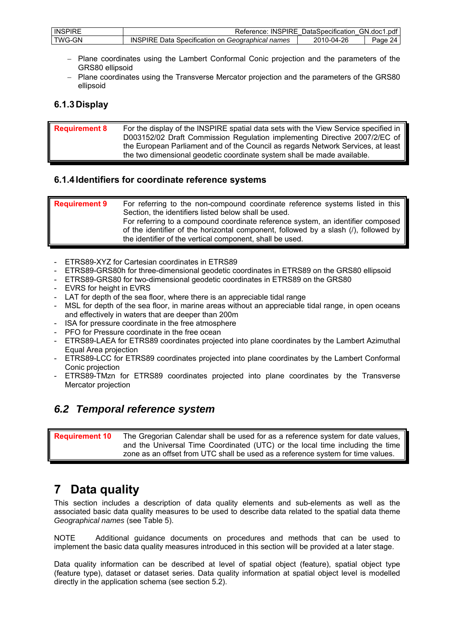| <b>INSPIRE</b> | <b>INSPIRE</b><br>Reference:                                    | DataSpecification | GN.doc1.pdf |
|----------------|-----------------------------------------------------------------|-------------------|-------------|
| TWG-GN         | <b>INSPIRE</b><br>Data<br>a Specification on Geographical names | 2010-04-26        | Page<br>2Δ  |

- − Plane coordinates using the Lambert Conformal Conic projection and the parameters of the GRS80 ellipsoid
- − Plane coordinates using the Transverse Mercator projection and the parameters of the GRS80 ellipsoid

## **6.1.3 Display**

| <b>Requirement 8</b> | For the display of the INSPIRE spatial data sets with the View Service specified in |
|----------------------|-------------------------------------------------------------------------------------|
|                      | D003152/02 Draft Commission Regulation implementing Directive 2007/2/EC of          |
|                      | the European Parliament and of the Council as regards Network Services, at least    |
|                      | the two dimensional geodetic coordinate system shall be made available.             |

## **6.1.4 Identifiers for coordinate reference systems**

| <b>Requirement 9</b> | For referring to the non-compound coordinate reference systems listed in this<br>Section, the identifiers listed below shall be used.<br>For referring to a compound coordinate reference system, an identifier composed<br>of the identifier of the horizontal component, followed by a slash $(1)$ , followed by $\parallel$<br>the identifier of the vertical component, shall be used. |
|----------------------|--------------------------------------------------------------------------------------------------------------------------------------------------------------------------------------------------------------------------------------------------------------------------------------------------------------------------------------------------------------------------------------------|
|----------------------|--------------------------------------------------------------------------------------------------------------------------------------------------------------------------------------------------------------------------------------------------------------------------------------------------------------------------------------------------------------------------------------------|

- ETRS89-XYZ for Cartesian coordinates in ETRS89
- ETRS89-GRS80h for three-dimensional geodetic coordinates in ETRS89 on the GRS80 ellipsoid
- ETRS89-GRS80 for two-dimensional geodetic coordinates in ETRS89 on the GRS80
- EVRS for height in EVRS
- LAT for depth of the sea floor, where there is an appreciable tidal range
- MSL for depth of the sea floor, in marine areas without an appreciable tidal range, in open oceans and effectively in waters that are deeper than 200m
- ISA for pressure coordinate in the free atmosphere
- PFO for Pressure coordinate in the free ocean
- ETRS89-LAEA for ETRS89 coordinates projected into plane coordinates by the Lambert Azimuthal Equal Area projection
- ETRS89-LCC for ETRS89 coordinates projected into plane coordinates by the Lambert Conformal Conic projection
- ETRS89-TMzn for ETRS89 coordinates projected into plane coordinates by the Transverse Mercator projection

## *6.2 Temporal reference system*

**Requirement 10** The Gregorian Calendar shall be used for as a reference system for date values, and the Universal Time Coordinated (UTC) or the local time including the time zone as an offset from UTC shall be used as a reference system for time values.

# **7 Data quality**

This section includes a description of data quality elements and sub-elements as well as the associated basic data quality measures to be used to describe data related to the spatial data theme *Geographical names* (see Table 5).

NOTE Additional guidance documents on procedures and methods that can be used to implement the basic data quality measures introduced in this section will be provided at a later stage.

Data quality information can be described at level of spatial object (feature), spatial object type (feature type), dataset or dataset series. Data quality information at spatial object level is modelled directly in the application schema (see section 5.2).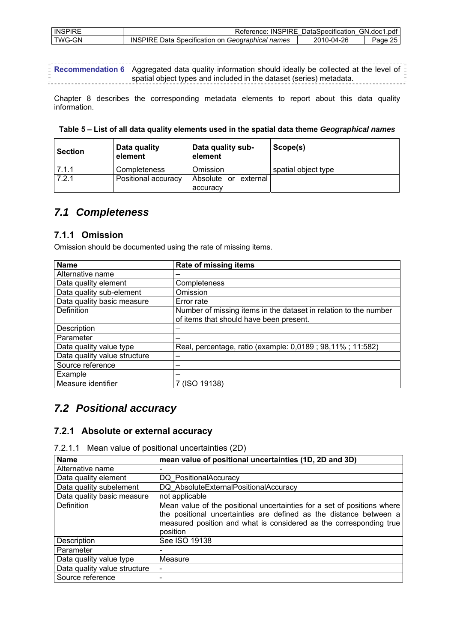| <b>INSPIRE</b> | <b>INSPIRE</b><br>Reference:                            | DataSpecification | GN.doc1.pdf |
|----------------|---------------------------------------------------------|-------------------|-------------|
| TWG-GN         | <b>INSPIRE Data Specification on Geographical names</b> | 2010-04-26        | Page        |

**Recommendation 6** Aggregated data quality information should ideally be collected at the level of spatial object types and included in the dataset (series) metadata. -<br>-------------------------

Chapter 8 describes the corresponding metadata elements to report about this data quality information.

| Table 5 – List of all data quality elements used in the spatial data theme Geographical names |  |  |  |  |
|-----------------------------------------------------------------------------------------------|--|--|--|--|
|-----------------------------------------------------------------------------------------------|--|--|--|--|

| <b>Section</b> | Data quality<br>element | Data quality sub-<br>element | Scope(s)            |
|----------------|-------------------------|------------------------------|---------------------|
| 7.1.1          | Completeness            | Omission                     | spatial object type |
| 7.2.1          | Positional accuracy     | Absolute or external         |                     |
|                |                         | accuracy                     |                     |

## *7.1 Completeness*

### **7.1.1 Omission**

Omission should be documented using the rate of missing items.

| <b>Name</b>                  | Rate of missing items                                            |
|------------------------------|------------------------------------------------------------------|
| Alternative name             |                                                                  |
| Data quality element         | Completeness                                                     |
| Data quality sub-element     | Omission                                                         |
| Data quality basic measure   | Error rate                                                       |
| <b>Definition</b>            | Number of missing items in the dataset in relation to the number |
|                              | of items that should have been present.                          |
| Description                  |                                                                  |
| Parameter                    |                                                                  |
| Data quality value type      | Real, percentage, ratio (example: 0,0189; 98,11%; 11:582)        |
| Data quality value structure |                                                                  |
| Source reference             |                                                                  |
| Example                      |                                                                  |
| Measure identifier           | 7 (ISO 19138)                                                    |

## *7.2 Positional accuracy*

## **7.2.1 Absolute or external accuracy**

|  |  |  |  | 7.2.1.1 Mean value of positional uncertainties (2D) |  |
|--|--|--|--|-----------------------------------------------------|--|
|--|--|--|--|-----------------------------------------------------|--|

| <b>Name</b>                  | mean value of positional uncertainties (1D, 2D and 3D)                                                                                                                                                                          |
|------------------------------|---------------------------------------------------------------------------------------------------------------------------------------------------------------------------------------------------------------------------------|
| Alternative name             |                                                                                                                                                                                                                                 |
| Data quality element         | DQ PositionalAccuracy                                                                                                                                                                                                           |
| Data quality subelement      | DQ AbsoluteExternalPositionalAccuracy                                                                                                                                                                                           |
| Data quality basic measure   | not applicable                                                                                                                                                                                                                  |
| <b>Definition</b>            | Mean value of the positional uncertainties for a set of positions where<br>the positional uncertainties are defined as the distance between a<br>measured position and what is considered as the corresponding true<br>position |
| Description                  | See ISO 19138                                                                                                                                                                                                                   |
| Parameter                    |                                                                                                                                                                                                                                 |
| Data quality value type      | Measure                                                                                                                                                                                                                         |
| Data quality value structure |                                                                                                                                                                                                                                 |
| Source reference             |                                                                                                                                                                                                                                 |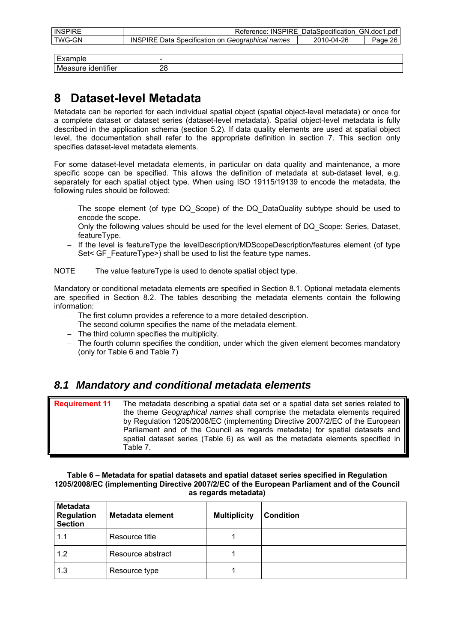| <b>INSPIRE</b> | <b>INSPIRE</b><br>≺eterence:                                     | DataSpecification     | .pdf<br>GN.<br>.doc1 |
|----------------|------------------------------------------------------------------|-----------------------|----------------------|
| TWG-GN         | Jata<br>INSPIRE<br>names<br>on.<br>Geographical<br>Specification | <sup>າ∩10-04-∠∪</sup> | റമ<br>Page           |
|                |                                                                  |                       |                      |

| -<br>поњ<br>- - - - - - -                             | -            |
|-------------------------------------------------------|--------------|
| $\overline{\phantom{a}}$<br>M<br>$-$<br>.<br>.<br>ше. | $\sim$<br>∠∪ |

# **8 Dataset-level Metadata**

Metadata can be reported for each individual spatial object (spatial object-level metadata) or once for a complete dataset or dataset series (dataset-level metadata). Spatial object-level metadata is fully described in the application schema (section 5.2). If data quality elements are used at spatial object level, the documentation shall refer to the appropriate definition in section 7. This section only specifies dataset-level metadata elements.

For some dataset-level metadata elements, in particular on data quality and maintenance, a more specific scope can be specified. This allows the definition of metadata at sub-dataset level, e.g. separately for each spatial object type. When using ISO 19115/19139 to encode the metadata, the following rules should be followed:

- − The scope element (of type DQ\_Scope) of the DQ\_DataQuality subtype should be used to encode the scope.
- − Only the following values should be used for the level element of DQ\_Scope: Series, Dataset, featureType.
- − If the level is featureType the levelDescription/MDScopeDescription/features element (of type Set< GF\_FeatureType>) shall be used to list the feature type names.

NOTE The value featureType is used to denote spatial object type.

Mandatory or conditional metadata elements are specified in Section 8.1. Optional metadata elements are specified in Section 8.2. The tables describing the metadata elements contain the following information:

- − The first column provides a reference to a more detailed description.
- − The second column specifies the name of the metadata element.
- − The third column specifies the multiplicity.
- − The fourth column specifies the condition, under which the given element becomes mandatory (only for Table 6 and Table 7)

## *8.1 Mandatory and conditional metadata elements*

**Requirement 11** The metadata describing a spatial data set or a spatial data set series related to the theme *Geographical names* shall comprise the metadata elements required by Regulation 1205/2008/EC (implementing Directive 2007/2/EC of the European Parliament and of the Council as regards metadata) for spatial datasets and spatial dataset series (Table 6) as well as the metadata elements specified in Table 7.

#### **Table 6 – Metadata for spatial datasets and spatial dataset series specified in Regulation 1205/2008/EC (implementing Directive 2007/2/EC of the European Parliament and of the Council as regards metadata)**

| Metadata<br><b>Regulation</b><br><b>Section</b> | <b>Metadata element</b> | <b>Multiplicity</b> | <b>Condition</b> |
|-------------------------------------------------|-------------------------|---------------------|------------------|
| 1.1                                             | Resource title          |                     |                  |
| 1.2                                             | Resource abstract       |                     |                  |
| 1.3                                             | Resource type           |                     |                  |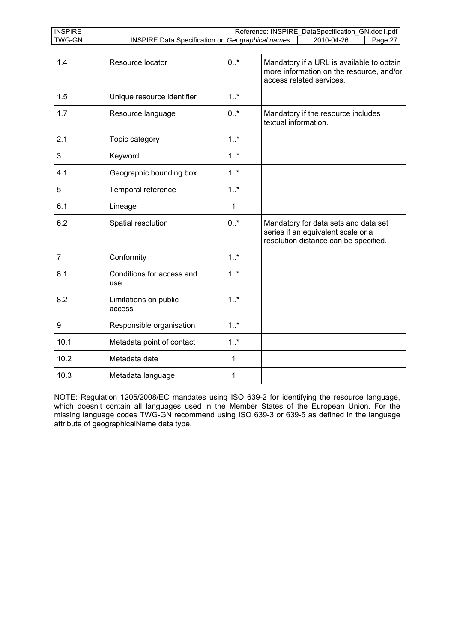| <b>INSPIRE</b> |        | Reference: INSPIRE_DataSpecification_GN.doc1.pdf        |              |                                                                                                                     |  |
|----------------|--------|---------------------------------------------------------|--------------|---------------------------------------------------------------------------------------------------------------------|--|
| <b>TWG-GN</b>  |        | <b>INSPIRE Data Specification on Geographical names</b> |              | 2010-04-26<br>Page 27                                                                                               |  |
|                |        |                                                         |              |                                                                                                                     |  |
| 1.4            |        | Resource locator                                        | $0.7*$       | Mandatory if a URL is available to obtain<br>more information on the resource, and/or<br>access related services.   |  |
| 1.5            |        | Unique resource identifier                              | 1.1          |                                                                                                                     |  |
| 1.7            |        | Resource language                                       | $0.1*$       | Mandatory if the resource includes<br>textual information.                                                          |  |
| 2.1            |        | Topic category                                          | 1.1          |                                                                                                                     |  |
| $\mathfrak{S}$ |        | Keyword                                                 | $1.1$ *      |                                                                                                                     |  |
| 4.1            |        | Geographic bounding box                                 | $1.$ *       |                                                                                                                     |  |
| 5              |        | Temporal reference                                      | $1.1$ *      |                                                                                                                     |  |
| 6.1            |        | Lineage                                                 | $\mathbf{1}$ |                                                                                                                     |  |
| 6.2            |        | Spatial resolution                                      | $0.7*$       | Mandatory for data sets and data set<br>series if an equivalent scale or a<br>resolution distance can be specified. |  |
| $\overline{7}$ |        | Conformity                                              | 1.1          |                                                                                                                     |  |
| 8.1            | use    | Conditions for access and                               | 1.1          |                                                                                                                     |  |
| 8.2            | access | Limitations on public                                   | $1.1*$       |                                                                                                                     |  |
| 9              |        | Responsible organisation                                | $1.1$ *      |                                                                                                                     |  |
| 10.1           |        | Metadata point of contact                               | $1.$ *       |                                                                                                                     |  |
| 10.2           |        | Metadata date                                           | $\mathbf 1$  |                                                                                                                     |  |
| 10.3           |        | Metadata language                                       | 1            |                                                                                                                     |  |

NOTE: Regulation 1205/2008/EC mandates using ISO 639-2 for identifying the resource language, which doesn't contain all languages used in the Member States of the European Union. For the missing language codes TWG-GN recommend using ISO 639-3 or 639-5 as defined in the language attribute of geographicalName data type.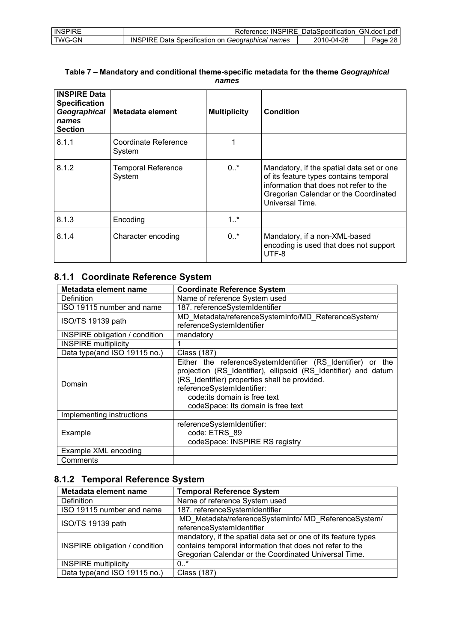| <b>INSPIRE</b> | Reference:                                              | : INSPIRE DataSpecification | GN.doc1.pdf |
|----------------|---------------------------------------------------------|-----------------------------|-------------|
| TWG-GN         | <b>INSPIRE Data Specification on Geographical names</b> | 2010-04-26                  | Page 28 l   |

#### **Table 7 – Mandatory and conditional theme-specific metadata for the theme** *Geographical names*

| <b>INSPIRE Data</b><br><b>Specification</b><br>Geographical<br>names<br><b>Section</b> | Metadata element                    | <b>Multiplicity</b> | <b>Condition</b>                                                                                                                                                                          |
|----------------------------------------------------------------------------------------|-------------------------------------|---------------------|-------------------------------------------------------------------------------------------------------------------------------------------------------------------------------------------|
| 8.1.1                                                                                  | Coordinate Reference<br>System      | 1                   |                                                                                                                                                                                           |
| 8.1.2                                                                                  | <b>Temporal Reference</b><br>System | 0.7                 | Mandatory, if the spatial data set or one<br>of its feature types contains temporal<br>information that does not refer to the<br>Gregorian Calendar or the Coordinated<br>Universal Time. |
| 8.1.3                                                                                  | Encoding                            | $1.$ *              |                                                                                                                                                                                           |
| 8.1.4                                                                                  | Character encoding                  | $0.7^*$             | Mandatory, if a non-XML-based<br>encoding is used that does not support<br>UTF-8                                                                                                          |

# **8.1.1 Coordinate Reference System**

| Metadata element name                 | <b>Coordinate Reference System</b>                                                                                                                                                                                                                                                   |
|---------------------------------------|--------------------------------------------------------------------------------------------------------------------------------------------------------------------------------------------------------------------------------------------------------------------------------------|
| Definition                            | Name of reference System used                                                                                                                                                                                                                                                        |
| ISO 19115 number and name             | 187. referenceSystemIdentifier                                                                                                                                                                                                                                                       |
| ISO/TS 19139 path                     | MD Metadata/referenceSystemInfo/MD ReferenceSystem/<br>referenceSystemIdentifier                                                                                                                                                                                                     |
| <b>INSPIRE obligation / condition</b> | mandatory                                                                                                                                                                                                                                                                            |
| <b>INSPIRE multiplicity</b>           |                                                                                                                                                                                                                                                                                      |
| Data type(and ISO 19115 no.)          | Class (187)                                                                                                                                                                                                                                                                          |
| Domain                                | Either the referenceSystemIdentifier (RS Identifier) or the<br>projection (RS Identifier), ellipsoid (RS Identifier) and datum<br>(RS Identifier) properties shall be provided.<br>referenceSystemIdentifier:<br>code: its domain is free text<br>codeSpace: Its domain is free text |
| Implementing instructions             |                                                                                                                                                                                                                                                                                      |
| Example                               | referenceSystemIdentifier:<br>code: ETRS 89<br>codeSpace: INSPIRE RS registry                                                                                                                                                                                                        |
| Example XML encoding                  |                                                                                                                                                                                                                                                                                      |
| Comments                              |                                                                                                                                                                                                                                                                                      |

# **8.1.2 Temporal Reference System**

| Metadata element name                 | <b>Temporal Reference System</b>                                                                                                                                                    |
|---------------------------------------|-------------------------------------------------------------------------------------------------------------------------------------------------------------------------------------|
| Definition                            | Name of reference System used                                                                                                                                                       |
| ISO 19115 number and name             | 187. referenceSystemIdentifier                                                                                                                                                      |
| ISO/TS 19139 path                     | MD Metadata/referenceSystemInfo/ MD ReferenceSystem/<br>referenceSystemIdentifier                                                                                                   |
| <b>INSPIRE obligation / condition</b> | mandatory, if the spatial data set or one of its feature types<br>contains temporal information that does not refer to the<br>Gregorian Calendar or the Coordinated Universal Time. |
| <b>INSPIRE multiplicity</b>           | $0.^*$                                                                                                                                                                              |
| Data type(and ISO 19115 no.)          | Class (187)                                                                                                                                                                         |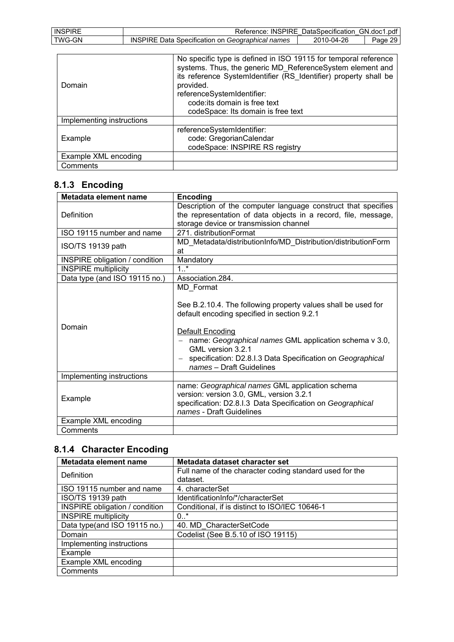| <b>INSPIRE</b> | Reference:<br><b>INSPIRE</b>                                       | ⊟ DataSpecification | GN.doc1<br>pdf |
|----------------|--------------------------------------------------------------------|---------------------|----------------|
| TWG-GN         | <b>INSPIRE</b><br>Data<br>ı Geoaraphical names<br>Specification on | 0-04-26<br>ንስ1ስ     | 29<br>aae      |

| Domain                    | No specific type is defined in ISO 19115 for temporal reference<br>systems. Thus, the generic MD_ReferenceSystem element and<br>its reference SystemIdentifier (RS Identifier) property shall be<br>provided.<br>referenceSystemIdentifier:<br>code: its domain is free text<br>codeSpace: Its domain is free text |
|---------------------------|--------------------------------------------------------------------------------------------------------------------------------------------------------------------------------------------------------------------------------------------------------------------------------------------------------------------|
| Implementing instructions |                                                                                                                                                                                                                                                                                                                    |
| Example                   | referenceSystemIdentifier:<br>code: GregorianCalendar<br>codeSpace: INSPIRE RS registry                                                                                                                                                                                                                            |
| Example XML encoding      |                                                                                                                                                                                                                                                                                                                    |
| Comments                  |                                                                                                                                                                                                                                                                                                                    |

# **8.1.3 Encoding**

| Metadata element name                 | Encoding                                                                                                                                                                                                                                                                                                                          |
|---------------------------------------|-----------------------------------------------------------------------------------------------------------------------------------------------------------------------------------------------------------------------------------------------------------------------------------------------------------------------------------|
|                                       | Description of the computer language construct that specifies                                                                                                                                                                                                                                                                     |
| Definition                            | the representation of data objects in a record, file, message,                                                                                                                                                                                                                                                                    |
|                                       | storage device or transmission channel                                                                                                                                                                                                                                                                                            |
| ISO 19115 number and name             | 271. distributionFormat                                                                                                                                                                                                                                                                                                           |
| ISO/TS 19139 path                     | MD Metadata/distributionInfo/MD Distribution/distributionForm                                                                                                                                                                                                                                                                     |
|                                       | at                                                                                                                                                                                                                                                                                                                                |
| <b>INSPIRE obligation / condition</b> | Mandatory                                                                                                                                                                                                                                                                                                                         |
| <b>INSPIRE multiplicity</b>           | 1.1                                                                                                                                                                                                                                                                                                                               |
| Data type (and ISO 19115 no.)         | Association.284.                                                                                                                                                                                                                                                                                                                  |
| Domain                                | MD Format<br>See B.2.10.4. The following property values shall be used for<br>default encoding specified in section 9.2.1<br><b>Default Encoding</b><br>- name: Geographical names GML application schema v 3.0,<br>GML version 3.2.1<br>- specification: D2.8.I.3 Data Specification on Geographical<br>names - Draft Guidelines |
| Implementing instructions             |                                                                                                                                                                                                                                                                                                                                   |
| Example                               | name: Geographical names GML application schema<br>version: version 3.0, GML, version 3.2.1<br>specification: D2.8.I.3 Data Specification on Geographical<br>names - Draft Guidelines                                                                                                                                             |
| Example XML encoding                  |                                                                                                                                                                                                                                                                                                                                   |
| Comments                              |                                                                                                                                                                                                                                                                                                                                   |

# **8.1.4 Character Encoding**

| Metadata element name                 | Metadata dataset character set                          |
|---------------------------------------|---------------------------------------------------------|
| Definition                            | Full name of the character coding standard used for the |
|                                       | dataset.                                                |
| ISO 19115 number and name             | 4. characterSet                                         |
| ISO/TS 19139 path                     | IdentificationInfo/*/characterSet                       |
| <b>INSPIRE obligation / condition</b> | Conditional, if is distinct to ISO/IEC 10646-1          |
| <b>INSPIRE</b> multiplicity           | $0.1$ *                                                 |
| Data type(and ISO 19115 no.)          | 40. MD CharacterSetCode                                 |
| Domain                                | Codelist (See B.5.10 of ISO 19115)                      |
| Implementing instructions             |                                                         |
| Example                               |                                                         |
| Example XML encoding                  |                                                         |
| Comments                              |                                                         |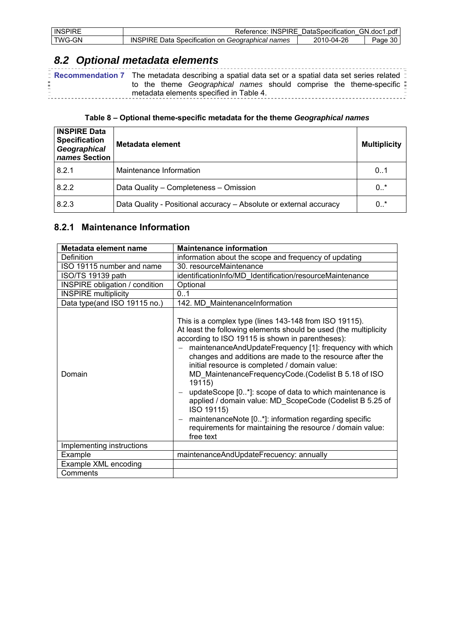| <b>INSPIRE</b> | <b>INSPIRE</b><br>Reference:                                 | DataSpecification | GN<br>.doc1.pdt |
|----------------|--------------------------------------------------------------|-------------------|-----------------|
| <b>TWG-GN</b>  | INSPIRE<br>⊿ata<br>names<br>Specification on<br>Geographical | 2010-04-26        | ∙aɑe<br>эU      |

# *8.2 Optional metadata elements*

**Recommendation 7** The metadata describing a spatial data set or a spatial data set series related = to the theme *Geographical names* should comprise the theme-specific metadata elements specified in Table 4. 

### **Table 8 – Optional theme-specific metadata for the theme** *Geographical names*

| <b>INSPIRE Data</b><br><b>Specification</b><br>Geographical<br>names Section | Metadata element                                                   | <b>Multiplicity</b> |
|------------------------------------------------------------------------------|--------------------------------------------------------------------|---------------------|
| 8.2.1                                                                        | Maintenance Information                                            | 0.1                 |
| 8.2.2                                                                        | Data Quality - Completeness - Omission                             | $0.7*$              |
| 8.2.3                                                                        | Data Quality - Positional accuracy - Absolute or external accuracy | $0.7*$              |

## **8.2.1 Maintenance Information**

| Metadata element name                 | <b>Maintenance information</b>                                                                                                                                                                                                                                                                                                                                                                                                                                                                                                                                                                                                                                                                 |
|---------------------------------------|------------------------------------------------------------------------------------------------------------------------------------------------------------------------------------------------------------------------------------------------------------------------------------------------------------------------------------------------------------------------------------------------------------------------------------------------------------------------------------------------------------------------------------------------------------------------------------------------------------------------------------------------------------------------------------------------|
| Definition                            | information about the scope and frequency of updating                                                                                                                                                                                                                                                                                                                                                                                                                                                                                                                                                                                                                                          |
| ISO 19115 number and name             | 30. resourceMaintenance                                                                                                                                                                                                                                                                                                                                                                                                                                                                                                                                                                                                                                                                        |
| ISO/TS 19139 path                     | identificationInfo/MD Identification/resourceMaintenance                                                                                                                                                                                                                                                                                                                                                                                                                                                                                                                                                                                                                                       |
| <b>INSPIRE obligation / condition</b> | Optional                                                                                                                                                                                                                                                                                                                                                                                                                                                                                                                                                                                                                                                                                       |
| <b>INSPIRE multiplicity</b>           | 01                                                                                                                                                                                                                                                                                                                                                                                                                                                                                                                                                                                                                                                                                             |
| Data type(and ISO 19115 no.)          | 142. MD MaintenanceInformation                                                                                                                                                                                                                                                                                                                                                                                                                                                                                                                                                                                                                                                                 |
| Domain                                | This is a complex type (lines 143-148 from ISO 19115).<br>At least the following elements should be used (the multiplicity<br>according to ISO 19115 is shown in parentheses):<br>maintenanceAndUpdateFrequency [1]: frequency with which<br>changes and additions are made to the resource after the<br>initial resource is completed / domain value:<br>MD_MaintenanceFrequencyCode.(Codelist B 5.18 of ISO<br>19115)<br>updateScope [0*]: scope of data to which maintenance is<br>applied / domain value: MD_ScopeCode (Codelist B 5.25 of<br>ISO 19115)<br>maintenanceNote [0*]: information regarding specific<br>requirements for maintaining the resource / domain value:<br>free text |
| Implementing instructions             |                                                                                                                                                                                                                                                                                                                                                                                                                                                                                                                                                                                                                                                                                                |
| Example                               | maintenanceAndUpdateFrecuency: annually                                                                                                                                                                                                                                                                                                                                                                                                                                                                                                                                                                                                                                                        |
| Example XML encoding                  |                                                                                                                                                                                                                                                                                                                                                                                                                                                                                                                                                                                                                                                                                                |
| Comments                              |                                                                                                                                                                                                                                                                                                                                                                                                                                                                                                                                                                                                                                                                                                |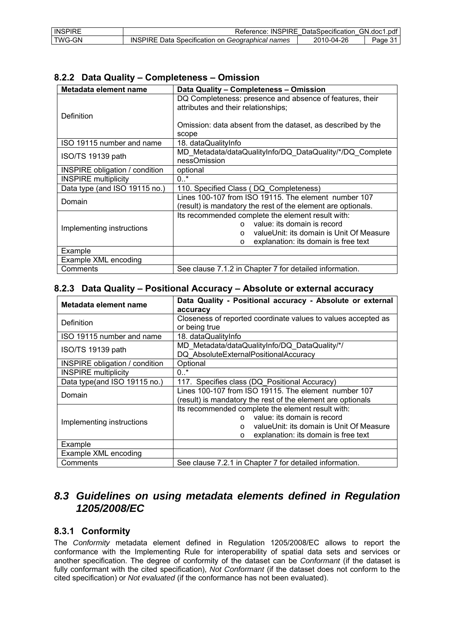| <b>INSPIRE</b> | Reference: INSPIRE DataSpecification GN.doc1.pdf        |            |         |
|----------------|---------------------------------------------------------|------------|---------|
| TWG-GN         | <b>INSPIRE Data Specification on Geographical names</b> | 2010-04-26 | Page 5. |

## **8.2.2 Data Quality – Completeness – Omission**

| Metadata element name                 | Data Quality - Completeness - Omission                                                                                                                                                                  |  |
|---------------------------------------|---------------------------------------------------------------------------------------------------------------------------------------------------------------------------------------------------------|--|
|                                       | DQ Completeness: presence and absence of features, their<br>attributes and their relationships;                                                                                                         |  |
| Definition                            | Omission: data absent from the dataset, as described by the<br>scope                                                                                                                                    |  |
| ISO 19115 number and name             | 18. dataQualityInfo                                                                                                                                                                                     |  |
| ISO/TS 19139 path                     | MD Metadata/dataQualityInfo/DQ DataQuality/*/DQ Complete<br>nessOmission                                                                                                                                |  |
| <b>INSPIRE obligation / condition</b> | optional                                                                                                                                                                                                |  |
| <b>INSPIRE multiplicity</b>           | $0.7*$                                                                                                                                                                                                  |  |
| Data type (and ISO 19115 no.)         | 110. Specified Class (DQ Completeness)                                                                                                                                                                  |  |
| Domain                                | Lines 100-107 from ISO 19115. The element number 107<br>(result) is mandatory the rest of the element are optionals.                                                                                    |  |
| Implementing instructions             | Its recommended complete the element result with:<br>value: its domain is record<br>$\cap$<br>valueUnit: its domain is Unit Of Measure<br>$\bigcap$<br>explanation: its domain is free text<br>$\Omega$ |  |
| Example                               |                                                                                                                                                                                                         |  |
| Example XML encoding                  |                                                                                                                                                                                                         |  |
| Comments                              | See clause 7.1.2 in Chapter 7 for detailed information.                                                                                                                                                 |  |

## **8.2.3 Data Quality – Positional Accuracy – Absolute or external accuracy**

| Metadata element name                                                         | Data Quality - Positional accuracy - Absolute or external<br>accuracy                                                                                                                               |  |
|-------------------------------------------------------------------------------|-----------------------------------------------------------------------------------------------------------------------------------------------------------------------------------------------------|--|
| Definition                                                                    | Closeness of reported coordinate values to values accepted as<br>or being true                                                                                                                      |  |
| ISO 19115 number and name                                                     | 18. dataQualityInfo                                                                                                                                                                                 |  |
| ISO/TS 19139 path                                                             | MD Metadata/dataQualityInfo/DQ DataQuality/*/<br>DQ AbsoluteExternalPositionalAccuracy                                                                                                              |  |
| <b>INSPIRE obligation / condition</b>                                         | Optional                                                                                                                                                                                            |  |
| <b>INSPIRE multiplicity</b>                                                   | $0.^*$                                                                                                                                                                                              |  |
| Data type(and ISO 19115 no.)<br>117. Specifies class (DQ Positional Accuracy) |                                                                                                                                                                                                     |  |
| Domain                                                                        | Lines 100-107 from ISO 19115. The element number 107<br>(result) is mandatory the rest of the element are optionals                                                                                 |  |
| Implementing instructions                                                     | Its recommended complete the element result with:<br>value: its domain is record<br>$\cap$<br>valueUnit: its domain is Unit Of Measure<br>$\cap$<br>explanation: its domain is free text<br>$\circ$ |  |
| Example                                                                       |                                                                                                                                                                                                     |  |
| Example XML encoding                                                          |                                                                                                                                                                                                     |  |
| Comments                                                                      | See clause 7.2.1 in Chapter 7 for detailed information.                                                                                                                                             |  |

## *8.3 Guidelines on using metadata elements defined in Regulation 1205/2008/EC*

## **8.3.1 Conformity**

The *Conformity* metadata element defined in Regulation 1205/2008/EC allows to report the conformance with the Implementing Rule for interoperability of spatial data sets and services or another specification. The degree of conformity of the dataset can be *Conformant* (if the dataset is fully conformant with the cited specification), *Not Conformant* (if the dataset does not conform to the cited specification) or *Not evaluated* (if the conformance has not been evaluated).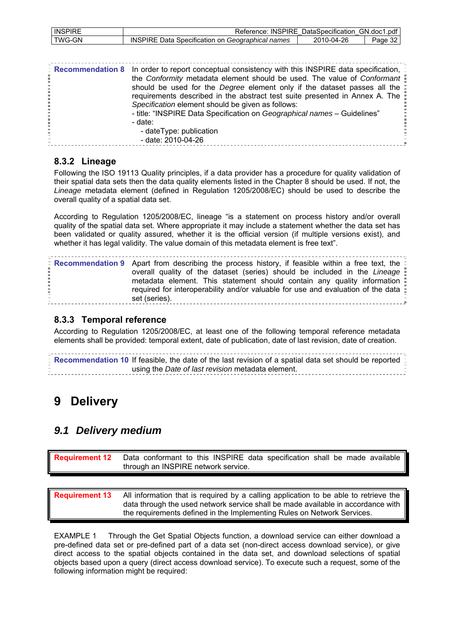| <b>INSPIRE</b> | Reference: INSPIRE DataSpecification GN.doc1.pdf        |            |         |
|----------------|---------------------------------------------------------|------------|---------|
| l TWG-GN       | <b>INSPIRE Data Specification on Geographical names</b> | 2010-04-26 | Page 32 |

|  | $\overline{z}$ Recommendation 8 In order to report conceptual consistency with this INSPIRE data specification, $\overline{z}$<br>the Conformity metadata element should be used. The value of Conformant<br>should be used for the Degree element only if the dataset passes all the<br>requirements described in the abstract test suite presented in Annex A. The<br>Specification element should be given as follows:<br>- title: "INSPIRE Data Specification on Geographical names - Guidelines"<br>- date:<br>- dateType: publication<br>- date: 2010-04-26 |
|--|-------------------------------------------------------------------------------------------------------------------------------------------------------------------------------------------------------------------------------------------------------------------------------------------------------------------------------------------------------------------------------------------------------------------------------------------------------------------------------------------------------------------------------------------------------------------|
|--|-------------------------------------------------------------------------------------------------------------------------------------------------------------------------------------------------------------------------------------------------------------------------------------------------------------------------------------------------------------------------------------------------------------------------------------------------------------------------------------------------------------------------------------------------------------------|

### **8.3.2 Lineage**

Following the ISO 19113 Quality principles, if a data provider has a procedure for quality validation of their spatial data sets then the data quality elements listed in the Chapter 8 should be used. If not, the *Lineage* metadata element (defined in Regulation 1205/2008/EC) should be used to describe the overall quality of a spatial data set.

According to Regulation 1205/2008/EC, lineage "is a statement on process history and/or overall quality of the spatial data set. Where appropriate it may include a statement whether the data set has been validated or quality assured, whether it is the official version (if multiple versions exist), and whether it has legal validity. The value domain of this metadata element is free text".

**Recommendation 9** Apart from describing the process history, if feasible within a free text, the overall quality of the dataset (series) should be included in the *Lineage*  metadata element. This statement should contain any quality information required for interoperability and/or valuable for use and evaluation of the data set (series).

## **8.3.3 Temporal reference**

According to Regulation 1205/2008/EC, at least one of the following temporal reference metadata elements shall be provided: temporal extent, date of publication, date of last revision, date of creation.

| E Recommendation 10 If feasible, the date of the last revision of a spatial data set should be reported $\bar{ }$ |  |
|-------------------------------------------------------------------------------------------------------------------|--|
|                                                                                                                   |  |
| using the Date of last revision metadata element.                                                                 |  |
|                                                                                                                   |  |
|                                                                                                                   |  |

# **9 Delivery**

## *9.1 Delivery medium*

| <b>Requirement 12</b> | Data conformant to this INSPIRE data specification shall be made available<br>through an INSPIRE network service.                                                                                                                                   |
|-----------------------|-----------------------------------------------------------------------------------------------------------------------------------------------------------------------------------------------------------------------------------------------------|
|                       |                                                                                                                                                                                                                                                     |
| <b>Requirement 13</b> | All information that is required by a calling application to be able to retrieve the<br>data through the used network service shall be made available in accordance with<br>the requirements defined in the Implementing Rules on Network Services. |

EXAMPLE 1 Through the Get Spatial Objects function, a download service can either download a pre-defined data set or pre-defined part of a data set (non-direct access download service), or give direct access to the spatial objects contained in the data set, and download selections of spatial objects based upon a query (direct access download service). To execute such a request, some of the following information might be required: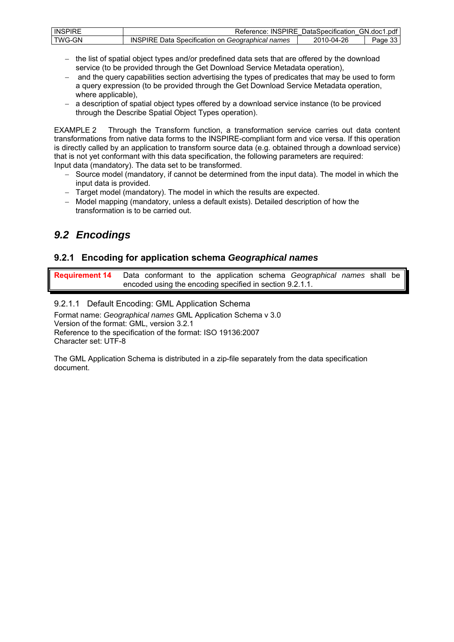| <b>INSPIRE</b> | Reference:                                              | : INSPIRE DataSpecification | GN.doc1.pdf        |
|----------------|---------------------------------------------------------|-----------------------------|--------------------|
| <b>TWG-GN</b>  | <b>INSPIRE Data Specification on Geographical names</b> | 2010-04-26                  | 22.1<br>Page<br>ാാ |

- − the list of spatial object types and/or predefined data sets that are offered by the download service (to be provided through the Get Download Service Metadata operation),
- and the query capabilities section advertising the types of predicates that may be used to form a query expression (to be provided through the Get Download Service Metadata operation, where applicable),
- − a description of spatial object types offered by a download service instance (to be proviced through the Describe Spatial Object Types operation).

EXAMPLE 2 Through the Transform function, a transformation service carries out data content transformations from native data forms to the INSPIRE-compliant form and vice versa. If this operation is directly called by an application to transform source data (e.g. obtained through a download service) that is not yet conformant with this data specification, the following parameters are required: Input data (mandatory). The data set to be transformed.

- − Source model (mandatory, if cannot be determined from the input data). The model in which the input data is provided.
- − Target model (mandatory). The model in which the results are expected.
- − Model mapping (mandatory, unless a default exists). Detailed description of how the transformation is to be carried out.

# *9.2 Encodings*

## **9.2.1 Encoding for application schema** *Geographical names*

**Requirement 14** Data conformant to the application schema *Geographical names* shall be encoded using the encoding specified in section 9.2.1.1.

## 9.2.1.1 Default Encoding: GML Application Schema

Format name: *Geographical names* GML Application Schema v 3.0 Version of the format: GML, version 3.2.1 Reference to the specification of the format: ISO 19136:2007 Character set: UTF-8

The GML Application Schema is distributed in a zip-file separately from the data specification document.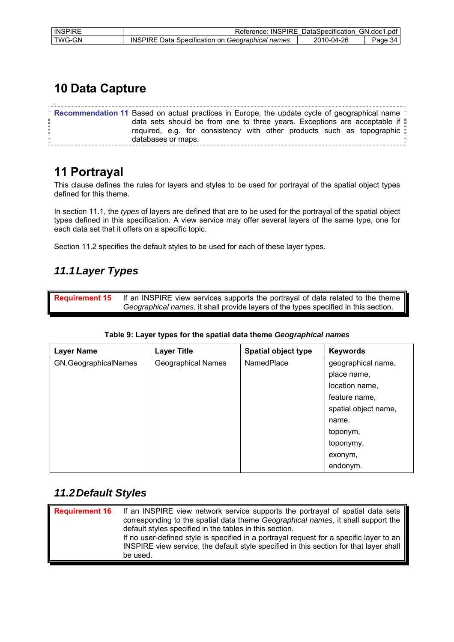| <b>INSPIRE</b> | <b>INSPIRE</b><br>Reference:                               | DataSpecification | GN.doc1.pdf |
|----------------|------------------------------------------------------------|-------------------|-------------|
| TWG-GN         | Data Specification on Geographical names<br><b>INSPIRE</b> | 2010-04-26        | 34<br>Page  |

# **10 Data Capture**

*.* 

| E Recommendation 11 Based on actual practices in Europe, the update cycle of geographical name $\bar{z}$ |
|----------------------------------------------------------------------------------------------------------|
| data sets should be from one to three years. Exceptions are acceptable if $\ddot$                        |
| required, e.g. for consistency with other products such as topographic                                   |
| databases or maps.                                                                                       |

# **11 Portrayal**

This clause defines the rules for layers and styles to be used for portrayal of the spatial object types defined for this theme.

In section 11.1, the *types* of layers are defined that are to be used for the portrayal of the spatial object types defined in this specification. A view service may offer several layers of the same type, one for each data set that it offers on a specific topic.

Section 11.2 specifies the default styles to be used for each of these layer types.

# *11.1 Layer Types*

**Requirement 15** If an INSPIRE view services supports the portrayal of data related to the theme *Geographical names*, it shall provide layers of the types specified in this section.

### **Table 9: Layer types for the spatial data theme** *Geographical names*

| <b>Layer Name</b>    | <b>Layer Title</b>        | <b>Spatial object type</b> | <b>Keywords</b>      |
|----------------------|---------------------------|----------------------------|----------------------|
| GN.GeographicalNames | <b>Geographical Names</b> | NamedPlace                 | geographical name,   |
|                      |                           |                            | place name,          |
|                      |                           |                            | location name,       |
|                      |                           |                            | feature name,        |
|                      |                           |                            | spatial object name, |
|                      |                           |                            | name,                |
|                      |                           |                            | toponym,             |
|                      |                           |                            | toponymy,            |
|                      |                           |                            | exonym,              |
|                      |                           |                            | endonym.             |

## *11.2 Default Styles*

| <b>Requirement 16</b> | If an INSPIRE view network service supports the portrayal of spatial data sets<br>corresponding to the spatial data theme Geographical names, it shall support the<br>default styles specified in the tables in this section. |
|-----------------------|-------------------------------------------------------------------------------------------------------------------------------------------------------------------------------------------------------------------------------|
|                       | If no user-defined style is specified in a portrayal request for a specific layer to an<br>INSPIRE view service, the default style specified in this section for that layer shall<br>be used.                                 |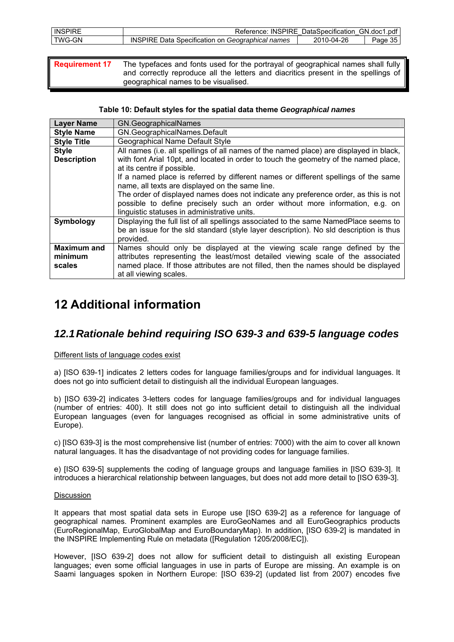| <b>INSPIRE</b> | Reference:<br><b>INSPIRE</b>                                                 | DataSpecification | GN.doc1.pdf |
|----------------|------------------------------------------------------------------------------|-------------------|-------------|
| TWG-GN         | <b>INSPIRE</b><br>a Specification on Geographical names<br>Data <sub>1</sub> | 2010-04-26        | Page J<br>. |

**Requirement 17** The typefaces and fonts used for the portrayal of geographical names shall fully and correctly reproduce all the letters and diacritics present in the spellings of geographical names to be visualised.

#### **Table 10: Default styles for the spatial data theme** *Geographical names*

| <b>Layer Name</b>                       | <b>GN.GeographicalNames</b>                                                                                                                                                                                                                                                                        |
|-----------------------------------------|----------------------------------------------------------------------------------------------------------------------------------------------------------------------------------------------------------------------------------------------------------------------------------------------------|
| <b>Style Name</b>                       | GN.GeographicalNames.Default                                                                                                                                                                                                                                                                       |
| <b>Style Title</b>                      | Geographical Name Default Style                                                                                                                                                                                                                                                                    |
| <b>Style</b><br><b>Description</b>      | All names (i.e. all spellings of all names of the named place) are displayed in black,<br>with font Arial 10pt, and located in order to touch the geometry of the named place,<br>at its centre if possible.<br>If a named place is referred by different names or different spellings of the same |
|                                         | name, all texts are displayed on the same line.<br>The order of displayed names does not indicate any preference order, as this is not<br>possible to define precisely such an order without more information, e.g. on<br>linguistic statuses in administrative units.                             |
| Symbology                               | Displaying the full list of all spellings associated to the same NamedPlace seems to<br>be an issue for the sld standard (style layer description). No sld description is thus<br>provided.                                                                                                        |
| <b>Maximum and</b><br>minimum<br>scales | Names should only be displayed at the viewing scale range defined by the<br>attributes representing the least/most detailed viewing scale of the associated<br>named place. If those attributes are not filled, then the names should be displayed<br>at all viewing scales.                       |

# **12 Additional information**

## *12.1 Rationale behind requiring ISO 639-3 and 639-5 language codes*

### Different lists of language codes exist

a) [ISO 639-1] indicates 2 letters codes for language families/groups and for individual languages. It does not go into sufficient detail to distinguish all the individual European languages.

b) [ISO 639-2] indicates 3-letters codes for language families/groups and for individual languages (number of entries: 400). It still does not go into sufficient detail to distinguish all the individual European languages (even for languages recognised as official in some administrative units of Europe).

c) [ISO 639-3] is the most comprehensive list (number of entries: 7000) with the aim to cover all known natural languages. It has the disadvantage of not providing codes for language families.

e) [ISO 639-5] supplements the coding of language groups and language families in [ISO 639-3]. It introduces a hierarchical relationship between languages, but does not add more detail to [ISO 639-3].

#### Discussion

It appears that most spatial data sets in Europe use [ISO 639-2] as a reference for language of geographical names. Prominent examples are EuroGeoNames and all EuroGeographics products (EuroRegionalMap, EuroGlobalMap and EuroBoundaryMap). In addition, [ISO 639-2] is mandated in the INSPIRE Implementing Rule on metadata ([Regulation 1205/2008/EC]).

However, [ISO 639-2] does not allow for sufficient detail to distinguish all existing European languages; even some official languages in use in parts of Europe are missing. An example is on Saami languages spoken in Northern Europe: [ISO 639-2] (updated list from 2007) encodes five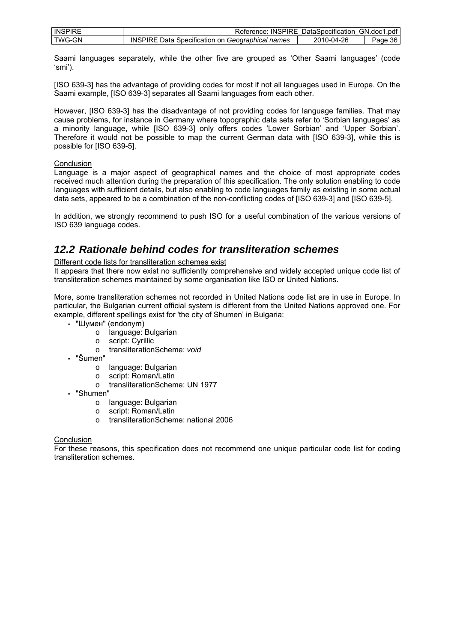| <b>INSPIRE</b> | Reference:                                              | : INSPIRE DataSpecification | GN.doc1.pdf |
|----------------|---------------------------------------------------------|-----------------------------|-------------|
| TWG-GN         | <b>INSPIRE Data Specification on Geographical names</b> | 2010-04-26                  | 36<br>Page  |

Saami languages separately, while the other five are grouped as 'Other Saami languages' (code 'smi').

[ISO 639-3] has the advantage of providing codes for most if not all languages used in Europe. On the Saami example, [ISO 639-3] separates all Saami languages from each other.

However, [ISO 639-3] has the disadvantage of not providing codes for language families. That may cause problems, for instance in Germany where topographic data sets refer to 'Sorbian languages' as a minority language, while [ISO 639-3] only offers codes 'Lower Sorbian' and 'Upper Sorbian'. Therefore it would not be possible to map the current German data with [ISO 639-3], while this is possible for [ISO 639-5].

#### Conclusion

Language is a major aspect of geographical names and the choice of most appropriate codes received much attention during the preparation of this specification. The only solution enabling to code languages with sufficient details, but also enabling to code languages family as existing in some actual data sets, appeared to be a combination of the non-conflicting codes of [ISO 639-3] and [ISO 639-5].

In addition, we strongly recommend to push ISO for a useful combination of the various versions of ISO 639 language codes.

## *12.2 Rationale behind codes for transliteration schemes*

#### Different code lists for transliteration schemes exist

It appears that there now exist no sufficiently comprehensive and widely accepted unique code list of transliteration schemes maintained by some organisation like ISO or United Nations.

More, some transliteration schemes not recorded in United Nations code list are in use in Europe. In particular, the Bulgarian current official system is different from the United Nations approved one. For example, different spellings exist for 'the city of Shumen' in Bulgaria:

- "Шумен" (endonym)
	- o language: Bulgarian
	- o script: Cyrillic
	- o transliterationScheme: *void*
- "Šumen"
	- o language: Bulgarian
	- o script: Roman/Latin
	- o transliterationScheme: UN 1977
- "Shumen"
	- o language: Bulgarian
	- o script: Roman/Latin
	- o transliterationScheme: national 2006

#### **Conclusion**

For these reasons, this specification does not recommend one unique particular code list for coding transliteration schemes.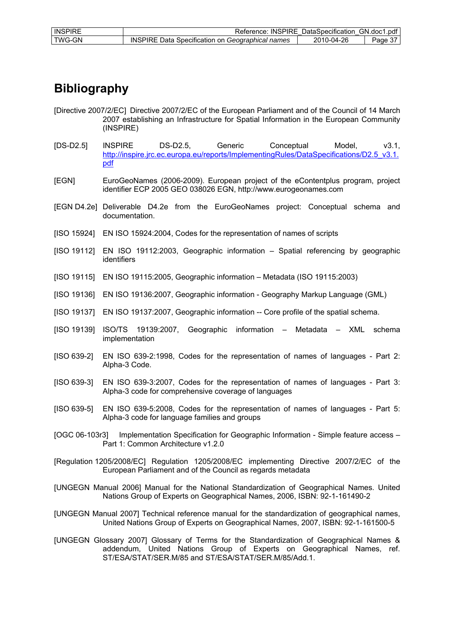| <b>INSPIRE</b> | Reference: INSPIRE DataSpecification GN.doc1.pdf        |            |         |
|----------------|---------------------------------------------------------|------------|---------|
| TWG-GN         | <b>INSPIRE Data Specification on Geographical names</b> | 2010-04-26 | Page 37 |

# **Bibliography**

- [Directive 2007/2/EC] Directive 2007/2/EC of the European Parliament and of the Council of 14 March 2007 establishing an Infrastructure for Spatial Information in the European Community (INSPIRE)
- [DS-D2.5] INSPIRE DS-D2.5, Generic Conceptual Model, v3.1, http://inspire.jrc.ec.europa.eu/reports/ImplementingRules/DataSpecifications/D2.5\_v3.1. pdf
- [EGN] EuroGeoNames (2006-2009). European project of the eContentplus program, project identifier ECP 2005 GEO 038026 EGN, http://www.eurogeonames.com
- [EGN D4.2e] Deliverable D4.2e from the EuroGeoNames project: Conceptual schema and documentation.
- [ISO 15924] EN ISO 15924:2004, Codes for the representation of names of scripts
- [ISO 19112] EN ISO 19112:2003, Geographic information Spatial referencing by geographic identifiers
- [ISO 19115] EN ISO 19115:2005, Geographic information Metadata (ISO 19115:2003)
- [ISO 19136] EN ISO 19136:2007, Geographic information Geography Markup Language (GML)
- [ISO 19137] EN ISO 19137:2007, Geographic information -- Core profile of the spatial schema.
- [ISO 19139] ISO/TS 19139:2007, Geographic information Metadata XML schema implementation
- [ISO 639-2] EN ISO 639-2:1998, Codes for the representation of names of languages Part 2: Alpha-3 Code.
- [ISO 639-3] EN ISO 639-3:2007, Codes for the representation of names of languages Part 3: Alpha-3 code for comprehensive coverage of languages
- [ISO 639-5] EN ISO 639-5:2008, Codes for the representation of names of languages Part 5: Alpha-3 code for language families and groups
- [OGC 06-103r3] Implementation Specification for Geographic Information Simple feature access Part 1: Common Architecture v1.2.0
- [Regulation 1205/2008/EC] Regulation 1205/2008/EC implementing Directive 2007/2/EC of the European Parliament and of the Council as regards metadata
- [UNGEGN Manual 2006] Manual for the National Standardization of Geographical Names. United Nations Group of Experts on Geographical Names, 2006, ISBN: 92-1-161490-2
- [UNGEGN Manual 2007] Technical reference manual for the standardization of geographical names, United Nations Group of Experts on Geographical Names, 2007, ISBN: 92-1-161500-5
- [UNGEGN Glossary 2007] Glossary of Terms for the Standardization of Geographical Names & addendum, United Nations Group of Experts on Geographical Names, ref. ST/ESA/STAT/SER.M/85 and ST/ESA/STAT/SER.M/85/Add.1.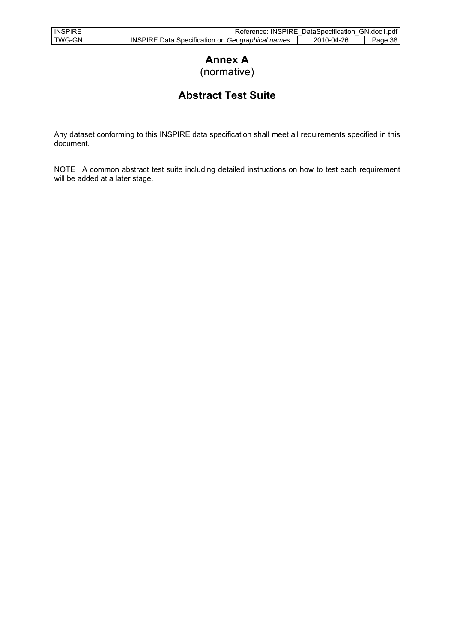| <b>INSPIRE</b> | Reference: INSPIRE DataSpecification GN.doc1.pdf        |            |         |
|----------------|---------------------------------------------------------|------------|---------|
| TWG-GN         | <b>INSPIRE Data Specification on Geographical names</b> | 2010-04-26 | Page 38 |

# **Annex A** (normative)

# **Abstract Test Suite**

Any dataset conforming to this INSPIRE data specification shall meet all requirements specified in this document.

NOTE A common abstract test suite including detailed instructions on how to test each requirement will be added at a later stage.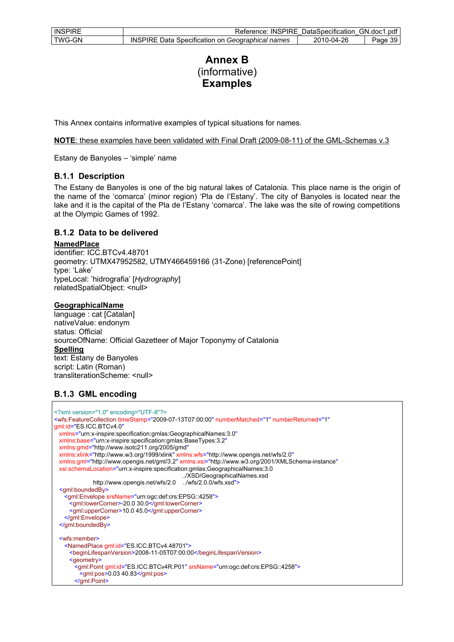## **Annex B**  (informative) **Examples**

This Annex contains informative examples of typical situations for names.

#### **NOTE**: these examples have been validated with Final Draft (2009-08-11) of the GML-Schemas v.3

Estany de Banyoles – 'simple' name

### **B.1.1 Description**

The Estany de Banyoles is one of the big natural lakes of Catalonia. This place name is the origin of the name of the 'comarca' (minor region) 'Pla de l'Estany'. The city of Banyoles is located near the lake and it is the capital of the Pla de l'Estany 'comarca'. The lake was the site of rowing competitions at the Olympic Games of 1992.

### **B.1.2 Data to be delivered**

#### **NamedPlace**

identifier: ICC.BTCv4.48701 geometry: UTMX47952582, UTMY466459166 (31-Zone) [referencePoint] type: 'Lake' typeLocal: 'hidrografia' [*Hydrography*] relatedSpatialObject: <null>

### **GeographicalName**

language : cat [Catalan] nativeValue: endonym status: Official sourceOfName: Official Gazetteer of Major Toponymy of Catalonia **Spelling** text: Estany de Banyoles script: Latin (Roman) transliterationScheme: <null>

## **B.1.3 GML encoding**

```
<?xml version="1.0" encoding="UTF-8"?>
<wfs:FeatureCollection timeStamp="2009-07-13T07:00:00" numberMatched="1" numberReturned="1"
gml:id="ES.ICC.BTCv4.0"
  xmlns="urn:x-inspire:specification:gmlas:GeographicalNames:3.0"
  xmlns:base="urn:x-inspire:specification:gmlas:BaseTypes:3.2"
  xmlns:gmd="http://www.isotc211.org/2005/gmd"
  xmlns:xlink="http://www.w3.org/1999/xlink" xmlns:wfs="http://www.opengis.net/wfs/2.0"
  xmlns:gml="http://www.opengis.net/gml/3.2" xmlns:xsi="http://www.w3.org/2001/XMLSchema-instance"
  xsi:schemaLocation="urn:x-inspire:specification:gmlas:GeographicalNames:3.0 
                                             ../XSD/GeographicalNames.xsd 
             http://www.opengis.net/wfs/2.0 ./wfs/2.0.0/wfs.xsd">
 <aml:boundedBy>
    <gml:Envelope srsName="urn:ogc:def:crs:EPSG::4258">
      <gml:lowerCorner>-20.0 30.0</gml:lowerCorner>
      <gml:upperCorner>10.0 45.0</gml:upperCorner>
    </gml:Envelope>
  </gml:boundedBy>
  <wfs:member>
    <NamedPlace gml:id="ES.ICC.BTCv4.48701">
      <beginLifespanVersion>2008-11-05T07:00:00</beginLifespanVersion>
      <geometry>
        <gml:Point gml:id="ES.ICC.BTCv4R.P01" srsName="urn:ogc:def:crs:EPSG::4258">
         <gml:pos>0.03 40.83</gml:pos>
        </gml:Point>
```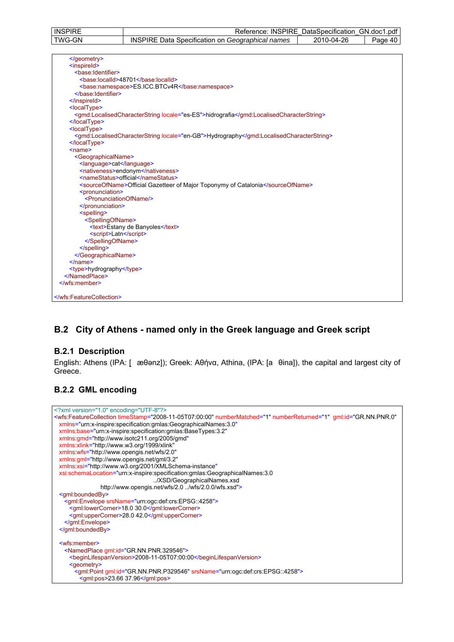| <b>INSPIRE</b> | <b>INSPIRE</b><br>Reference:                                        | DataSpecification      | GN.doc1.pdf |
|----------------|---------------------------------------------------------------------|------------------------|-------------|
| TWG-GN         | <b>INSPIRE</b><br>Data<br>Specification on<br>names<br>Geographical | <sup>ን</sup> 010-04-26 | Page<br>-40 |

| <inspireid></inspireid>                                                                 |  |
|-----------------------------------------------------------------------------------------|--|
| <base:identifier></base:identifier>                                                     |  |
| <base:localid>48701</base:localid>                                                      |  |
| <base:namespace>ES.ICC.BTCv4R</base:namespace>                                          |  |
|                                                                                         |  |
|                                                                                         |  |
| <localtype></localtype>                                                                 |  |
| <gmd:localisedcharacterstring locale="es-ES">hidrografia</gmd:localisedcharacterstring> |  |
|                                                                                         |  |
| <localtype></localtype>                                                                 |  |
| <gmd:localisedcharacterstring locale="en-GB">Hydrography</gmd:localisedcharacterstring> |  |
|                                                                                         |  |
| $name$                                                                                  |  |
| <geographicalname></geographicalname>                                                   |  |
| <language>cat</language>                                                                |  |
| <nativeness>endonym</nativeness>                                                        |  |
| <namestatus>official</namestatus>                                                       |  |
| <sourceofname>Official Gazetteer of Major Toponymy of Catalonia</sourceofname>          |  |
| <pronunciation></pronunciation>                                                         |  |
| <pronunciationofname></pronunciationofname>                                             |  |
|                                                                                         |  |
| <spelling></spelling>                                                                   |  |
| <spellingofname></spellingofname>                                                       |  |
| <text>Estany de Banyoles</text>                                                         |  |
| <script>Latn</script>                                                                   |  |
|                                                                                         |  |
|                                                                                         |  |
|                                                                                         |  |
| $<$ /name $>$                                                                           |  |
| <type>hydrography</type>                                                                |  |
|                                                                                         |  |
|                                                                                         |  |
|                                                                                         |  |
|                                                                                         |  |
|                                                                                         |  |

## **B.2 City of Athens - named only in the Greek language and Greek script**

## **B.2.1 Description**

English: Athens (IPA: [æθənz]); Greek: Αθήνα, Athina, (IPA: [a θina]), the capital and largest city of Greece.

## **B.2.2 GML encoding**

| xml version="1.0" encoding="UTF-8"?                                                                                                                  |
|------------------------------------------------------------------------------------------------------------------------------------------------------|
| <wfs:featurecollection <="" gml:id="GR.NN.PNR.0" numbermatched="1" numberreturned="1" td="" timestamp="2008-11-05T07:00:00"></wfs:featurecollection> |
| xmlns="urn:x-inspire:specification:gmlas:GeographicalNames:3.0"                                                                                      |
| xmlns:base="urn:x-inspire:specification:gmlas:BaseTypes:3.2"                                                                                         |
| xmlns:gmd="http://www.isotc211.org/2005/gmd"                                                                                                         |
| xmlns:xlink="http://www.w3.org/1999/xlink"                                                                                                           |
| xmlns:wfs="http://www.opengis.net/wfs/2.0"                                                                                                           |
| xmlns:gml="http://www.opengis.net/gml/3.2"                                                                                                           |
| xmlns:xsi="http://www.w3.org/2001/XMLSchema-instance"                                                                                                |
| xsi:schemaLocation="urn:x-inspire:specification:gmlas:GeographicalNames:3.0                                                                          |
| /XSD/GeographicalNames.xsd                                                                                                                           |
| http://www.opengis.net/wfs/2.0/wfs/2.0.0/wfs.xsd">                                                                                                   |
| <gml:boundedby></gml:boundedby>                                                                                                                      |
| <gml:envelope srsname="urn:ogc:def:crs:EPSG::4258"></gml:envelope>                                                                                   |
| <gml:lowercorner>18.0 30.0</gml:lowercorner>                                                                                                         |
| <gml:uppercorner>28.0 42.0</gml:uppercorner>                                                                                                         |
|                                                                                                                                                      |
|                                                                                                                                                      |
|                                                                                                                                                      |
| <wfs:member></wfs:member>                                                                                                                            |
| <namedplace qml:id="GR.NN.PNR.329546"></namedplace>                                                                                                  |
| <beginlifespanversion>2008-11-05T07:00:00</beginlifespanversion>                                                                                     |
| <geometry></geometry>                                                                                                                                |
| <gml:point gml:id="GR.NN.PNR.P329546" srsname="urn:ogc:def:crs:EPSG::4258"></gml:point>                                                              |
| <gml:pos>23.66 37.96</gml:pos>                                                                                                                       |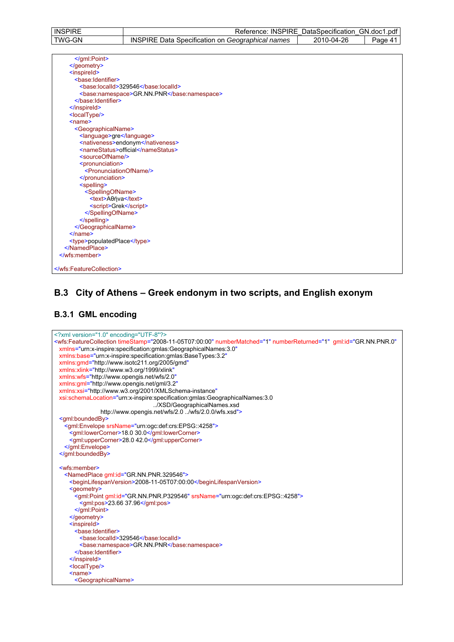| <b>INSPIRE</b> | <b>INSPIRE</b><br>⊰eterence:                                         | DataSpecification | GN.doc1<br>pdt |
|----------------|----------------------------------------------------------------------|-------------------|----------------|
| TWG-GN         | <b>INSPIRE</b><br>Data<br>. Specification on Geographical i<br>names | 2010-04-26        | Page           |

| $\le$ /qml:Point>                           |
|---------------------------------------------|
|                                             |
| <inspireid></inspireid>                     |
| <base: identifier=""></base:>               |
| <base:localid>329546</base:localid>         |
| <base:namespace>GR.NN.PNR</base:namespace>  |
|                                             |
|                                             |
| $<$ localType $>$                           |
| $name$                                      |
| <geographicalname></geographicalname>       |
| <language>gre</language>                    |
| <nativeness>endonym</nativeness>            |
| <namestatus>official</namestatus>           |
| <sourceofname></sourceofname>               |
| <pronunciation></pronunciation>             |
| <pronunciationofname></pronunciationofname> |
|                                             |
| <spelling></spelling>                       |
| <spellingofname></spellingofname>           |
| <text>Aθήva</text>                          |
| <script>Grek</script>                       |
|                                             |
|                                             |
|                                             |
| $<$ /name $>$                               |
| <type>populatedPlace</type>                 |
|                                             |
|                                             |
|                                             |
|                                             |

# **B.3 City of Athens – Greek endonym in two scripts, and English exonym**

# **B.3.1 GML encoding**

| xml version="1.0" encoding="UTF-8"?                                                                                                                  |
|------------------------------------------------------------------------------------------------------------------------------------------------------|
| <wfs:featurecollection <="" gml:id="GR.NN.PNR.0" numbermatched="1" numberreturned="1" td="" timestamp="2008-11-05T07:00:00"></wfs:featurecollection> |
| xmlns="urn:x-inspire:specification:gmlas:GeographicalNames:3.0"                                                                                      |
| xmlns:base="urn:x-inspire:specification:gmlas:BaseTypes:3.2"                                                                                         |
| xmlns:gmd="http://www.isotc211.org/2005/gmd"                                                                                                         |
| xmlns:xlink="http://www.w3.org/1999/xlink"                                                                                                           |
| xmlns:wfs="http://www.opengis.net/wfs/2.0"                                                                                                           |
| xmlns:gml="http://www.opengis.net/gml/3.2"                                                                                                           |
| xmlns:xsi="http://www.w3.org/2001/XMLSchema-instance"                                                                                                |
| xsi:schemaLocation="urn:x-inspire:specification:gmlas:GeographicalNames:3.0                                                                          |
| /XSD/GeographicalNames.xsd                                                                                                                           |
| http://www.opengis.net/wfs/2.0/wfs/2.0.0/wfs.xsd">                                                                                                   |
| <gml:boundedby></gml:boundedby>                                                                                                                      |
| <gml:envelope srsname="urn:ogc:def:crs:EPSG::4258"></gml:envelope>                                                                                   |
| <gml:lowercorner>18.0 30.0</gml:lowercorner>                                                                                                         |
| <gml:uppercorner>28.0 42.0</gml:uppercorner>                                                                                                         |
|                                                                                                                                                      |
|                                                                                                                                                      |
|                                                                                                                                                      |
| <wfs:member></wfs:member>                                                                                                                            |
| <namedplace qml:id="GR.NN.PNR.329546"></namedplace>                                                                                                  |
| <beginlifespanversion>2008-11-05T07:00:00</beginlifespanversion>                                                                                     |
| <aeometry></aeometry>                                                                                                                                |
| <gml:point gml:id="GR.NN.PNR.P329546" srsname="urn:ogc:def:crs:EPSG::4258"></gml:point>                                                              |
| <gml:pos>23.66 37.96</gml:pos>                                                                                                                       |
|                                                                                                                                                      |
|                                                                                                                                                      |
| <inspireid></inspireid>                                                                                                                              |
| <base:identifier></base:identifier>                                                                                                                  |
| <base:localid>329546</base:localid>                                                                                                                  |
| <base:namespace>GR.NN.PNR</base:namespace>                                                                                                           |
|                                                                                                                                                      |
|                                                                                                                                                      |
| <localtype></localtype>                                                                                                                              |
| $name$                                                                                                                                               |
| <geographicalname></geographicalname>                                                                                                                |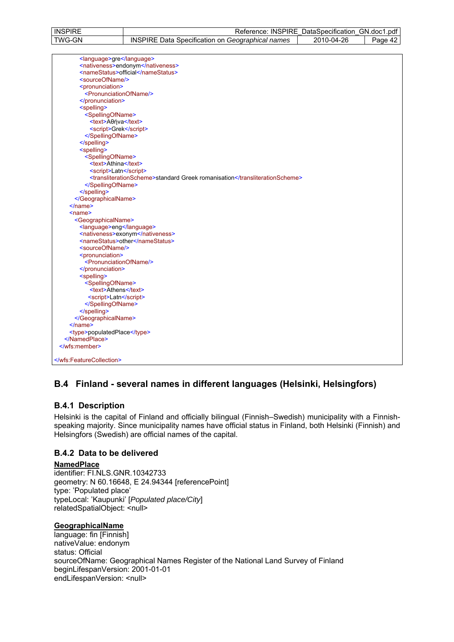| <b>INSPIRE</b> | <b>INSPIRE</b><br>rence:                                                  | DataSpecification | pdf<br>GN<br>.doc1 |
|----------------|---------------------------------------------------------------------------|-------------------|--------------------|
| TWG-GN         | INS<br>Geographical<br>names<br>nn<br>Jata<br>Sner<br>cification<br>ミレリレー | 2010-04-26        | Paɑe               |

| <language>gre</language>                                                   |  |
|----------------------------------------------------------------------------|--|
| <nativeness>endonym</nativeness>                                           |  |
| <namestatus>official</namestatus>                                          |  |
| <sourceofname></sourceofname>                                              |  |
| <pronunciation></pronunciation>                                            |  |
| <pronunciationofname></pronunciationofname>                                |  |
|                                                                            |  |
| <spelling></spelling>                                                      |  |
| <spellingofname></spellingofname>                                          |  |
| <text>Aθήva</text>                                                         |  |
| <script>Grek</script>                                                      |  |
|                                                                            |  |
|                                                                            |  |
| <spelling></spelling>                                                      |  |
| <spellingofname></spellingofname>                                          |  |
| <text>Athina</text>                                                        |  |
| <script>Latn</script>                                                      |  |
| <transliterationscheme>standard Greek romanisation</transliterationscheme> |  |
|                                                                            |  |
|                                                                            |  |
|                                                                            |  |
| $<$ /name $>$                                                              |  |
| $name$                                                                     |  |
| <geographicalname></geographicalname>                                      |  |
| <language>eng</language>                                                   |  |
| <nativeness>exonym</nativeness>                                            |  |
| <namestatus>other</namestatus>                                             |  |
| <sourceofname></sourceofname>                                              |  |
| <pronunciation></pronunciation>                                            |  |
| <pronunciationofname></pronunciationofname>                                |  |
|                                                                            |  |
| <spelling></spelling>                                                      |  |
| <spellingofname></spellingofname>                                          |  |
| <text>Athens</text>                                                        |  |
| <script>Latn</script>                                                      |  |
|                                                                            |  |
|                                                                            |  |
|                                                                            |  |
| $<$ /name $>$                                                              |  |
| <type>populatedPlace</type>                                                |  |
|                                                                            |  |
|                                                                            |  |
|                                                                            |  |
|                                                                            |  |

## **B.4 Finland - several names in different languages (Helsinki, Helsingfors)**

## **B.4.1 Description**

Helsinki is the capital of Finland and officially bilingual (Finnish–Swedish) municipality with a Finnishspeaking majority. Since municipality names have official status in Finland, both Helsinki (Finnish) and Helsingfors (Swedish) are official names of the capital.

## **B.4.2 Data to be delivered**

### **NamedPlace**

identifier: FI.NLS.GNR.10342733 geometry: N 60.16648, E 24.94344 [referencePoint] type: 'Populated place' typeLocal: 'Kaupunki' [*Populated place/City*] relatedSpatialObject: <null>

### **GeographicalName**

language: fin [Finnish] nativeValue: endonym status: Official sourceOfName: Geographical Names Register of the National Land Survey of Finland beginLifespanVersion: 2001-01-01 endLifespanVersion: <null>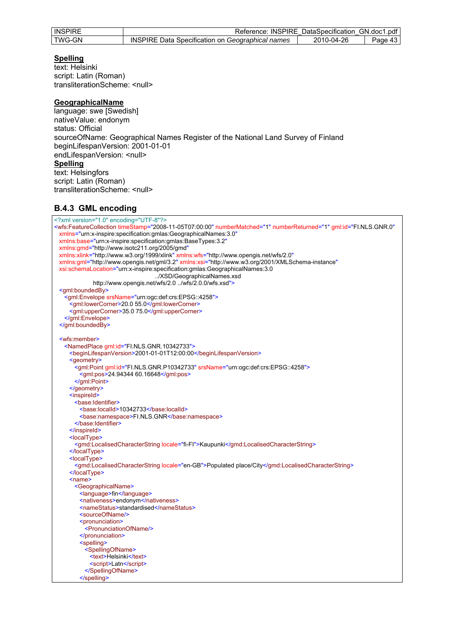| <b>INSPIRE</b> | Reference: INSPIRE DataSpecification GN.doc1.pdf        |            |         |
|----------------|---------------------------------------------------------|------------|---------|
| TWG-GN         | <b>INSPIRE Data Specification on Geographical names</b> | 2010-04-26 | Page 43 |

### **Spelling**

text: Helsinki script: Latin (Roman) transliterationScheme: <null>

#### **GeographicalName**

language: swe [Swedish] nativeValue: endonym status: Official sourceOfName: Geographical Names Register of the National Land Survey of Finland beginLifespanVersion: 2001-01-01 endLifespanVersion: <null> **Spelling** text: Helsingfors script: Latin (Roman) transliterationScheme: <null>

### **B.4.3 GML encoding**

| xml version="1.0" encoding="UTF-8"?                                                                                                                            |  |
|----------------------------------------------------------------------------------------------------------------------------------------------------------------|--|
| <wfs:featurecollection <="" gml:id="FI.NLS.GNR.0" numbermatched="1" numberreturned="1" th="" timestamp="2008-11-05T07:00:00"><th></th></wfs:featurecollection> |  |
| xmlns="urn:x-inspire:specification:gmlas:GeographicalNames:3.0"                                                                                                |  |
| xmlns:base="urn:x-inspire:specification:gmlas:BaseTypes:3.2"                                                                                                   |  |
| xmlns:gmd="http://www.isotc211.org/2005/gmd"                                                                                                                   |  |
| xmlns:xlink="http://www.w3.org/1999/xlink" xmlns:wfs="http://www.opengis.net/wfs/2.0"                                                                          |  |
| xmlns:gml="http://www.opengis.net/gml/3.2" xmlns:xsi="http://www.w3.org/2001/XMLSchema-instance"                                                               |  |
| xsi:schemaLocation="urn:x-inspire:specification:gmlas:GeographicalNames:3.0                                                                                    |  |
| /XSD/GeographicalNames.xsd                                                                                                                                     |  |
| http://www.opengis.net/wfs/2.0/wfs/2.0.0/wfs.xsd">                                                                                                             |  |
| <gml:boundedby></gml:boundedby>                                                                                                                                |  |
| <gml:envelope srsname="urn:ogc:def:crs:EPSG::4258"></gml:envelope>                                                                                             |  |
| <gml:lowercorner>20.0 55.0</gml:lowercorner>                                                                                                                   |  |
| <gml:uppercorner>35.0 75.0</gml:uppercorner>                                                                                                                   |  |
|                                                                                                                                                                |  |
|                                                                                                                                                                |  |
|                                                                                                                                                                |  |
| <wfs:member></wfs:member>                                                                                                                                      |  |
| <namedplace gml:id="FI.NLS.GNR.10342733"></namedplace>                                                                                                         |  |
| <beginlifespanversion>2001-01-01T12:00:00</beginlifespanversion><br><geometry></geometry>                                                                      |  |
| <gml:point gml:id="FI.NLS.GNR.P10342733" srsname="urn:ogc:def:crs:EPSG::4258"></gml:point>                                                                     |  |
| <gml:pos>24.94344 60.16648</gml:pos>                                                                                                                           |  |
| $\le$ /qml:Point>                                                                                                                                              |  |
|                                                                                                                                                                |  |
| <inspireid></inspireid>                                                                                                                                        |  |
| <base:identifier></base:identifier>                                                                                                                            |  |
| <base:localid>10342733</base:localid>                                                                                                                          |  |
| <base:namespace>FI.NLS.GNR</base:namespace>                                                                                                                    |  |
|                                                                                                                                                                |  |
|                                                                                                                                                                |  |
| <localtype></localtype>                                                                                                                                        |  |
| <gmd:localisedcharacterstring locale="fi-Fl">Kaupunki</gmd:localisedcharacterstring>                                                                           |  |
|                                                                                                                                                                |  |
| <localtype></localtype>                                                                                                                                        |  |
| <gmd:localisedcharacterstring locale="en-GB">Populated place/City</gmd:localisedcharacterstring>                                                               |  |
|                                                                                                                                                                |  |
| <name></name>                                                                                                                                                  |  |
| <geographicalname></geographicalname>                                                                                                                          |  |
| <language>fin</language>                                                                                                                                       |  |
| <nativeness>endonym</nativeness>                                                                                                                               |  |
| <namestatus>standardised</namestatus>                                                                                                                          |  |
| <sourceofname></sourceofname>                                                                                                                                  |  |
| <pronunciation></pronunciation>                                                                                                                                |  |
| <pronunciationofname></pronunciationofname>                                                                                                                    |  |
|                                                                                                                                                                |  |
| <spelling></spelling>                                                                                                                                          |  |
| <spellingofname></spellingofname>                                                                                                                              |  |
| <text>Helsinki</text>                                                                                                                                          |  |
| <script>Latn</script>                                                                                                                                          |  |
|                                                                                                                                                                |  |
|                                                                                                                                                                |  |
|                                                                                                                                                                |  |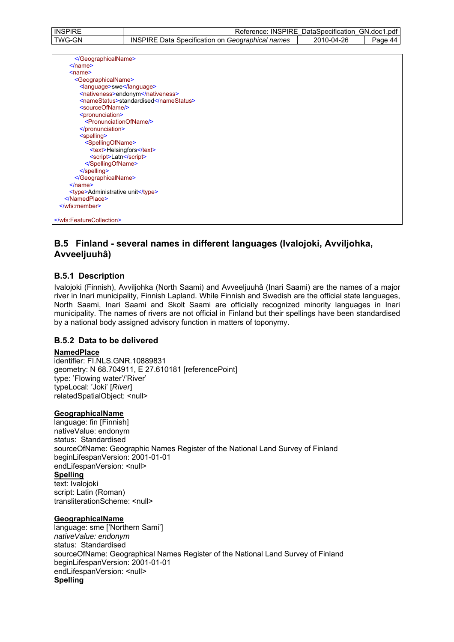| <b>INSPIRE</b> | <b>INSPIRE</b><br>Reference:                               | DataSpecification | GN.doc1.pdf |
|----------------|------------------------------------------------------------|-------------------|-------------|
| TWG-GN         | Data Specification on Geographical names<br><b>INSPIRE</b> | 2010-04-26        | Page<br>44  |
|                |                                                            |                   |             |

| $<$ /name $>$                               |
|---------------------------------------------|
| $name$                                      |
| <geographicalname></geographicalname>       |
| <language>swe</language>                    |
| <nativeness>endonym</nativeness>            |
| <namestatus>standardised</namestatus>       |
| <sourceofname></sourceofname>               |
| <pronunciation></pronunciation>             |
| <pronunciationofname></pronunciationofname> |
|                                             |
| <spelling></spelling>                       |
| <spellingofname></spellingofname>           |
| <text>Helsingfors</text>                    |
| <script>Latn</script>                       |
|                                             |
|                                             |
|                                             |
| $<$ /name $>$                               |
| <type>Administrative unit</type>            |
|                                             |
|                                             |
|                                             |

## **B.5 Finland - several names in different languages (Ivalojoki, Avviljohka, Avveeljuuhâ)**

### **B.5.1 Description**

Ivalojoki (Finnish), Avviljohka (North Saami) and Avveeljuuhâ (Inari Saami) are the names of a major river in Inari municipality, Finnish Lapland. While Finnish and Swedish are the official state languages, North Saami, Inari Saami and Skolt Saami are officially recognized minority languages in Inari municipality. The names of rivers are not official in Finland but their spellings have been standardised by a national body assigned advisory function in matters of toponymy.

### **B.5.2 Data to be delivered**

### **NamedPlace**

identifier: FI.NLS.GNR.10889831 geometry: N 68.704911, E 27.610181 [referencePoint] type: 'Flowing water'/'River' typeLocal: 'Joki' [*River*] relatedSpatialObject: <null>

### **GeographicalName**

language: fin [Finnish] nativeValue: endonym status: Standardised sourceOfName: Geographic Names Register of the National Land Survey of Finland beginLifespanVersion: 2001-01-01 endLifespanVersion: <null> **Spelling** text: Ivalojoki script: Latin (Roman) transliterationScheme: <null>

### **GeographicalName**

language: sme ['Northern Sami'] *nativeValue: endonym*  status: Standardised sourceOfName: Geographical Names Register of the National Land Survey of Finland beginLifespanVersion: 2001-01-01 endLifespanVersion: <null> **Spelling**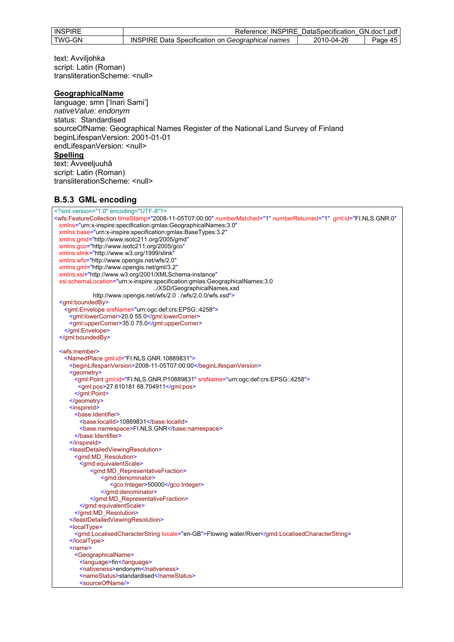| <b>INSPIRE</b> | Reference:                                              | : INSPIRE DataSpecification GN.doc1.pdf |         |
|----------------|---------------------------------------------------------|-----------------------------------------|---------|
| TWG-GN         | <b>INSPIRE Data Specification on Geographical names</b> | 2010-04-26                              | Page 45 |

text: Avviljohka script: Latin (Roman) transliterationScheme: <null>

#### **GeographicalName**

language: smn ['Inari Sami'] *nativeValue: endonym*  status: Standardised sourceOfName: Geographical Names Register of the National Land Survey of Finland beginLifespanVersion: 2001-01-01 endLifespanVersion: <null> **Spelling** text: Avveeljuuhâ

script: Latin (Roman) transliterationScheme: <null>

### **B.5.3 GML encoding**

<?xml version="1.0" encoding="UTF-8"?> <wfs:FeatureCollection timeStamp="2008-11-05T07:00:00" numberMatched="1" numberReturned="1" gml:id="FI.NLS.GNR.0" xmlns="urn:x-inspire:specification:gmlas:GeographicalNames:3.0" xmlns:base="urn:x-inspire:specification:gmlas:BaseTypes:3.2" xmlns:gmd="http://www.isotc211.org/2005/gmd" xmlns:gco="http://www.isotc211.org/2005/gco" xmlns:xlink="http://www.w3.org/1999/xlink" xmlns:wfs="http://www.opengis.net/wfs/2.0" xmlns:gml="http://www.opengis.net/gml/3.2" xmlns:xsi="http://www.w3.org/2001/XMLSchema-instance" xsi:schemaLocation="urn:x-inspire:specification:gmlas:GeographicalNames:3.0 ../XSD/GeographicalNames.xsd http://www.opengis.net/wfs/2.0 ../wfs/2.0.0/wfs.xsd"> <gml:boundedBy> <gml:Envelope srsName="urn:ogc:def:crs:EPSG::4258"> <gml:lowerCorner>20.0 55.0</gml:lowerCorner> <gml:upperCorner>35.0 75.0</gml:upperCorner> </gml:Envelope> </gml:boundedBy> <wfs:member> <NamedPlace gml:id="FI.NLS.GNR.10889831"> <beginLifespanVersion>2008-11-05T07:00:00</beginLifespanVersion> <geometry> <gml:Point gml:id="FI.NLS.GNR.P10889831" srsName="urn:ogc:def:crs:EPSG::4258"> <gml:pos>27.610181 68.704911</gml:pos> </gml:Point> </geometry> <inspireId> <br />
stase:Identifier> <base:localId>10889831</base:localId> <base:namespace>FI.NLS.GNR</base:namespace> </base:Identifier> </inspireId> <leastDetailedViewingResolution> <gmd:MD\_Resolution> <gmd:equivalentScale> <gmd:MD\_RepresentativeFraction> <gmd:denominator> <gco:Integer>50000</gco:Integer> </gmd:denominator> </gmd:MD\_RepresentativeFraction> </gmd:equivalentScale> </gmd:MD\_Resolution> </leastDetailedViewingResolution> <localType> <gmd:LocalisedCharacterString locale="en-GB">Flowing water/River</gmd:LocalisedCharacterString> </localType> <name> <GeographicalName> <language>fin</language> <nativeness>endonym</nativeness> <nameStatus>standardised</nameStatus> <sourceOfName/>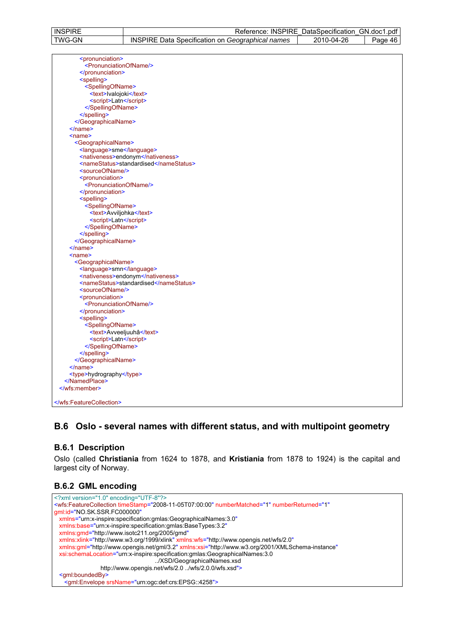| <b>INSPIRE</b> | २eference:<br>INSPIRE                                                  | $\cdot$<br>DataSpecification | GN<br>.pdf<br>.doc1 |
|----------------|------------------------------------------------------------------------|------------------------------|---------------------|
| TWG-GN         | INS<br>names<br>Geographical<br>n on<br>Specification<br>Jata<br>SPIRE | 04-26<br>2010-               | aac<br>Δŀ           |

| <pronunciation></pronunciation>             |  |
|---------------------------------------------|--|
| <pronunciationofname></pronunciationofname> |  |
|                                             |  |
| <spelling></spelling>                       |  |
| <spellingofname></spellingofname>           |  |
| <text>Ivalojoki</text>                      |  |
| <script>Latn</script>                       |  |
|                                             |  |
|                                             |  |
|                                             |  |
| $<$ /name $>$                               |  |
| $name$                                      |  |
| <geographicalname></geographicalname>       |  |
| <language>sme</language>                    |  |
| <nativeness>endonym</nativeness>            |  |
| <namestatus>standardised</namestatus>       |  |
| <sourceofname></sourceofname>               |  |
| <pronunciation></pronunciation>             |  |
| <pronunciationofname></pronunciationofname> |  |
|                                             |  |
| <spelling></spelling>                       |  |
| <spellingofname></spellingofname>           |  |
| <text>Avviljohka</text>                     |  |
| <script>Latn</script>                       |  |
|                                             |  |
|                                             |  |
|                                             |  |
| $<$ /name $>$                               |  |
| <name></name>                               |  |
| <geographicalname></geographicalname>       |  |
| <language>smn</language>                    |  |
| <nativeness>endonym</nativeness>            |  |
| <namestatus>standardised</namestatus>       |  |
| <sourceofname></sourceofname>               |  |
| <pronunciation></pronunciation>             |  |
| <pronunciationofname></pronunciationofname> |  |
|                                             |  |
| <spelling></spelling>                       |  |
| <spellingofname></spellingofname>           |  |
| <text>Avveeljuuhâ</text>                    |  |
| <script>Latn</script>                       |  |
|                                             |  |
|                                             |  |
|                                             |  |
| $<$ /name $>$                               |  |
| <type>hydrography</type>                    |  |
|                                             |  |
|                                             |  |
|                                             |  |

## **B.6 Oslo - several names with different status, and with multipoint geometry**

### **B.6.1 Description**

Oslo (called **Christiania** from 1624 to 1878, and **Kristiania** from 1878 to 1924) is the capital and largest city of Norway.

## **B.6.2 GML encoding**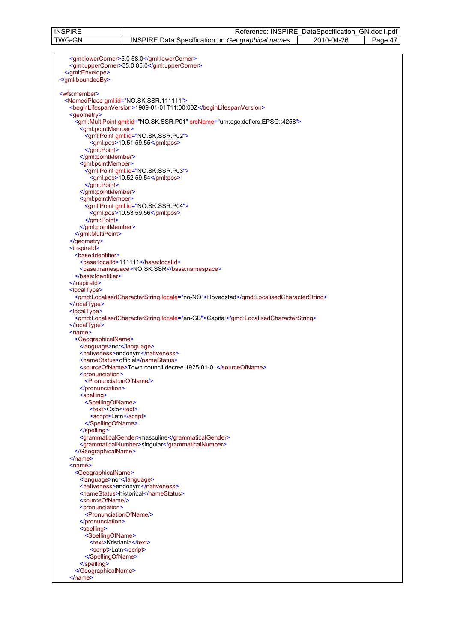| <b>INSPIRE</b>                              | Reference: INSPIRE_DataSpecification_GN.doc1.pdf                                              |
|---------------------------------------------|-----------------------------------------------------------------------------------------------|
| <b>TWG-GN</b>                               | <b>INSPIRE Data Specification on Geographical names</b><br>2010-04-26<br>Page 47              |
|                                             |                                                                                               |
|                                             |                                                                                               |
|                                             | <gml:lowercorner>5.0 58.0</gml:lowercorner>                                                   |
|                                             | <gml:uppercorner>35.0 85.0</gml:uppercorner>                                                  |
|                                             |                                                                                               |
|                                             |                                                                                               |
|                                             |                                                                                               |
|                                             |                                                                                               |
| <wfs:member></wfs:member>                   |                                                                                               |
|                                             | <namedplace gml:id="NO.SK.SSR.111111"></namedplace>                                           |
|                                             |                                                                                               |
|                                             | <beginlifespanversion>1989-01-01T11:00:00Z</beginlifespanversion>                             |
| <geometry></geometry>                       |                                                                                               |
|                                             | <gml:multipoint gml:id="NO.SK.SSR.P01" srsname="urn:ogc:def:crs:EPSG::4258"></gml:multipoint> |
| <gml:pointmember></gml:pointmember>         |                                                                                               |
|                                             | <gml:point gml:id="NO.SK.SSR.P02"></gml:point>                                                |
|                                             |                                                                                               |
|                                             | <gml:pos>10.51 59.55</gml:pos>                                                                |
|                                             |                                                                                               |
|                                             |                                                                                               |
| <gml:pointmember></gml:pointmember>         |                                                                                               |
|                                             | <gml:point gml:id="NO.SK.SSR.P03"></gml:point>                                                |
|                                             | <gml:pos>10.52 59.54</gml:pos>                                                                |
|                                             |                                                                                               |
|                                             |                                                                                               |
|                                             |                                                                                               |
| <gml:pointmember></gml:pointmember>         |                                                                                               |
|                                             | <gml:point gml:id="NO.SK.SSR.P04"></gml:point>                                                |
|                                             |                                                                                               |
|                                             | $\leq$ gml:pos>10.53 59.56 $\leq$ /gml:pos>                                                   |
|                                             |                                                                                               |
|                                             |                                                                                               |
|                                             |                                                                                               |
|                                             |                                                                                               |
| <inspireid></inspireid>                     |                                                                                               |
|                                             |                                                                                               |
| <base:identifier></base:identifier>         |                                                                                               |
|                                             | <br>base:localId>111111                                                                       |
|                                             | <base:namespace>NO.SK.SSR</base:namespace>                                                    |
|                                             |                                                                                               |
|                                             |                                                                                               |
|                                             |                                                                                               |
| <localtype></localtype>                     |                                                                                               |
|                                             | <gmd:localisedcharacterstring locale="no-NO">Hovedstad</gmd:localisedcharacterstring>         |
|                                             |                                                                                               |
| <localtype></localtype>                     |                                                                                               |
|                                             | <gmd:localisedcharacterstring locale="en-GB">Capital</gmd:localisedcharacterstring>           |
|                                             |                                                                                               |
|                                             |                                                                                               |
| $name$                                      |                                                                                               |
| <geographicalname></geographicalname>       |                                                                                               |
| <language>nor</language>                    |                                                                                               |
|                                             | <nativeness>endonym</nativeness>                                                              |
|                                             | <namestatus>official</namestatus>                                                             |
|                                             | <sourceofname>Town council decree 1925-01-01</sourceofname>                                   |
|                                             |                                                                                               |
| <pronunciation></pronunciation>             |                                                                                               |
| <pronunciationofname></pronunciationofname> |                                                                                               |
|                                             |                                                                                               |
| <spelling></spelling>                       |                                                                                               |
| <spellingofname></spellingofname>           |                                                                                               |
| <text>Oslo</text>                           |                                                                                               |
|                                             |                                                                                               |
| <script>Latn</script>                       |                                                                                               |
|                                             |                                                                                               |
|                                             |                                                                                               |
|                                             | <grammaticalgender>masculine</grammaticalgender>                                              |
|                                             | <grammaticalnumber>singular</grammaticalnumber>                                               |
|                                             |                                                                                               |
|                                             |                                                                                               |
| $<$ /name>                                  |                                                                                               |
| $name$                                      |                                                                                               |
| <geographicalname></geographicalname>       |                                                                                               |
| <language>nor</language>                    |                                                                                               |
|                                             | <nativeness>endonym</nativeness>                                                              |
|                                             | <namestatus>historical</namestatus>                                                           |
|                                             |                                                                                               |
| <sourceofname></sourceofname>               |                                                                                               |
| <pronunciation></pronunciation>             |                                                                                               |
| <pronunciationofname></pronunciationofname> |                                                                                               |
|                                             |                                                                                               |
| <spelling></spelling>                       |                                                                                               |
|                                             |                                                                                               |
| <spellingofname></spellingofname>           |                                                                                               |
| <text>Kristiania</text>                     |                                                                                               |
| <script>Latn</script>                       |                                                                                               |
|                                             |                                                                                               |
|                                             |                                                                                               |
|                                             |                                                                                               |
|                                             |                                                                                               |
| $<$ /name $>$                               |                                                                                               |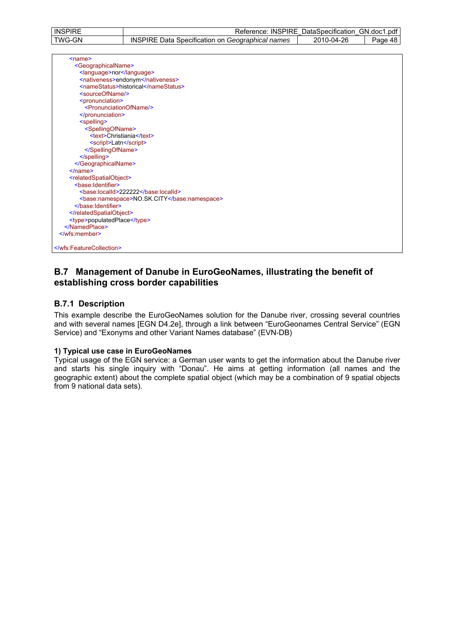| <b>INSPIRE</b> | Reference:<br>INSPIRE                                                                   | DataSnecification. | . .pdf<br>GN.doc1 |
|----------------|-----------------------------------------------------------------------------------------|--------------------|-------------------|
| TWG-GN         | .<br><b>INSI</b><br>)ata<br>names<br>Geographical I<br>Specification on<br><b>SPIRE</b> | -04-26<br>0010     | -48.<br>aae?      |

| $name$                                        |  |
|-----------------------------------------------|--|
| <geographicalname></geographicalname>         |  |
| <language>nor</language>                      |  |
| <nativeness>endonym</nativeness>              |  |
| <namestatus>historical</namestatus>           |  |
| <sourceofname></sourceofname>                 |  |
| <pronunciation></pronunciation>               |  |
| <pronunciationofname></pronunciationofname>   |  |
|                                               |  |
| <spelling></spelling>                         |  |
| <spellingofname></spellingofname>             |  |
| <text>Christiania</text>                      |  |
| <script>Latn</script>                         |  |
|                                               |  |
|                                               |  |
|                                               |  |
| $<$ /name $>$                                 |  |
| <relatedspatialobject></relatedspatialobject> |  |
| <base:identifier></base:identifier>           |  |
| <base:localid>222222</base:localid>           |  |
| <base:namespace>NO.SK.CITY</base:namespace>   |  |
|                                               |  |
|                                               |  |
| <type>populatedPlace</type>                   |  |
|                                               |  |
|                                               |  |
|                                               |  |
|                                               |  |

## **B.7 Management of Danube in EuroGeoNames, illustrating the benefit of establishing cross border capabilities**

### **B.7.1 Description**

This example describe the EuroGeoNames solution for the Danube river, crossing several countries and with several names [EGN D4.2e], through a link between "EuroGeonames Central Service" (EGN Service) and "Exonyms and other Variant Names database" (EVN-DB)

### **1) Typical use case in EuroGeoNames**

Typical usage of the EGN service: a German user wants to get the information about the Danube river and starts his single inquiry with "Donau". He aims at getting information (all names and the geographic extent) about the complete spatial object (which may be a combination of 9 spatial objects from 9 national data sets).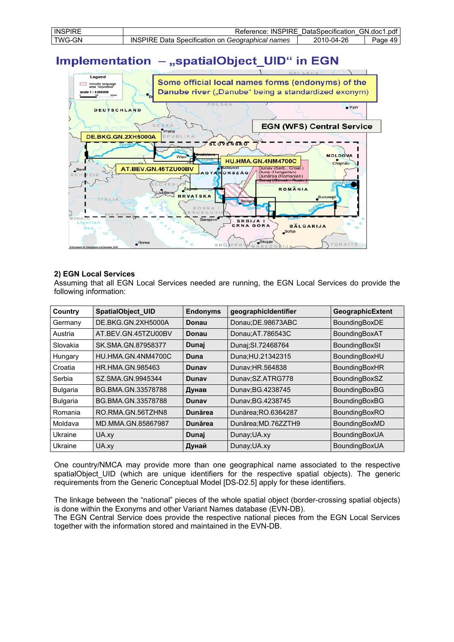| <b>INSPIRE</b> | Reference: INSPIRE DataSpecification                       |            | GN.doc1.pdf       |
|----------------|------------------------------------------------------------|------------|-------------------|
| TWG-GN         | Data Specification on Geographical names<br><b>INSPIRE</b> | 2010-04-26 | 49<br>Page<br>. J |

# Implementation - "spatialObject UID" in EGN



#### **2) EGN Local Services**

Assuming that all EGN Local Services needed are running, the EGN Local Services do provide the following information:

| <b>Country</b>  | SpatialObject_UID   | <b>Endonyms</b> | geographicIdentifier | GeographicExtent     |
|-----------------|---------------------|-----------------|----------------------|----------------------|
| Germany         | DE.BKG.GN.2XH5000A  | Donau           | Donau;DE.98673ABC    | BoundingBoxDE        |
| Austria         | AT.BEV.GN.45TZU00BV | Donau           | Donau; AT.786543C    | BoundingBoxAT        |
| Slovakia        | SK.SMA.GN.87958377  | Dunaj           | Dunaj; SI.72468764   | <b>BoundingBoxSI</b> |
| Hungary         | HU.HMA.GN.4NM4700C  | Duna            | Duna;HU.21342315     | BoundingBoxHU        |
| Croatia         | HR.HMA.GN.985463    | Dunav           | Dunav; HR. 564838    | BoundingBoxHR        |
| Serbia          | SZ.SMA.GN.9945344   | Dunav           | Dunav;SZ.ATRG778     | BoundingBoxSZ        |
| <b>Bulgaria</b> | BG.BMA.GN.33578788  | Дунав           | Dunav; BG.4238745    | BoundingBoxBG        |
| <b>Bulgaria</b> | BG.BMA.GN.33578788  | Dunav           | Dunav; BG.4238745    | BoundingBoxBG        |
| Romania         | RO.RMA.GN.56TZHN8   | <b>Dunărea</b>  | Dunărea; RO.6364287  | BoundingBoxRO        |
| Moldava         | MD.MMA.GN.85867987  | <b>Dunărea</b>  | Dunărea; MD.76ZZTH9  | BoundingBoxMD        |
| Ukraine         | UA.xy               | Dunaj           | Dunay; UA.xy         | BoundingBoxUA        |
| Ukraine         | UA.xy               | Дунай           | Dunay; UA.xy         | BoundingBoxUA        |

One country/NMCA may provide more than one geographical name associated to the respective spatialObject UID (which are unique identifiers for the respective spatial objects). The generic requirements from the Generic Conceptual Model [DS-D2.5] apply for these identifiers.

The linkage between the "national" pieces of the whole spatial object (border-crossing spatial objects) is done within the Exonyms and other Variant Names database (EVN-DB).

The EGN Central Service does provide the respective national pieces from the EGN Local Services together with the information stored and maintained in the EVN-DB.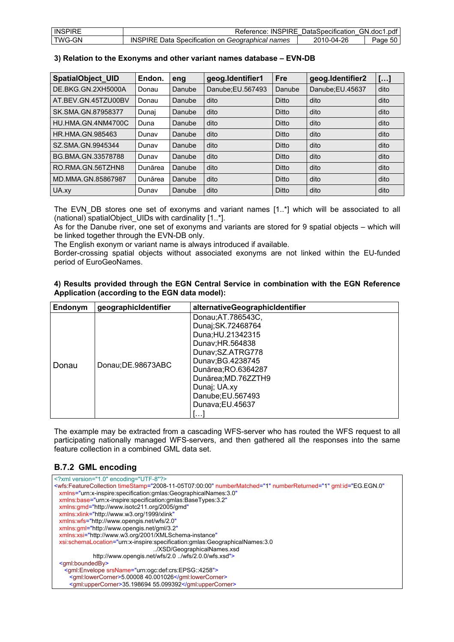| <b>INSPIRE</b> | Reference:                                              | : INSPIRE DataSpecification | GN.doc1.pdf   |
|----------------|---------------------------------------------------------|-----------------------------|---------------|
| TWG-GN         | <b>INSPIRE Data Specification on Geographical names</b> | 2010-04-26                  | .50 I<br>Page |

| <b>SpatialObject_UID</b> | Endon.  | eng    | geog.Identifier1  | Fre          | geog.Identifier2 | []   |
|--------------------------|---------|--------|-------------------|--------------|------------------|------|
| DE.BKG.GN.2XH5000A       | Donau   | Danube | Danube; EU.567493 | Danube       | Danube;EU.45637  | dito |
| AT.BEV.GN.45TZU00BV      | Donau   | Danube | dito              | <b>Ditto</b> | dito             | dito |
| SK.SMA.GN.87958377       | Dunaj   | Danube | dito              | <b>Ditto</b> | dito             | dito |
| HU.HMA.GN.4NM4700C       | Duna    | Danube | dito              | <b>Ditto</b> | dito             | dito |
| HR.HMA.GN.985463         | Dunav   | Danube | dito              | <b>Ditto</b> | dito             | dito |
| SZ.SMA.GN.9945344        | Dunav   | Danube | dito              | <b>Ditto</b> | dito             | dito |
| BG.BMA.GN.33578788       | Dunav   | Danube | dito              | <b>Ditto</b> | dito             | dito |
| RO.RMA.GN.56TZHN8        | Dunărea | Danube | dito              | <b>Ditto</b> | dito             | dito |
| MD.MMA.GN.85867987       | Dunărea | Danube | dito              | <b>Ditto</b> | dito             | dito |
| UA.xy                    | Dunav   | Danube | dito              | Ditto        | dito             | dito |

### **3) Relation to the Exonyms and other variant names database – EVN-DB**

The EVN\_DB stores one set of exonyms and variant names [1..\*] which will be associated to all (national) spatialObject\_UIDs with cardinality [1..\*].

As for the Danube river, one set of exonyms and variants are stored for 9 spatial objects – which will be linked together through the EVN-DB only.

The English exonym or variant name is always introduced if available.

Border-crossing spatial objects without associated exonyms are not linked within the EU-funded period of EuroGeoNames.

#### **4) Results provided through the EGN Central Service in combination with the EGN Reference Application (according to the EGN data model):**

| Endonym | geographicIdentifier | alternativeGeographicIdentifier                                                                                                                                                                                                 |
|---------|----------------------|---------------------------------------------------------------------------------------------------------------------------------------------------------------------------------------------------------------------------------|
| Donau   | Donau;DE.98673ABC    | Donau; AT.786543C,<br>Dunaj;SK.72468764<br>Duna;HU.21342315<br>Dunav; HR.564838<br>Dunav; SZ.ATRG778<br>Dunav; BG.4238745<br>Dunărea; RO.6364287<br>Dunărea; MD.76ZZTH9<br>Dunaj; UA.xy<br>Danube; EU.567493<br>Dunava;EU.45637 |

The example may be extracted from a cascading WFS-server who has routed the WFS request to all participating nationally managed WFS-servers, and then gathered all the responses into the same feature collection in a combined GML data set.

### **B.7.2 GML encoding**

| xml version="1.0" encoding="UTF-8"?                                                                                                                                                                          |
|--------------------------------------------------------------------------------------------------------------------------------------------------------------------------------------------------------------|
| <wfs:featurecollection <br="" gml:id="EG.EGN.0" numbermatched="1" numberreturned="1" timestamp="2008-11-05T07:00:00">xmlns="urn:x-inspire:specification:gmlas:GeographicalNames:3.0"</wfs:featurecollection> |
| xmlns:base="urn:x-inspire:specification:gmlas:BaseTypes:3.2"                                                                                                                                                 |
| xmlns:gmd="http://www.isotc211.org/2005/gmd"                                                                                                                                                                 |
| xmlns:xlink="http://www.w3.org/1999/xlink"                                                                                                                                                                   |
| xmlns:wfs="http://www.opengis.net/wfs/2.0"                                                                                                                                                                   |
| xmlns:qml="http://www.opengis.net/gml/3.2"                                                                                                                                                                   |
| xmlns:xsi="http://www.w3.org/2001/XMLSchema-instance"                                                                                                                                                        |
| xsi:schemaLocation="urn:x-inspire:specification:gmlas:GeographicalNames:3.0                                                                                                                                  |
| /XSD/GeographicalNames.xsd<br>http://www.opengis.net/wfs/2.0/wfs/2.0.0/wfs.xsd">                                                                                                                             |
| $\le$ gml:boundedBy>                                                                                                                                                                                         |
| <gml:envelope srsname="urn:ogc:def:crs:EPSG::4258"></gml:envelope>                                                                                                                                           |
| <gml:lowercorner>5.00008 40.001026</gml:lowercorner>                                                                                                                                                         |
| <gml:uppercorner>35.198694 55.099392</gml:uppercorner>                                                                                                                                                       |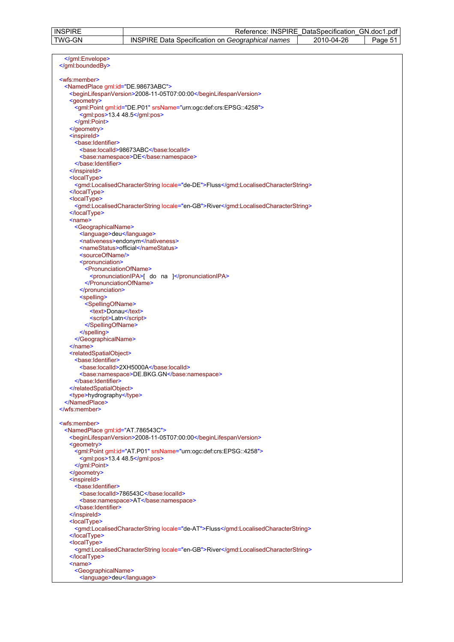| <b>INSPIRE</b> | Reference: INSPIRE DataSpecification GN.doc1.pdf        |            |         |
|----------------|---------------------------------------------------------|------------|---------|
| TWG-GN         | <b>INSPIRE Data Specification on Geographical names</b> | 2010-04-26 | Page 5. |

| <br>                                                                                                                |
|---------------------------------------------------------------------------------------------------------------------|
| <wfs:member></wfs:member>                                                                                           |
| <namedplace gml:id="DE.98673ABC"><br/><beginlifespanversion>2008-11-05T07:00:00</beginlifespanversion></namedplace> |
| <geometry></geometry>                                                                                               |
| <gml:point gml:id="DE.P01" srsname="urn:ogc:def:crs:EPSG::4258"></gml:point>                                        |
| <gml:pos>13.4 48.5</gml:pos>                                                                                        |
| $\le$ /qml:Point>                                                                                                   |
| <br><inspireid></inspireid>                                                                                         |
| <base:identifier></base:identifier>                                                                                 |
| <base:localid>98673ABC</base:localid>                                                                               |
| <base:namespace>DE</base:namespace>                                                                                 |
|                                                                                                                     |
| <br><localtype></localtype>                                                                                         |
| <gmd:localisedcharacterstring locale="de-DE">Fluss</gmd:localisedcharacterstring>                                   |
| $<$ /localType>                                                                                                     |
| <localtype></localtype>                                                                                             |
| <gmd:localisedcharacterstring locale="en-GB">River</gmd:localisedcharacterstring>                                   |
| <br>$name$                                                                                                          |
| <geographicalname></geographicalname>                                                                               |
| <language>deu</language>                                                                                            |
| <nativeness>endonym</nativeness>                                                                                    |
| <namestatus>official</namestatus>                                                                                   |
| <sourceofname></sourceofname><br><pronunciation></pronunciation>                                                    |
| <pronunciationofname></pronunciationofname>                                                                         |
| <pronunciationipa>[ do na ]</pronunciationipa>                                                                      |
|                                                                                                                     |
| <br><spelling></spelling>                                                                                           |
| <spellingofname></spellingofname>                                                                                   |
| <text>Donau</text>                                                                                                  |
| <script>Latn</script>                                                                                               |
|                                                                                                                     |
| $<$ /spelling><br>                                                                                                  |
| $<$ /name $>$                                                                                                       |
| <relatedspatialobject></relatedspatialobject>                                                                       |
| <base:identifier></base:identifier>                                                                                 |
| <base:localid>2XH5000A</base:localid><br><base:namespace>DE.BKG.GN</base:namespace>                                 |
|                                                                                                                     |
|                                                                                                                     |
| <type>hydrography</type>                                                                                            |
|                                                                                                                     |
|                                                                                                                     |
| <wfs:member></wfs:member>                                                                                           |
| <namedplace gml:id="AT.786543C"></namedplace>                                                                       |
| <beginlifespanversion>2008-11-05T07:00:00</beginlifespanversion>                                                    |
| <geometry></geometry>                                                                                               |
| <gml:point gml:id="AT.P01" srsname="urn:ogc:def:crs:EPSG::4258"><br/><gml:pos>13.4 48.5</gml:pos></gml:point>       |
|                                                                                                                     |
|                                                                                                                     |
| <inspireid></inspireid>                                                                                             |
| <base:identifier><br/><base:localld>786543C</base:localld></base:identifier>                                        |
| <base:namespace>AT</base:namespace>                                                                                 |
|                                                                                                                     |
|                                                                                                                     |
| <localtype></localtype>                                                                                             |
| <gmd:localisedcharacterstring locale="de-AT">Fluss</gmd:localisedcharacterstring><br>                               |
| <localtype></localtype>                                                                                             |
| <gmd:localisedcharacterstring locale="en-GB">River</gmd:localisedcharacterstring>                                   |
|                                                                                                                     |
| $name$<br><geographicalname></geographicalname>                                                                     |
| <language>deu</language>                                                                                            |
|                                                                                                                     |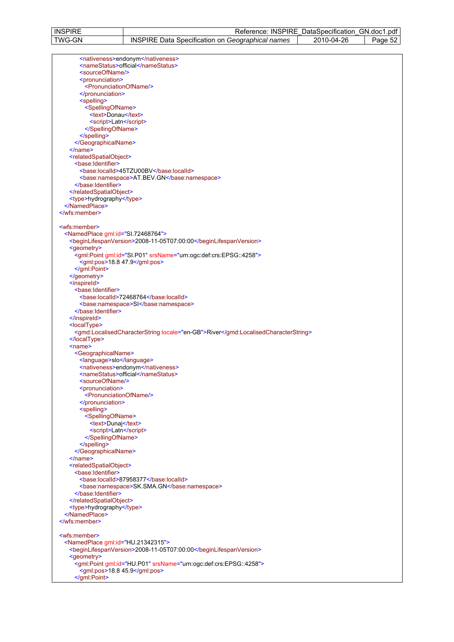| <b>INSPIRE</b>                                | Reference: INSPIRE_DataSpecification_GN.doc1.pdf                                  |
|-----------------------------------------------|-----------------------------------------------------------------------------------|
| <b>TWG-GN</b>                                 | <b>INSPIRE Data Specification on Geographical names</b><br>2010-04-26<br>Page 52  |
|                                               |                                                                                   |
|                                               |                                                                                   |
|                                               | <nativeness>endonym</nativeness>                                                  |
|                                               | <namestatus>official</namestatus>                                                 |
| <sourceofname></sourceofname>                 |                                                                                   |
| <pronunciation></pronunciation>               |                                                                                   |
|                                               | <pronunciationofname></pronunciationofname>                                       |
|                                               |                                                                                   |
|                                               |                                                                                   |
| <spelling></spelling>                         |                                                                                   |
| <spellingofname></spellingofname>             |                                                                                   |
|                                               | <text>Donau</text>                                                                |
|                                               | <script>Latn</script>                                                             |
|                                               |                                                                                   |
|                                               |                                                                                   |
|                                               |                                                                                   |
|                                               |                                                                                   |
| $<$ /name $>$                                 |                                                                                   |
| <relatedspatialobject></relatedspatialobject> |                                                                                   |
| <base:identifier></base:identifier>           |                                                                                   |
|                                               | <base:localid>45TZU00BV</base:localid>                                            |
|                                               |                                                                                   |
|                                               | <br>stase:namespace>AT.BEV.GN                                                     |
|                                               |                                                                                   |
|                                               |                                                                                   |
| <type>hydrography</type>                      |                                                                                   |
|                                               |                                                                                   |
|                                               |                                                                                   |
|                                               |                                                                                   |
|                                               |                                                                                   |
| <wfs:member></wfs:member>                     |                                                                                   |
|                                               | <namedplace gml:id="SI.72468764"></namedplace>                                    |
|                                               | <beginlifespanversion>2008-11-05T07:00:00</beginlifespanversion>                  |
| <geometry></geometry>                         |                                                                                   |
|                                               | <gml:point gml:id="SI.P01" srsname="urn:ogc:def:crs:EPSG::4258"></gml:point>      |
|                                               |                                                                                   |
|                                               | <gml:pos>18.8 47.9</gml:pos>                                                      |
|                                               |                                                                                   |
|                                               |                                                                                   |
| <inspireid></inspireid>                       |                                                                                   |
| <base:identifier></base:identifier>           |                                                                                   |
|                                               | <base:localld>72468764</base:localld>                                             |
|                                               |                                                                                   |
|                                               | <br>state:namespace>SI                                                            |
|                                               |                                                                                   |
| $<$ /inspireld>                               |                                                                                   |
| <localtype></localtype>                       |                                                                                   |
|                                               | <gmd:localisedcharacterstring locale="en-GB">River</gmd:localisedcharacterstring> |
|                                               |                                                                                   |
|                                               |                                                                                   |
| <name></name>                                 |                                                                                   |
| <geographicalname></geographicalname>         |                                                                                   |
|                                               | <language>slo</language>                                                          |
|                                               | <nativeness>endonym</nativeness>                                                  |
|                                               | <namestatus>official</namestatus>                                                 |
| <sourceofname></sourceofname>                 |                                                                                   |
|                                               |                                                                                   |
| <pronunciation></pronunciation>               |                                                                                   |
|                                               | <pronunciationofname></pronunciationofname>                                       |
|                                               |                                                                                   |
| <spelling></spelling>                         |                                                                                   |
| <spellingofname></spellingofname>             |                                                                                   |
|                                               | <text>Dunaj</text>                                                                |
|                                               | <script>Latn</script>                                                             |
|                                               |                                                                                   |
|                                               |                                                                                   |
|                                               |                                                                                   |
|                                               |                                                                                   |
| $<$ /name $>$                                 |                                                                                   |
| <relatedspatialobject></relatedspatialobject> |                                                                                   |
| <base:identifier></base:identifier>           |                                                                                   |
|                                               |                                                                                   |
|                                               | <base:localid>87958377</base:localid>                                             |
|                                               | <br>stase:namespace>SK.SMA.GN                                                     |
|                                               |                                                                                   |
|                                               |                                                                                   |
| <type>hydrography</type>                      |                                                                                   |
|                                               |                                                                                   |
|                                               |                                                                                   |
|                                               |                                                                                   |
|                                               |                                                                                   |
| <wfs:member></wfs:member>                     |                                                                                   |
|                                               | <namedplace gml:id="HU.21342315"></namedplace>                                    |
|                                               | <beginlifespanversion>2008-11-05T07:00:00</beginlifespanversion>                  |
|                                               |                                                                                   |
| <geometry></geometry>                         |                                                                                   |
|                                               | <gml:point gml:id="HU.P01" srsname="urn:ogc:def:crs:EPSG::4258"></gml:point>      |
|                                               | <gml:pos>18.8 45.9</gml:pos>                                                      |
|                                               |                                                                                   |
|                                               |                                                                                   |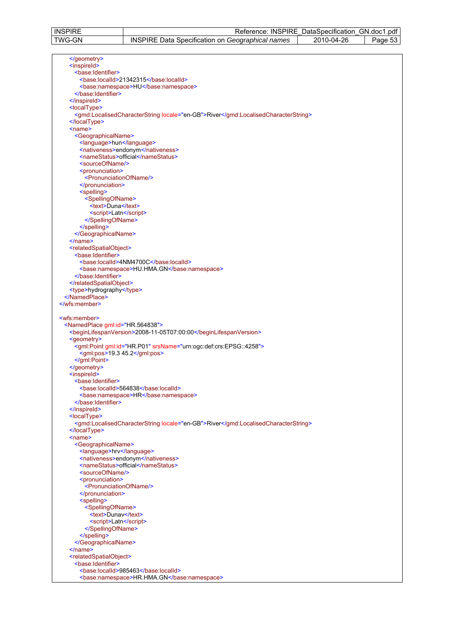| <b>INSPIRE</b> | Reference:                                              | : INSPIRE DataSpecification | GN.doc1.pdf |
|----------------|---------------------------------------------------------|-----------------------------|-------------|
| TWG-GN         | <b>INSPIRE Data Specification on Geographical names</b> | 2010-04-26                  | Page<br>ാാ  |

| $\le$ /geometry>                                                                  |  |
|-----------------------------------------------------------------------------------|--|
| <inspireld></inspireld>                                                           |  |
| <base:identifier></base:identifier>                                               |  |
| <base:localid>21342315</base:localid>                                             |  |
|                                                                                   |  |
| <base:namespace>HU</base:namespace>                                               |  |
|                                                                                   |  |
|                                                                                   |  |
| <localtype></localtype>                                                           |  |
| <gmd:localisedcharacterstring locale="en-GB">River</gmd:localisedcharacterstring> |  |
|                                                                                   |  |
| $name$                                                                            |  |
| <geographicalname></geographicalname>                                             |  |
|                                                                                   |  |
| <language>hun</language>                                                          |  |
| <nativeness>endonym</nativeness>                                                  |  |
| <namestatus>official</namestatus>                                                 |  |
| <sourceofname></sourceofname>                                                     |  |
| <pronunciation></pronunciation>                                                   |  |
| <pronunciationofname></pronunciationofname>                                       |  |
|                                                                                   |  |
| <spelling></spelling>                                                             |  |
| <spellingofname></spellingofname>                                                 |  |
|                                                                                   |  |
| <text>Duna</text>                                                                 |  |
| <script>Latn</script>                                                             |  |
|                                                                                   |  |
|                                                                                   |  |
|                                                                                   |  |
| $<$ /name $>$                                                                     |  |
| <relatedspatialobject></relatedspatialobject>                                     |  |
| <base:identifier></base:identifier>                                               |  |
| <base:localid>4NM4700C</base:localid>                                             |  |
| <base:namespace>HU.HMA.GN</base:namespace>                                        |  |
|                                                                                   |  |
|                                                                                   |  |
|                                                                                   |  |
| <type>hydrography</type>                                                          |  |
|                                                                                   |  |
|                                                                                   |  |
|                                                                                   |  |
|                                                                                   |  |
| <wfs:member></wfs:member>                                                         |  |
|                                                                                   |  |
| <namedplace gml:id="HR.564838"></namedplace>                                      |  |
| <beginlifespanversion>2008-11-05T07:00:00</beginlifespanversion>                  |  |
| <geometry></geometry>                                                             |  |
| <gml:point gml:id="HR.P01" srsname="urn:ogc:def:crs:EPSG::4258"></gml:point>      |  |
| <gml:pos>19.3 45.2</gml:pos>                                                      |  |
|                                                                                   |  |
|                                                                                   |  |
| <inspireld></inspireld>                                                           |  |
|                                                                                   |  |
| <base:identifier></base:identifier>                                               |  |
| <br>base:localld>564838                                                           |  |
| <base:namespace>HR</base:namespace>                                               |  |
|                                                                                   |  |
|                                                                                   |  |
| <localtype></localtype>                                                           |  |
| <gmd:localisedcharacterstring locale="en-GB">River</gmd:localisedcharacterstring> |  |
|                                                                                   |  |
| $name$                                                                            |  |
| <geographicalname></geographicalname>                                             |  |
|                                                                                   |  |
| <language>hrv</language>                                                          |  |
| <nativeness>endonym</nativeness>                                                  |  |
| <namestatus>official</namestatus>                                                 |  |
| <sourceofname></sourceofname>                                                     |  |
| <pronunciation></pronunciation>                                                   |  |
| <pronunciationofname></pronunciationofname>                                       |  |
|                                                                                   |  |
| <spelling></spelling>                                                             |  |
| <spellingofname></spellingofname>                                                 |  |
| <text>Dunav</text>                                                                |  |
| <script>Latn</script>                                                             |  |
|                                                                                   |  |
|                                                                                   |  |
|                                                                                   |  |
|                                                                                   |  |
| $<$ /name $>$                                                                     |  |
| <relatedspatialobject></relatedspatialobject>                                     |  |
| <base:identifier></base:identifier>                                               |  |
| <base:localid>985463</base:localid><br><base:namespace>HR.HMA.GN</base:namespace> |  |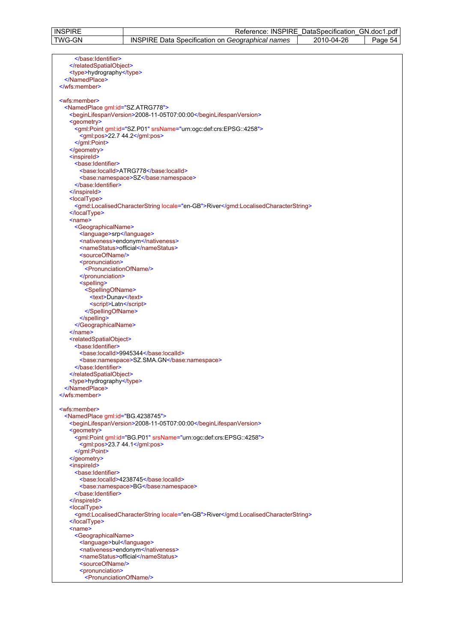| <b>INSPIRE</b> | <b>INSPIRE</b><br>⊀eterence:                                         | DataSpecification | GN.doc1.pdf |
|----------------|----------------------------------------------------------------------|-------------------|-------------|
| TWG-GN         | <b>INSPIRE</b><br>Data<br>u Specification on Geographical r<br>names | 2010-04-26        | Page<br>∽⊿  |

 </base:Identifier> </relatedSpatialObject> <type>hydrography</type> </NamedPlace> </wfs:member> <wfs:member> <NamedPlace gml:id="SZ.ATRG778"> <beginLifespanVersion>2008-11-05T07:00:00</beginLifespanVersion> <geometry> <gml:Point gml:id="SZ.P01" srsName="urn:ogc:def:crs:EPSG::4258"> <gml:pos>22.7 44.2</gml:pos> </gml:Point> </geometry> <inspireId> <br />
kase:Identifier> <base:localId>ATRG778</base:localId> <base:namespace>SZ</base:namespace> </base:Identifier> </inspireId> <localType> <gmd:LocalisedCharacterString locale="en-GB">River</gmd:LocalisedCharacterString> </localType> <name> <GeographicalName> <language>srp</language> <nativeness>endonym</nativeness> <nameStatus>official</nameStatus> <sourceOfName/> <pronunciation> <PronunciationOfName/> </pronunciation> <spelling> <SpellingOfName> <text>Dunav</text> <script>Latn</script> </SpellingOfName> </spelling> </GeographicalName> </name> <relatedSpatialObject> <br />
state:Identifier> <base:localId>9945344</base:localId> <base:namespace>SZ.SMA.GN</base:namespace> </base:Identifier> </relatedSpatialObject> <type>hydrography</type> </NamedPlace> </wfs:member> <wfs:member> <NamedPlace gml:id="BG.4238745"> <beginLifespanVersion>2008-11-05T07:00:00</beginLifespanVersion> <geometry> <gml:Point gml:id="BG.P01" srsName="urn:ogc:def:crs:EPSG::4258"> <gml:pos>23.7 44.1</gml:pos> </gml:Point> </geometry> <inspireId> <br />
se:Identifier> <base:localId>4238745</base:localId> <base:namespace>BG</base:namespace> </base:Identifier> </inspireId> <localType> <gmd:LocalisedCharacterString locale="en-GB">River</gmd:LocalisedCharacterString> </localType> <name> <GeographicalName> <language>bul</language> <nativeness>endonym</nativeness> <nameStatus>official</nameStatus> <sourceOfName/> <pronunciation> <PronunciationOfName/>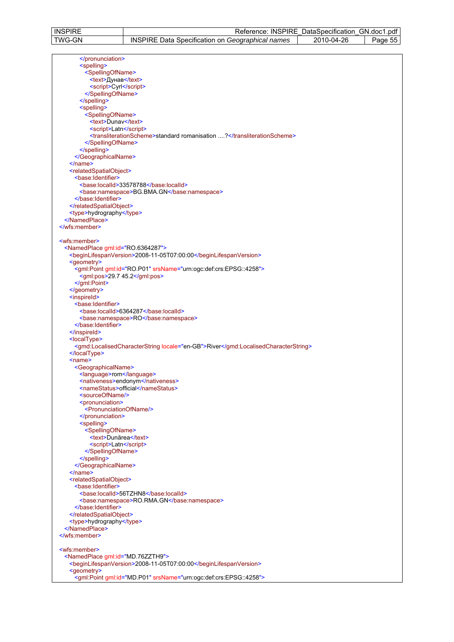| <b>INSPIRE</b> | Reference:                                                   | INSPIRE DataSpecification | GN.doc1.pdf   |
|----------------|--------------------------------------------------------------|---------------------------|---------------|
| TWG-GN         | <b>INSPIRE</b><br>≟ Data Specification on Geographical names | 2010-04-26                | $P$ aqe<br>55 |

| <spelling></spelling>                                                             |
|-----------------------------------------------------------------------------------|
| <spellingofname></spellingofname>                                                 |
| <text>Дунав</text>                                                                |
| <script>Cyrl</script>                                                             |
|                                                                                   |
|                                                                                   |
| <spelling></spelling>                                                             |
| <spellingofname></spellingofname>                                                 |
|                                                                                   |
| <text>Dunav</text>                                                                |
| <script>Latn</script>                                                             |
| <transliterationscheme>standard romanisation ?</transliterationscheme>            |
|                                                                                   |
| $<$ /spelling>                                                                    |
|                                                                                   |
| $<$ /name $>$                                                                     |
| <relatedspatialobject></relatedspatialobject>                                     |
| <base:identifier></base:identifier>                                               |
| <base:localid>33578788</base:localid>                                             |
| <base:namespace>BG.BMA.GN</base:namespace>                                        |
|                                                                                   |
|                                                                                   |
| <type>hydrography</type>                                                          |
|                                                                                   |
|                                                                                   |
|                                                                                   |
| <wfs:member></wfs:member>                                                         |
| <namedplace gml:id="RO.6364287"></namedplace>                                     |
|                                                                                   |
| <beginlifespanversion>2008-11-05T07:00:00</beginlifespanversion>                  |
| <geometry></geometry>                                                             |
| <gml:point gml:id="RO.P01" srsname="urn:ogc:def:crs:EPSG::4258"></gml:point>      |
| $\leq$ gml:pos>29.7 45.2 $\leq$ /gml:pos>                                         |
|                                                                                   |
|                                                                                   |
| <inspireld></inspireld>                                                           |
| <base:identifier></base:identifier>                                               |
| <base:localid>6364287</base:localid>                                              |
| <base:namespace>RO</base:namespace>                                               |
|                                                                                   |
| $\le$ /inspireld>                                                                 |
| <localtype></localtype>                                                           |
| <gmd:localisedcharacterstring locale="en-GB">River</gmd:localisedcharacterstring> |
|                                                                                   |
| $name$                                                                            |
| <geographicalname></geographicalname>                                             |
| <language>rom</language>                                                          |
| <nativeness>endonym</nativeness>                                                  |
| <namestatus>official</namestatus>                                                 |
| <sourceofname></sourceofname>                                                     |
|                                                                                   |
| <pronunciation></pronunciation>                                                   |
| <pronunciationofname></pronunciationofname>                                       |
|                                                                                   |
| <spelling></spelling>                                                             |
| <spellingofname></spellingofname>                                                 |
| <text>Dunărea</text>                                                              |
| <script>Latn</script>                                                             |
|                                                                                   |
|                                                                                   |
|                                                                                   |
| $<$ /name $>$                                                                     |
| <relatedspatialobject></relatedspatialobject>                                     |
| <base:identifier></base:identifier>                                               |
| <base:localid>56TZHN8</base:localid>                                              |
| <base:namespace>RO.RMA.GN</base:namespace>                                        |
|                                                                                   |
|                                                                                   |
| <type>hydrography</type>                                                          |
|                                                                                   |
|                                                                                   |
|                                                                                   |
| <wfs:member></wfs:member>                                                         |
|                                                                                   |
| <namedplace gml:id="MD.76ZZTH9"></namedplace>                                     |
| <beginlifespanversion>2008-11-05T07:00:00</beginlifespanversion>                  |
| <geometry></geometry>                                                             |
| <gml:point gml:id="MD.P01" srsname="urn:ogc:def:crs:EPSG::4258"></gml:point>      |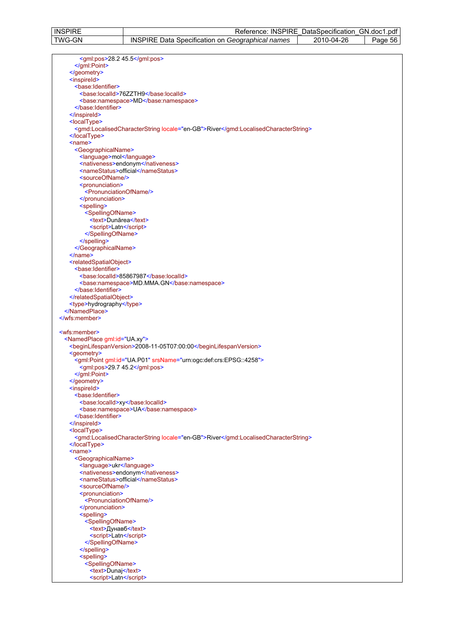| <b>INSPIRE</b> | <b>INSPIRE</b><br>⊀eference:                                          | DataSpecification | GN.doc1.<br>.pdf |
|----------------|-----------------------------------------------------------------------|-------------------|------------------|
| <b>TWG-GN</b>  | INS<br>Data<br>ISPIRE<br>names<br>Geographical.<br>Specification on ∖ | 2010-04-26        | Page<br>56       |

| $\leq$ gml:pos>28.2 45.5 $\leq$ /gml:pos>                                                            |  |
|------------------------------------------------------------------------------------------------------|--|
| $\le$ /gml:Point>                                                                                    |  |
| <br><inspireid></inspireid>                                                                          |  |
| <base:identifier></base:identifier>                                                                  |  |
| <base:localid>76ZZTH9</base:localid>                                                                 |  |
| <base:namespace>MD</base:namespace>                                                                  |  |
|                                                                                                      |  |
|                                                                                                      |  |
| <localtype></localtype>                                                                              |  |
| <gmd:localisedcharacterstring locale="en-GB">River</gmd:localisedcharacterstring><br>$<$ /localType> |  |
| <name></name>                                                                                        |  |
| <geographicalname></geographicalname>                                                                |  |
| <language>mol</language>                                                                             |  |
| <nativeness>endonym</nativeness>                                                                     |  |
| <namestatus>official</namestatus>                                                                    |  |
| <sourceofname></sourceofname><br><pronunciation></pronunciation>                                     |  |
| <pronunciationofname></pronunciationofname>                                                          |  |
|                                                                                                      |  |
| <spelling></spelling>                                                                                |  |
| <spellingofname></spellingofname>                                                                    |  |
| <text>Dunărea</text>                                                                                 |  |
| <script>Latn</script>                                                                                |  |
| <br>                                                                                                 |  |
|                                                                                                      |  |
| $<$ /name $>$                                                                                        |  |
| <relatedspatialobject></relatedspatialobject>                                                        |  |
| <base:identifier></base:identifier>                                                                  |  |
| <base:localid>85867987</base:localid>                                                                |  |
| <base:namespace>MD.MMA.GN</base:namespace><br>                                                       |  |
|                                                                                                      |  |
| <type>hydrography</type>                                                                             |  |
|                                                                                                      |  |
|                                                                                                      |  |
| <wfs:member></wfs:member>                                                                            |  |
| <namedplace gml:id="UA.xy"></namedplace>                                                             |  |
| <beginlifespanversion>2008-11-05T07:00:00</beginlifespanversion>                                     |  |
| <geometry></geometry>                                                                                |  |
| <gml:point gml:id="UA.P01" srsname="urn:ogc:def:crs:EPSG::4258"></gml:point>                         |  |
| <gml:pos>29.7 45.2</gml:pos>                                                                         |  |
| <br>                                                                                                 |  |
| <inspireid></inspireid>                                                                              |  |
| <base:identifier></base:identifier>                                                                  |  |
| <br>base:localld>xy                                                                                  |  |
| <base:namespace>UA</base:namespace>                                                                  |  |
|                                                                                                      |  |
| <br><localtype></localtype>                                                                          |  |
| <gmd:localisedcharacterstring locale="en-GB">River</gmd:localisedcharacterstring>                    |  |
| $<$ /localType>                                                                                      |  |
| <name></name>                                                                                        |  |
| <geographicalname></geographicalname>                                                                |  |
| <language>ukr</language>                                                                             |  |
| <nativeness>endonym</nativeness><br><namestatus>official</namestatus>                                |  |
| <sourceofname></sourceofname>                                                                        |  |
| <pronunciation></pronunciation>                                                                      |  |
| <pronunciationofname></pronunciationofname>                                                          |  |
|                                                                                                      |  |
| <spelling><br/><spellingofname></spellingofname></spelling>                                          |  |
| <text>Дунавб</text>                                                                                  |  |
| <script>Latn</script>                                                                                |  |
|                                                                                                      |  |
| $<$ /spelling>                                                                                       |  |
| <spelling></spelling>                                                                                |  |
| <spellingofname><br/><text>Dunaj</text></spellingofname>                                             |  |
| <script>Latn</script>                                                                                |  |
|                                                                                                      |  |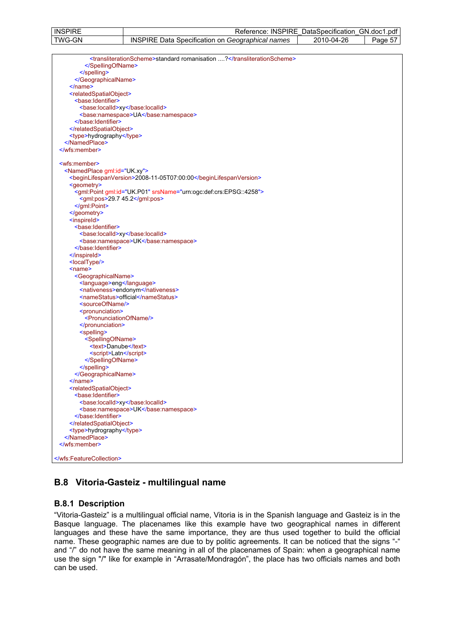| <b>INSF</b> | Reference:<br><b>INSPIRE</b>                                                  | DataSpecification | .doc1.pdf<br>GN |
|-------------|-------------------------------------------------------------------------------|-------------------|-----------------|
| TWG-GN      | <b>INSI</b><br>names<br>Geographical<br>Specification<br>.on<br>Datə<br>SPIRE | ∿2-04-2י0         | --<br>ade       |

| <transliterationscheme>standard romanisation ?</transliterationscheme>       |
|------------------------------------------------------------------------------|
|                                                                              |
|                                                                              |
|                                                                              |
| $<$ /name $>$                                                                |
| <relatedspatialobject></relatedspatialobject>                                |
| <base:identifier></base:identifier>                                          |
| <br>base:localld>xy                                                          |
| <base:namespace>UA</base:namespace>                                          |
|                                                                              |
|                                                                              |
| <type>hydrography</type>                                                     |
|                                                                              |
|                                                                              |
|                                                                              |
| <wfs:member></wfs:member>                                                    |
| <namedplace gml:id="UK xy"></namedplace>                                     |
| <beginlifespanversion>2008-11-05T07:00:00</beginlifespanversion>             |
| <geometry></geometry>                                                        |
| <gml:point gml:id="UK.P01" srsname="urn:ogc:def:crs:EPSG::4258"></gml:point> |
| <gml:pos>29.7 45.2</gml:pos>                                                 |
|                                                                              |
|                                                                              |
| <inspireid></inspireid>                                                      |
| <base:identifier></base:identifier>                                          |
| <br>base:localId>xy                                                          |
| <base:namespace>UK</base:namespace>                                          |
|                                                                              |
|                                                                              |
| <localtype></localtype>                                                      |
| <name></name>                                                                |
| <geographicalname></geographicalname>                                        |
| <language>eng</language>                                                     |
| <nativeness>endonym</nativeness>                                             |
| <namestatus>official</namestatus>                                            |
| <sourceofname></sourceofname>                                                |
| <pronunciation></pronunciation>                                              |
| <pronunciationofname></pronunciationofname>                                  |
|                                                                              |
| <spelling></spelling>                                                        |
| <spellingofname></spellingofname>                                            |
| <text>Danube</text>                                                          |
| <script>Latn</script>                                                        |
|                                                                              |
|                                                                              |
|                                                                              |
| $<$ /name $>$                                                                |
| <relatedspatialobject></relatedspatialobject>                                |
| <base:identifier></base:identifier>                                          |
| <base:localid>xy</base:localid>                                              |
| <base:namespace>UK</base:namespace>                                          |
|                                                                              |
|                                                                              |
| <type>hydrography</type>                                                     |
|                                                                              |
|                                                                              |
|                                                                              |
|                                                                              |
|                                                                              |

## **B.8 Vitoria-Gasteiz - multilingual name**

### **B.8.1 Description**

"Vitoria-Gasteiz" is a multilingual official name, Vitoria is in the Spanish language and Gasteiz is in the Basque language. The placenames like this example have two geographical names in different languages and these have the same importance, they are thus used together to build the official name. These geographic names are due to by politic agreements. It can be noticed that the signs "-" and "/" do not have the same meaning in all of the placenames of Spain: when a geographical name use the sign "/" like for example in "Arrasate/Mondragón", the place has two officials names and both can be used.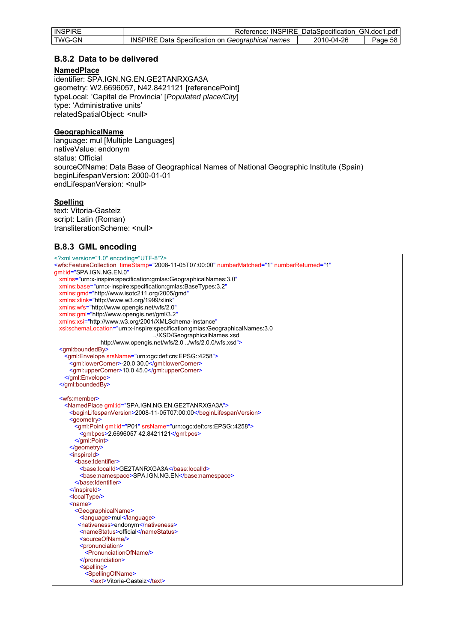| <b>INSPIRE</b> | Reference:                                              | : INSPIRE DataSpecification | GN.doc1.pdf   |
|----------------|---------------------------------------------------------|-----------------------------|---------------|
| TWG-GN         | <b>INSPIRE Data Specification on Geographical names</b> | 2010-04-26                  | -58 I<br>Page |

### **B.8.2 Data to be delivered**

#### **NamedPlace**

identifier: SPA.IGN.NG.EN.GE2TANRXGA3A geometry: W2.6696057, N42.8421121 [referencePoint] typeLocal: 'Capital de Provincia' [*Populated place/City*] type: 'Administrative units' relatedSpatialObject: <null>

#### **GeographicalName**

language: mul [Multiple Languages] nativeValue: endonym status: Official sourceOfName: Data Base of Geographical Names of National Geographic Institute (Spain) beginLifespanVersion: 2000-01-01 endLifespanVersion: <null>

#### **Spelling**

text: Vitoria-Gasteiz script: Latin (Roman) transliterationScheme: <null>

### **B.8.3 GML encoding**

<?xml version="1.0" encoding="UTF-8"?> <wfs:FeatureCollection timeStamp="2008-11-05T07:00:00" numberMatched="1" numberReturned="1" gml:id="SPA.IGN.NG.EN.0" xmlns="urn:x-inspire:specification:gmlas:GeographicalNames:3.0" xmlns:base="urn:x-inspire:specification:gmlas:BaseTypes:3.2" xmlns:gmd="http://www.isotc211.org/2005/gmd" xmlns:xlink="http://www.w3.org/1999/xlink" xmlns:wfs="http://www.opengis.net/wfs/2.0" xmlns:gml="http://www.opengis.net/gml/3.2" xmlns:xsi="http://www.w3.org/2001/XMLSchema-instance" xsi:schemaLocation="urn:x-inspire:specification:gmlas:GeographicalNames:3.0 ../XSD/GeographicalNames.xsd http://www.opengis.net/wfs/2.0 ../wfs/2.0.0/wfs.xsd"> <gml:boundedBy> <gml:Envelope srsName="urn:ogc:def:crs:EPSG::4258"> <gml:lowerCorner>-20.0 30.0</gml:lowerCorner> <gml:upperCorner>10.0 45.0</gml:upperCorner> </gml:Envelope> </gml:boundedBy> <wfs:member> <NamedPlace gml:id="SPA.IGN.NG.EN.GE2TANRXGA3A"> <beginLifespanVersion>2008-11-05T07:00:00</beginLifespanVersion> <geometry> <gml:Point gml:id="P01" srsName="urn:ogc:def:crs:EPSG::4258"> <gml:pos>2.6696057 42.8421121</gml:pos> </gml:Point> </geometry> <inspireId> <br />
kase:Identifier> <base:localId>GE2TANRXGA3A</base:localId> <base:namespace>SPA.IGN.NG.EN</base:namespace> </base:Identifier> </inspireId> <localType/> <name> <GeographicalName> <language>mul</language> <nativeness>endonym</nativeness> <nameStatus>official</nameStatus> <sourceOfName/> <pronunciation> <PronunciationOfName/> </pronunciation> <spelling> <SpellingOfName> <text>Vitoria-Gasteiz</text>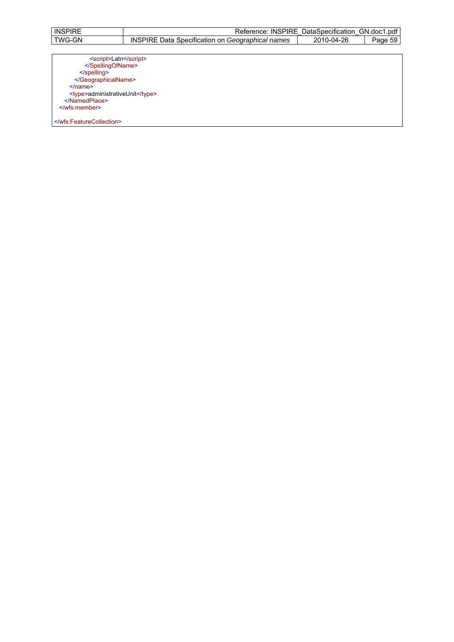| <b>INSPIRE</b> | Reference:<br><b>INSPIRE</b>                                   | DataSpecification | GN.doc1<br>.pdf |
|----------------|----------------------------------------------------------------|-------------------|-----------------|
| TWG-GN         | Geographical .<br>names<br>INSPIRE<br>Specification on<br>)ata | 2010-04-26        | uade J          |

 <script>Latn</script> </SpellingOfName> </spelling> </GeographicalName> </name> <type>administrativeUnit</type> </NamedPlace> </wfs:member>

</wfs:FeatureCollection>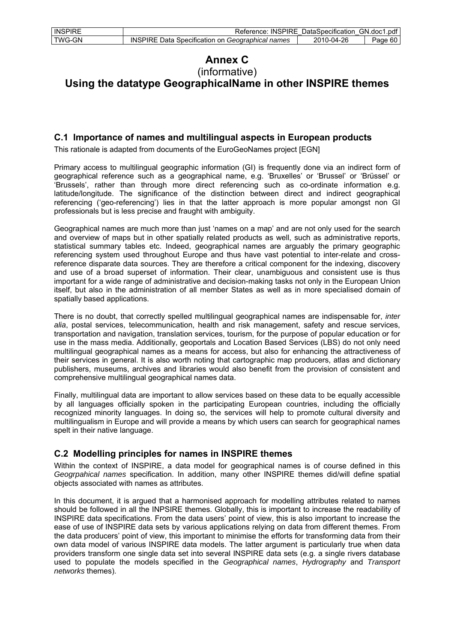# **Annex C**

## (informative) **Using the datatype GeographicalName in other INSPIRE themes**

## **C.1 Importance of names and multilingual aspects in European products**

This rationale is adapted from documents of the EuroGeoNames project [EGN]

Primary access to multilingual geographic information (GI) is frequently done via an indirect form of geographical reference such as a geographical name, e.g. 'Bruxelles' or 'Brussel' or 'Brüssel' or 'Brussels', rather than through more direct referencing such as co-ordinate information e.g. latitude/longitude. The significance of the distinction between direct and indirect geographical referencing ('geo-referencing') lies in that the latter approach is more popular amongst non GI professionals but is less precise and fraught with ambiguity.

Geographical names are much more than just 'names on a map' and are not only used for the search and overview of maps but in other spatially related products as well, such as administrative reports, statistical summary tables etc. Indeed, geographical names are arguably the primary geographic referencing system used throughout Europe and thus have vast potential to inter-relate and crossreference disparate data sources. They are therefore a critical component for the indexing, discovery and use of a broad superset of information. Their clear, unambiguous and consistent use is thus important for a wide range of administrative and decision-making tasks not only in the European Union itself, but also in the administration of all member States as well as in more specialised domain of spatially based applications.

There is no doubt, that correctly spelled multilingual geographical names are indispensable for, *inter alia*, postal services, telecommunication, health and risk management, safety and rescue services, transportation and navigation, translation services, tourism, for the purpose of popular education or for use in the mass media. Additionally, geoportals and Location Based Services (LBS) do not only need multilingual geographical names as a means for access, but also for enhancing the attractiveness of their services in general. It is also worth noting that cartographic map producers, atlas and dictionary publishers, museums, archives and libraries would also benefit from the provision of consistent and comprehensive multilingual geographical names data.

Finally, multilingual data are important to allow services based on these data to be equally accessible by all languages officially spoken in the participating European countries, including the officially recognized minority languages. In doing so, the services will help to promote cultural diversity and multilingualism in Europe and will provide a means by which users can search for geographical names spelt in their native language.

## **C.2 Modelling principles for names in INSPIRE themes**

Within the context of INSPIRE, a data model for geographical names is of course defined in this *Geogrpahical names* specification. In addition, many other INSPIRE themes did/will define spatial objects associated with names as attributes.

In this document, it is argued that a harmonised approach for modelling attributes related to names should be followed in all the INPSIRE themes. Globally, this is important to increase the readability of INSPIRE data specifications. From the data users' point of view, this is also important to increase the ease of use of INSPIRE data sets by various applications relying on data from different themes. From the data producers' point of view, this important to minimise the efforts for transforming data from their own data model of various INSPIRE data models. The latter argument is particularly true when data providers transform one single data set into several INSPIRE data sets (e.g. a single rivers database used to populate the models specified in the *Geographical names*, *Hydrography* and *Transport networks* themes).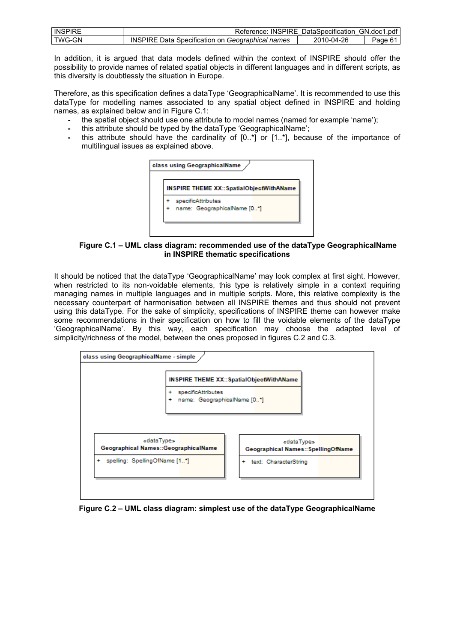| <b>INSPIRE</b> | Reference: INSPIRE DataSpecification GN.doc1.pdf        |            |         |
|----------------|---------------------------------------------------------|------------|---------|
| TWG-GN         | <b>INSPIRE Data Specification on Geographical names</b> | 2010-04-26 | Page 61 |

In addition, it is argued that data models defined within the context of INSPIRE should offer the possibility to provide names of related spatial objects in different languages and in different scripts, as this diversity is doubtlessly the situation in Europe.

Therefore, as this specification defines a dataType 'GeographicalName'. It is recommended to use this dataType for modelling names associated to any spatial object defined in INSPIRE and holding names, as explained below and in Figure C.1:

- the spatial object should use one attribute to model names (named for example 'name');
- this attribute should be typed by the dataType 'GeographicalName';
- this attribute should have the cardinality of [0..\*] or [1..\*], because of the importance of multilingual issues as explained above.



 **Figure C.1 – UML class diagram: recommended use of the dataType GeographicalName in INSPIRE thematic specifications** 

It should be noticed that the dataType 'GeographicalName' may look complex at first sight. However, when restricted to its non-voidable elements, this type is relatively simple in a context requiring managing names in multiple languages and in multiple scripts. More, this relative complexity is the necessary counterpart of harmonisation between all INSPIRE themes and thus should not prevent using this dataType. For the sake of simplicity, specifications of INSPIRE theme can however make some recommendations in their specification on how to fill the voidable elements of the dataType 'GeographicalName'. By this way, each specification may choose the adapted level of simplicity/richness of the model, between the ones proposed in figures C.2 and C.3.



**Figure C.2 – UML class diagram: simplest use of the dataType GeographicalName**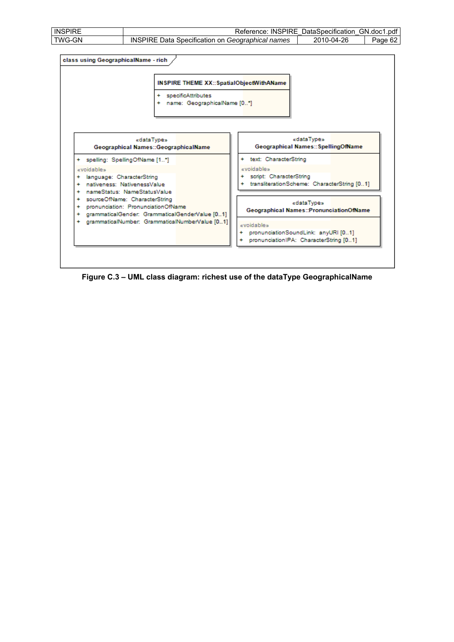

**Figure C.3 – UML class diagram: richest use of the dataType GeographicalName**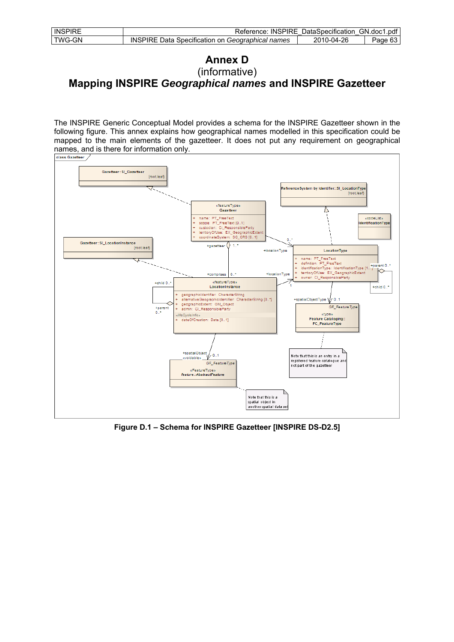| <b>INSPIRE</b> | Reference: INSPIRE DataSpecification GN.doc1.pdf |            |         |
|----------------|--------------------------------------------------|------------|---------|
| TWG-GN         | INSPIRE Data Specification on Geographical names | 2010-04-26 | Page 63 |

## **Annex D**

(informative) **Mapping INSPIRE** *Geographical names* **and INSPIRE Gazetteer** 

The INSPIRE Generic Conceptual Model provides a schema for the INSPIRE Gazetteer shown in the following figure. This annex explains how geographical names modelled in this specification could be mapped to the main elements of the gazetteer. It does not put any requirement on geographical names, and is there for information only.



**Figure D.1 – Schema for INSPIRE Gazetteer [INSPIRE DS-D2.5]**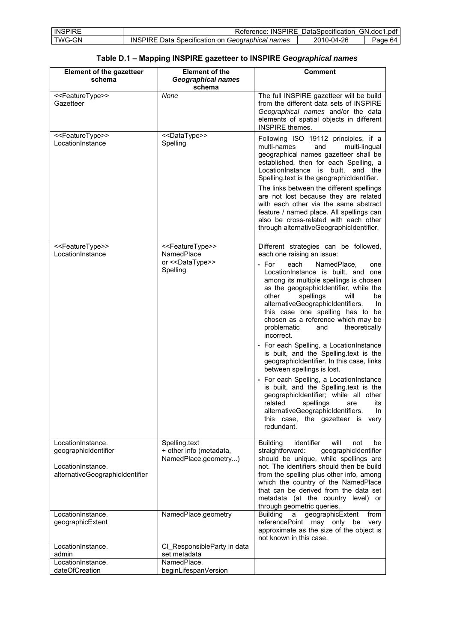| <b>INSPIRE</b> | Reference: INSPIRE DataSpecification GN.doc1.pdf        |            |         |
|----------------|---------------------------------------------------------|------------|---------|
| l TWG-GN       | <b>INSPIRE Data Specification on Geographical names</b> | 2010-04-26 | Page 64 |

## **Table D.1 – Mapping INSPIRE gazetteer to INSPIRE** *Geographical names*

| <b>Element of the gazetteer</b>                                                                   | <b>Element of the</b>                                                                              | <b>Comment</b>                                                                                                                                                                                                                                                                                                                                                                                                                                                                                                                                                                                                                                                                                                                                                                                                                                                                           |
|---------------------------------------------------------------------------------------------------|----------------------------------------------------------------------------------------------------|------------------------------------------------------------------------------------------------------------------------------------------------------------------------------------------------------------------------------------------------------------------------------------------------------------------------------------------------------------------------------------------------------------------------------------------------------------------------------------------------------------------------------------------------------------------------------------------------------------------------------------------------------------------------------------------------------------------------------------------------------------------------------------------------------------------------------------------------------------------------------------------|
| schema                                                                                            | <b>Geographical names</b><br>schema                                                                |                                                                                                                                                                                                                                                                                                                                                                                                                                                                                                                                                                                                                                                                                                                                                                                                                                                                                          |
| < <featuretype>&gt;<br/>Gazetteer</featuretype>                                                   | None                                                                                               | The full INSPIRE gazetteer will be build<br>from the different data sets of INSPIRE<br>Geographical names and/or the data<br>elements of spatial objects in different<br><b>INSPIRE</b> themes.                                                                                                                                                                                                                                                                                                                                                                                                                                                                                                                                                                                                                                                                                          |
| < <featuretype>&gt;<br/>LocationInstance</featuretype>                                            | < <datatype>&gt;<br/>Spelling</datatype>                                                           | Following ISO 19112 principles, if a<br>multi-names<br>and<br>multi-lingual<br>geographical names gazetteer shall be<br>established, then for each Spelling, a<br>LocationInstance is built, and the<br>Spelling.text is the geographicIdentifier.<br>The links between the different spellings<br>are not lost because they are related<br>with each other via the same abstract<br>feature / named place. All spellings can<br>also be cross-related with each other<br>through alternativeGeographicIdentifier.                                                                                                                                                                                                                                                                                                                                                                       |
| < <featuretype>&gt;<br/>LocationInstance</featuretype>                                            | < <featuretype>&gt;<br/>NamedPlace<br/>or &lt;<datatype>&gt;<br/>Spelling</datatype></featuretype> | Different strategies can be followed,<br>each one raising an issue:<br>- For<br>each<br>NamedPlace,<br>one<br>LocationInstance is built, and one<br>among its multiple spellings is chosen<br>as the geographicIdentifier, while the<br>spellings<br>other<br>will<br>be<br>alternativeGeographicIdentifiers.<br>In.<br>this case one spelling has to be<br>chosen as a reference which may be<br>problematic<br>theoretically<br>and<br>incorrect.<br>- For each Spelling, a LocationInstance<br>is built, and the Spelling.text is the<br>geographicIdentifier. In this case, links<br>between spellings is lost.<br>- For each Spelling, a LocationInstance<br>is built, and the Spelling.text is the<br>geographicIdentifier; while all other<br>related<br>spellings<br>its<br>are<br>alternativeGeographicIdentifiers.<br>In.<br>this case, the gazetteer is<br>very<br>redundant. |
| LocationInstance.<br>geographicIdentifier<br>LocationInstance.<br>alternativeGeographicIdentifier | Spelling.text<br>+ other info (metadata,<br>NamedPlace.geometry)                                   | identifier<br><b>Building</b><br>will<br>not<br>be<br>straightforward:<br>geographicIdentifier<br>should be unique, while spellings are<br>not. The identifiers should then be build<br>from the spelling plus other info, among<br>which the country of the NamedPlace<br>that can be derived from the data set<br>metadata (at the country level) or<br>through geometric queries.                                                                                                                                                                                                                                                                                                                                                                                                                                                                                                     |
| LocationInstance.<br>geographicExtent                                                             | NamedPlace.geometry                                                                                | <b>Building</b><br>geographicExtent<br>from<br>а<br>referencePoint may only be<br>very<br>approximate as the size of the object is<br>not known in this case.                                                                                                                                                                                                                                                                                                                                                                                                                                                                                                                                                                                                                                                                                                                            |
| LocationInstance.                                                                                 | CI_ResponsibleParty in data                                                                        |                                                                                                                                                                                                                                                                                                                                                                                                                                                                                                                                                                                                                                                                                                                                                                                                                                                                                          |
| admin<br>LocationInstance.                                                                        | set metadata<br>NamedPlace.                                                                        |                                                                                                                                                                                                                                                                                                                                                                                                                                                                                                                                                                                                                                                                                                                                                                                                                                                                                          |
| dateOfCreation                                                                                    | beginLifespanVersion                                                                               |                                                                                                                                                                                                                                                                                                                                                                                                                                                                                                                                                                                                                                                                                                                                                                                                                                                                                          |